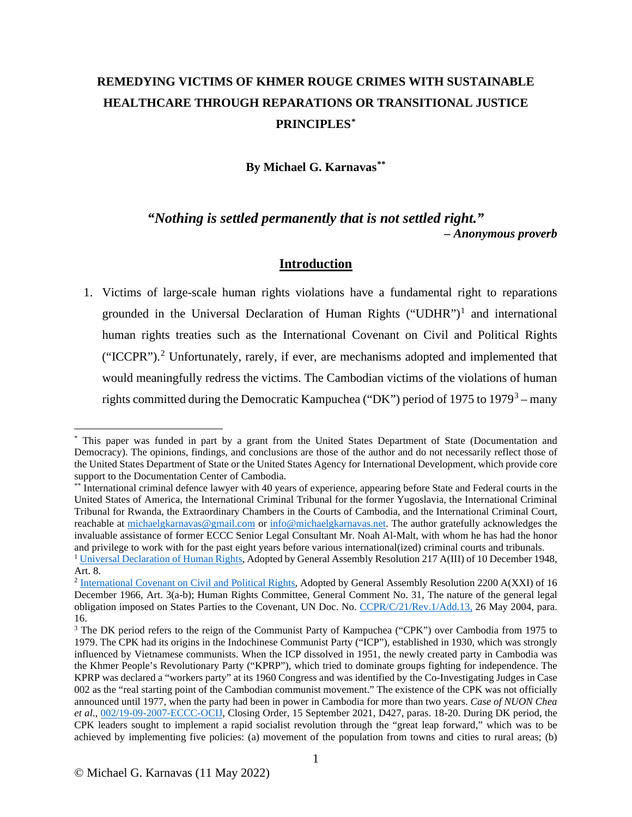# **REMEDYING VICTIMS OF KHMER ROUGE CRIMES WITH SUSTAINABLE HEALTHCARE THROUGH REPARATIONS OR TRANSITIONAL JUSTICE PRINCIPLES[\\*](#page-0-0)**

**By Michael G. Karnavas[\\*\\*](#page-0-1)**

*"Nothing is settled permanently that is not settled right." – Anonymous proverb*

# **Introduction**

1. Victims of large-scale human rights violations have a fundamental right to reparations grounded in the Universal Declaration of Human Rights ("UDHR")<sup>[1](#page-0-2)</sup> and international human rights treaties such as the International Covenant on Civil and Political Rights ("ICCPR").[2](#page-0-3) Unfortunately, rarely, if ever, are mechanisms adopted and implemented that would meaningfully redress the victims. The Cambodian victims of the violations of human rights committed during the Democratic Kampuchea ("DK") period of 1975 to 1979<sup>[3](#page-0-4)</sup> – many

<span id="page-0-0"></span><sup>\*</sup> This paper was funded in part by a grant from the United States Department of State (Documentation and Democracy). The opinions, findings, and conclusions are those of the author and do not necessarily reflect those of the United States Department of State or the United States Agency for International Development, which provide core support to the Documentation Center of Cambodia.

<span id="page-0-1"></span><sup>\*\*</sup> International criminal defence lawyer with 40 years of experience, appearing before State and Federal courts in the United States of America, the International Criminal Tribunal for the former Yugoslavia, the International Criminal Tribunal for Rwanda, the Extraordinary Chambers in the Courts of Cambodia, and the International Criminal Court, reachable at [michaelgkarnavas@gmail.com](mailto:michaelgkarnavas@gmail.com) or [info@michaelgkarnavas.net.](mailto:info@michaelgkarnavas.net) The author gratefully acknowledges the invaluable assistance of former ECCC Senior Legal Consultant Mr. Noah Al-Malt, with whom he has had the honor<br>and privilege to work with for the past eight vears before various international(ized) criminal courts and tribu <sup>1</sup> [Universal Declaration of Human Rights,](https://www.un.org/en/ga/search/view_doc.asp?symbol=A/RES/217(III)) Adopted by General Assembly Resolution 217 A(III) of 10 December 1948, Art. 8.

<span id="page-0-3"></span><span id="page-0-2"></span><sup>&</sup>lt;sup>2</sup> [International Covenant on Civil and Political Rights,](https://www.ohchr.org/en/professionalinterest/pages/ccpr.aspx) Adopted by General Assembly Resolution 2200 A(XXI) of 16 December 1966, Art. 3(a-b); Human Rights Committee, General Comment No. 31, The nature of the general legal obligation imposed on States Parties to the Covenant, UN Doc. No. [CCPR/C/21/Rev.1/Add.13,](https://undocs.org/CCPR/C/21/Rev.1/Add.13) 26 May 2004, para. 16.

<span id="page-0-4"></span><sup>&</sup>lt;sup>3</sup> The DK period refers to the reign of the Communist Party of Kampuchea ("CPK") over Cambodia from 1975 to 1979. The CPK had its origins in the Indochinese Communist Party ("ICP"), established in 1930, which was strongly influenced by Vietnamese communists. When the ICP dissolved in 1951, the newly created party in Cambodia was the Khmer People's Revolutionary Party ("KPRP"), which tried to dominate groups fighting for independence. The KPRP was declared a "workers party" at its 1960 Congress and was identified by the Co-Investigating Judges in Case 002 as the "real starting point of the Cambodian communist movement." The existence of the CPK was not officially announced until 1977, when the party had been in power in Cambodia for more than two years. *Case of NUON Chea et al*., [002/19-09-2007-ECCC-OCIJ,](http://www.eccc.gov.kh/sites/default/files/documents/courtdoc/D427Eng.pdf) Closing Order, 15 September 2021, D427, paras. 18-20. During DK period, the CPK leaders sought to implement a rapid socialist revolution through the "great leap forward," which was to be achieved by implementing five policies: (a) movement of the population from towns and cities to rural areas; (b)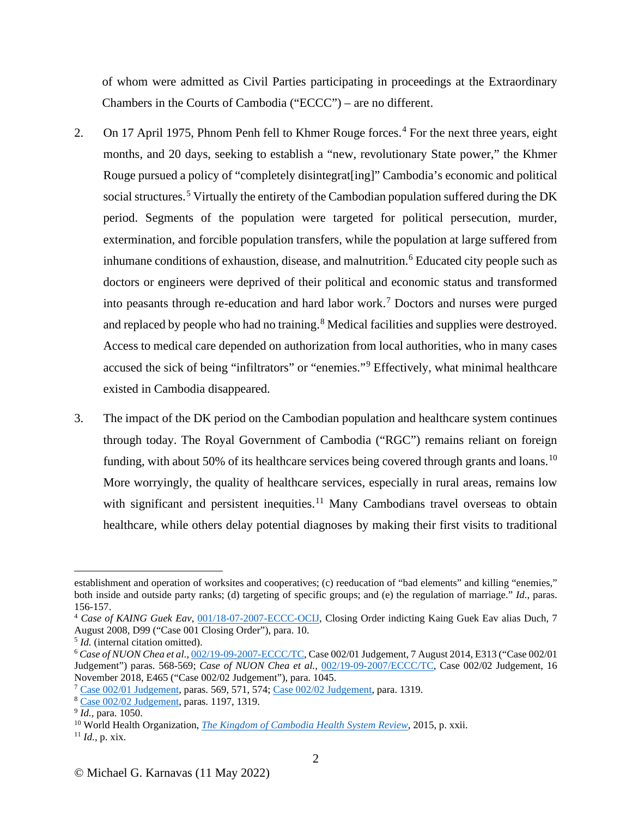of whom were admitted as Civil Parties participating in proceedings at the Extraordinary Chambers in the Courts of Cambodia ("ECCC") – are no different.

- 2. On 17 April 1975, Phnom Penh fell to Khmer Rouge forces.<sup>[4](#page-1-0)</sup> For the next three years, eight months, and 20 days, seeking to establish a "new, revolutionary State power," the Khmer Rouge pursued a policy of "completely disintegrat[ing]" Cambodia's economic and political social structures.<sup>[5](#page-1-1)</sup> Virtually the entirety of the Cambodian population suffered during the DK period. Segments of the population were targeted for political persecution, murder, extermination, and forcible population transfers, while the population at large suffered from inhumane conditions of exhaustion, disease, and malnutrition.<sup>[6](#page-1-2)</sup> Educated city people such as doctors or engineers were deprived of their political and economic status and transformed into peasants through re-education and hard labor work.[7](#page-1-3) Doctors and nurses were purged and replaced by people who had no training.<sup>[8](#page-1-4)</sup> Medical facilities and supplies were destroyed. Access to medical care depended on authorization from local authorities, who in many cases accused the sick of being "infiltrators" or "enemies."[9](#page-1-5) Effectively, what minimal healthcare existed in Cambodia disappeared.
- 3. The impact of the DK period on the Cambodian population and healthcare system continues through today. The Royal Government of Cambodia ("RGC") remains reliant on foreign funding, with about 50% of its healthcare services being covered through grants and loans.<sup>[10](#page-1-6)</sup> More worryingly, the quality of healthcare services, especially in rural areas, remains low with significant and persistent inequities.<sup>[11](#page-1-7)</sup> Many Cambodians travel overseas to obtain healthcare, while others delay potential diagnoses by making their first visits to traditional

establishment and operation of worksites and cooperatives; (c) reeducation of "bad elements" and killing "enemies," both inside and outside party ranks; (d) targeting of specific groups; and (e) the regulation of marriage." *Id*., paras.

<span id="page-1-0"></span><sup>&</sup>lt;sup>4</sup> *Case of KAING Guek Eav*, [001/18-07-2007-ECCC-OCIJ,](https://www.eccc.gov.kh/sites/default/files/documents/courtdoc/Closing_order_indicting_Kaing_Guek_Eav_ENG_0.pdf) Closing Order indicting Kaing Guek Eav alias Duch, 7 August 2008, D99 ("Case 001 Closing Order"), para. 10.<br>
<sup>5</sup> *Id.* (internal citation omitted).

<span id="page-1-1"></span>

<span id="page-1-2"></span><sup>&</sup>lt;sup>6</sup> Case of NUON Chea et al.[, 002/19-09-2007-ECCC/TC,](https://www.legal-tools.org/doc/4888de/pdf/) Case 002/01 Judgement, 7 August 2014, E313 ("Case 002/01 Judgement") paras. 568-569; *Case of NUON Chea et al.*, [002/19-09-2007/ECCC/TC,](https://www.eccc.gov.kh/en/document/court/case-00202-judgement) Case 002/02 Judgement, 16 November 2018, E465 ("Case 002/02 Judgement"), para. 1045.

<span id="page-1-3"></span> $\frac{7 \text{ Case } 002/01 \text{ Judgement}}{8 \text{ Case } 002/02 \text{ Judgement}}$ , paras. 569, 571, 574[; Case 002/02 Judgement,](https://www.eccc.gov.kh/en/document/court/case-00202-judgement) para. 1319.<br> $\frac{9 \text{ Id.}}{1 \text{ did.}}$  para. 1050.

<span id="page-1-4"></span>

<span id="page-1-5"></span>

<span id="page-1-7"></span><span id="page-1-6"></span><sup>&</sup>lt;sup>10</sup> World Health Organization[,](https://apps.who.int/iris/handle/10665/208213) *The Kingdom of Cambodia Health System Review*, 2015, p. xxii. <sup>11</sup> *Id.*, p. xix.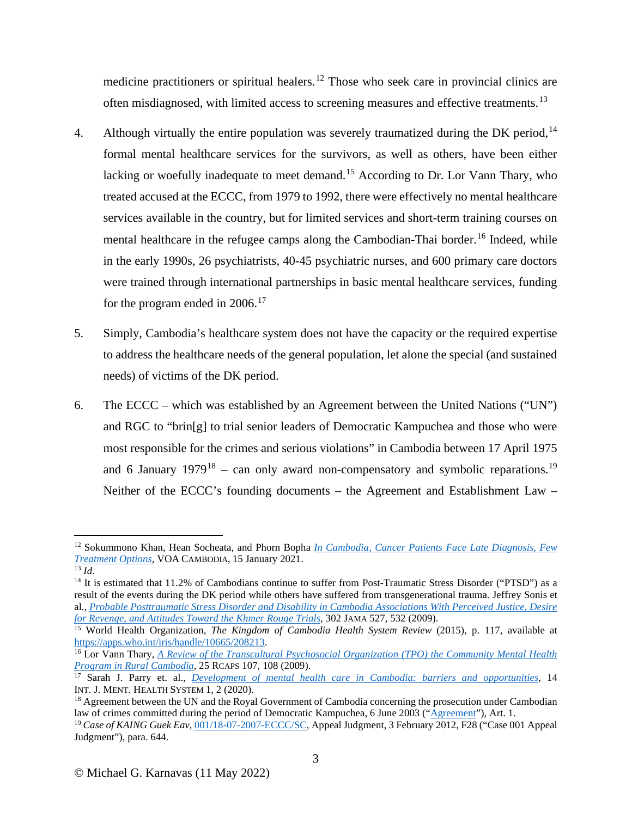medicine practitioners or spiritual healers.<sup>[12](#page-2-0)</sup> Those who seek care in provincial clinics are often misdiagnosed, with limited access to screening measures and effective treatments.<sup>[13](#page-2-1)</sup>

- 4. Although virtually the entire population was severely traumatized during the DK period,  $14$ formal mental healthcare services for the survivors, as well as others, have been either lacking or woefully inadequate to meet demand.<sup>[15](#page-2-3)</sup> According to Dr. Lor Vann Thary, who treated accused at the ECCC, from 1979 to 1992, there were effectively no mental healthcare services available in the country, but for limited services and short-term training courses on mental healthcare in the refugee camps along the Cambodian-Thai border.<sup>[16](#page-2-4)</sup> Indeed, while in the early 1990s, 26 psychiatrists, 40-45 psychiatric nurses, and 600 primary care doctors were trained through international partnerships in basic mental healthcare services, funding for the program ended in  $2006$ .<sup>[17](#page-2-5)</sup>
- 5. Simply, Cambodia's healthcare system does not have the capacity or the required expertise to address the healthcare needs of the general population, let alone the special (and sustained needs) of victims of the DK period.
- 6. The ECCC which was established by an Agreement between the United Nations ("UN") and RGC to "brin[g] to trial senior leaders of Democratic Kampuchea and those who were most responsible for the crimes and serious violations" in Cambodia between 17 April 1975 and 6 January  $1979^{18}$  $1979^{18}$  $1979^{18}$  – can only award non-compensatory and symbolic reparations.<sup>[19](#page-2-7)</sup> Neither of the ECCC's founding documents – the Agreement and Establishment Law –

<span id="page-2-0"></span><sup>12</sup> Sokummono Khan, Hean Socheata, and Phorn Bopha *[In Cambodia, Cancer Patients Face Late Diagnosis, Few](https://www.voacambodia.com/a/in-cambodia-cancer-patients-face-late-diagnosis-few-treatment-options/5739178.html)  Treatment Options*, VOA CAMBODIA, 15 January 2021. 13 *Id.*

<span id="page-2-2"></span><span id="page-2-1"></span><sup>&</sup>lt;sup>14</sup> It is estimated that 11.2% of Cambodians continue to suffer from Post-Traumatic Stress Disorder ("PTSD") as a result of the events during the DK period while others have suffered from transgenerational trauma. Jeffrey Sonis et al., *[Probable Posttraumatic Stress Disorder and Disability in Cambodia Associations With Perceived Justice, Desire](https://jamanetwork.com/journals/jama/fullarticle/184341)  [for Revenge, and Attitudes Toward the Khmer Rouge Trials](https://jamanetwork.com/journals/jama/fullarticle/184341)*, 302 JAMA 527, 532 (2009).

<span id="page-2-3"></span><sup>&</sup>lt;sup>15</sup> World Health Organization, *The Kingdom of Cambodia Health System Review* (2015), p. 117, available at https://apps.who.int/iris/handle/10665/208213.

<span id="page-2-4"></span><sup>&</sup>lt;sup>16</sup> Lor Vann Thary, *[A Review of the Transcultural Psychosocial Organization \(TPO\) the Community Mental Health](https://www.apu.ac.jp/rcaps/uploads/fckeditor/publications/journal/RJAPS_V25_Lor.pdf) <i>Program in Rural Cambodia*, 25 RCAPS 107, 108 (2009).

<span id="page-2-5"></span><sup>&</sup>lt;sup>17</sup> Sarah J. Parry et. al., *[Development of mental health care in Cambodia: barriers and opportunities](https://ijmhs.biomedcentral.com/track/pdf/10.1186/s13033-020-00385-4.pdf)*, 14 INT. J. MENT. HEALTH SYSTEM 1, 2 (2020).

<span id="page-2-6"></span><sup>&</sup>lt;sup>18</sup> Agreement between the UN and the Royal Government of Cambodia concerning the prosecution under Cambodian law of crimes committed during the period of Democratic Kampuchea, 6 June 2003 (["Agreement"](https://www.eccc.gov.kh/sites/default/files/legal-documents/Agreement_between_UN_and_RGC.pdf)), Art. 1.

<span id="page-2-7"></span><sup>&</sup>lt;sup>19</sup> Case of KAING Guek Eav[, 001/18-07-2007-ECCC/SC,](https://www.eccc.gov.kh/sites/default/files/documents/courtdoc/Case%20001AppealJudgementEn.pdf) Appeal Judgment, 3 February 2012, F28 ("Case 001 Appeal Judgment"), para. 644.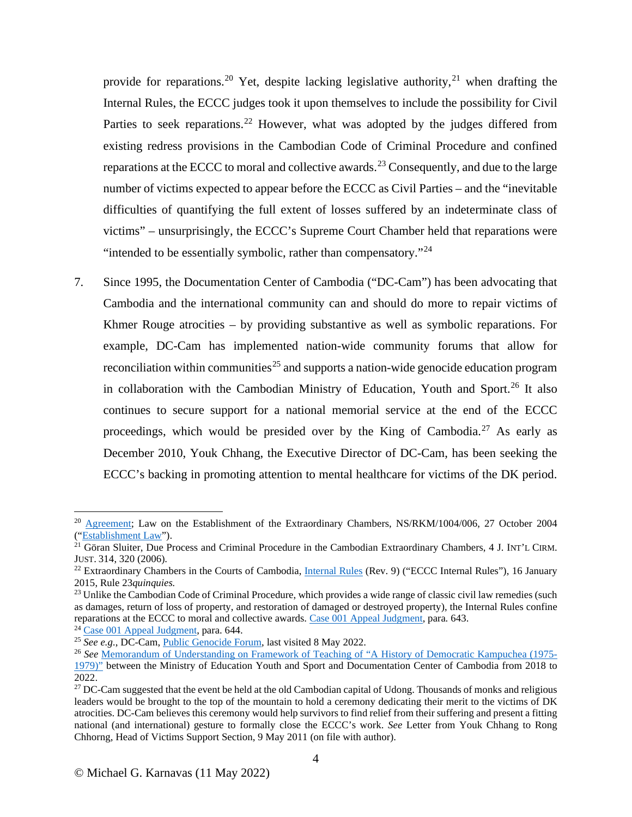provide for reparations.<sup>[20](#page-3-0)</sup> Yet, despite lacking legislative authority,<sup>[21](#page-3-1)</sup> when drafting the Internal Rules, the ECCC judges took it upon themselves to include the possibility for Civil Parties to seek reparations.<sup>[22](#page-3-2)</sup> However, what was adopted by the judges differed from existing redress provisions in the Cambodian Code of Criminal Procedure and confined reparations at the ECCC to moral and collective awards.<sup>[23](#page-3-3)</sup> Consequently, and due to the large number of victims expected to appear before the ECCC as Civil Parties – and the "inevitable difficulties of quantifying the full extent of losses suffered by an indeterminate class of victims" – unsurprisingly, the ECCC's Supreme Court Chamber held that reparations were "intended to be essentially symbolic, rather than compensatory."<sup>[24](#page-3-4)</sup>

7. Since 1995, the Documentation Center of Cambodia ("DC-Cam") has been advocating that Cambodia and the international community can and should do more to repair victims of Khmer Rouge atrocities – by providing substantive as well as symbolic reparations. For example, DC-Cam has implemented nation-wide community forums that allow for reconciliation within communities<sup>[25](#page-3-5)</sup> and supports a nation-wide genocide education program in collaboration with the Cambodian Ministry of Education, Youth and Sport.<sup>[26](#page-3-6)</sup> It also continues to secure support for a national memorial service at the end of the ECCC proceedings, which would be presided over by the King of Cambodia.<sup>[27](#page-3-7)</sup> As early as December 2010, Youk Chhang, the Executive Director of DC-Cam, has been seeking the ECCC's backing in promoting attention to mental healthcare for victims of the DK period.

<span id="page-3-0"></span><sup>&</sup>lt;sup>20</sup> [Agreement;](https://www.eccc.gov.kh/sites/default/files/legal-documents/Agreement_between_UN_and_RGC.pdf) Law on the Establishment of the Extraordinary Chambers, NS/RKM/1004/006, 27 October 2004 (["Establishment Law"](https://www.eccc.gov.kh/sites/default/files/legal-documents/KR_Law_as_amended_27_Oct_2004_Eng.pdf)).

<span id="page-3-1"></span><sup>&</sup>lt;sup>21</sup> Göran Sluiter, Due Process and Criminal Procedure in the Cambodian Extraordinary Chambers, 4 J. INT'L CIRM. JUST. 314, 320 (2006).<br><sup>22</sup> Extraordinary Chambers in the Courts of Cambodia, [Internal Rules](https://www.eccc.gov.kh/sites/default/files/legal-documents/Internal_Rules_Rev_9_Eng.pdf) (Rev. 9) ("ECCC Internal Rules"), 16 January

<span id="page-3-2"></span><sup>2015,</sup> Rule 23*quinquies.* 

<span id="page-3-3"></span><sup>&</sup>lt;sup>23</sup> Unlike the Cambodian Code of Criminal Procedure, which provides a wide range of classic civil law remedies (such as damages, return of loss of property, and restoration of damaged or destroyed property), the Internal Rules confine reparations at the ECCC to moral and collective awards. Case 001 Appeal Judgment, para. 643.

<span id="page-3-6"></span><span id="page-3-5"></span>

<span id="page-3-4"></span><sup>&</sup>lt;sup>24</sup> [Case 001 Appeal Judgment,](https://www.eccc.gov.kh/sites/default/files/documents/courtdoc/Case%20001AppealJudgementEn.pdf) para. 644.<br><sup>25</sup> See e.g., DC-Cam, <u>Public Genocide Forum</u>, last visited 8 May 2022.<br><sup>26</sup> See <u>[Memorandum of Understanding on Framework of Teaching of "A History of Democratic Kampuchea \(1975-](http://d.dccam.org/Projects/Genocide/pdf/MoU_DC-Cam_and_MoEY_2018-2022_EN.pdf)</u> [1979\)"](http://d.dccam.org/Projects/Genocide/pdf/MoU_DC-Cam_and_MoEY_2018-2022_EN.pdf) between the Ministry of Education Youth and Sport and Documentation Center of Cambodia from 2018 to 2022.

<span id="page-3-7"></span> $27$  DC-Cam suggested that the event be held at the old Cambodian capital of Udong. Thousands of monks and religious leaders would be brought to the top of the mountain to hold a ceremony dedicating their merit to the victims of DK atrocities. DC-Cam believes this ceremony would help survivors to find relief from their suffering and present a fitting national (and international) gesture to formally close the ECCC's work. *See* Letter from Youk Chhang to Rong Chhorng, Head of Victims Support Section, 9 May 2011 (on file with author).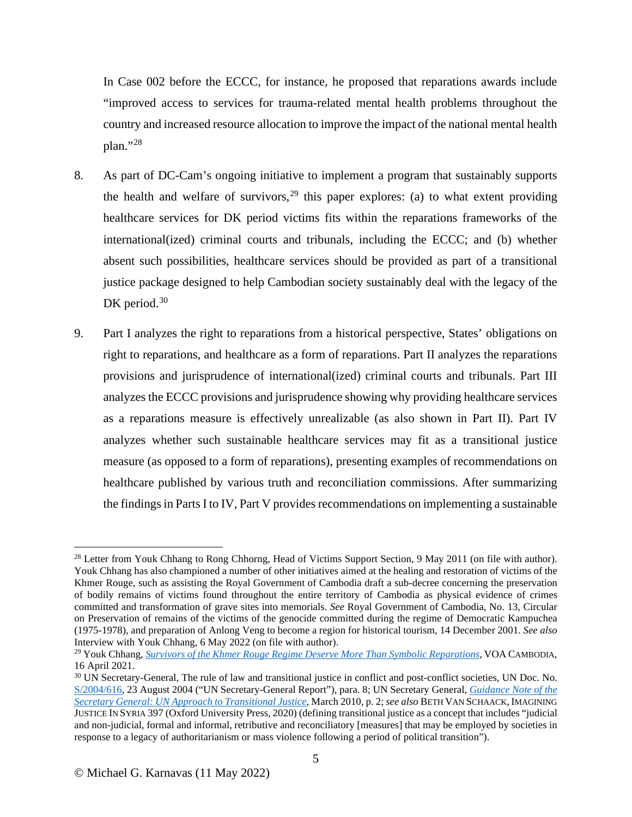In Case 002 before the ECCC, for instance, he proposed that reparations awards include "improved access to services for trauma-related mental health problems throughout the country and increased resource allocation to improve the impact of the national mental health plan."[28](#page-4-0)

- 8. As part of DC-Cam's ongoing initiative to implement a program that sustainably supports the health and welfare of survivors,  $29$  this paper explores: (a) to what extent providing healthcare services for DK period victims fits within the reparations frameworks of the international(ized) criminal courts and tribunals, including the ECCC; and (b) whether absent such possibilities, healthcare services should be provided as part of a transitional justice package designed to help Cambodian society sustainably deal with the legacy of the DK period. $30$
- 9. Part I analyzes the right to reparations from a historical perspective, States' obligations on right to reparations, and healthcare as a form of reparations. Part II analyzes the reparations provisions and jurisprudence of international(ized) criminal courts and tribunals. Part III analyzes the ECCC provisions and jurisprudence showing why providing healthcare services as a reparations measure is effectively unrealizable (as also shown in Part II). Part IV analyzes whether such sustainable healthcare services may fit as a transitional justice measure (as opposed to a form of reparations), presenting examples of recommendations on healthcare published by various truth and reconciliation commissions. After summarizing the findings in Parts I to IV, Part V provides recommendations on implementing a sustainable

<span id="page-4-0"></span><sup>&</sup>lt;sup>28</sup> Letter from Youk Chhang to Rong Chhorng, Head of Victims Support Section, 9 May 2011 (on file with author). Youk Chhang has also championed a number of other initiatives aimed at the healing and restoration of victims of the Khmer Rouge, such as assisting the Royal Government of Cambodia draft a sub-decree concerning the preservation of bodily remains of victims found throughout the entire territory of Cambodia as physical evidence of crimes committed and transformation of grave sites into memorials. *See* Royal Government of Cambodia, No. 13, Circular on Preservation of remains of the victims of the genocide committed during the regime of Democratic Kampuchea (1975-1978), and preparation of Anlong Veng to become a region for historical tourism, 14 December 2001. *See also* Interview with Youk Chhang, 6 May 2022 (on file with author).

<span id="page-4-1"></span><sup>29</sup> Youk Chhang, *[Survivors of the Khmer Rouge Regime Deserve More Than Symbolic Reparations](https://www.voacambodia.com/a/opinion-survivors-of-the-khmer-rouge-regime-deserve-more-than-symbolic-reparations-/5854334.html)*, VOA CAMBODIA, 16 April 2021.<br><sup>30</sup> UN Secretary-General, The rule of law and transitional justice in conflict and post-conflict societies, UN Doc. No.

<span id="page-4-2"></span>[S/2004/616,](https://undocs.org/S/2004/616) 23 August 2004 ("UN Secretary-General Report"), para. 8; UN Secretary General, *[Guidance Note of the](https://www.un.org/ruleoflaw/files/TJ_Guidance_Note_March_2010FINAL.pdf)  [Secretary General: UN Approach to Transitional Justice](https://www.un.org/ruleoflaw/files/TJ_Guidance_Note_March_2010FINAL.pdf)*, March 2010, p. 2; *see also* BETH VAN SCHAACK, IMAGINING JUSTICE IN SYRIA 397 (Oxford University Press, 2020) (defining transitional justice as a concept that includes "judicial and non-judicial, formal and informal, retributive and reconciliatory [measures] that may be employed by societies in response to a legacy of authoritarianism or mass violence following a period of political transition").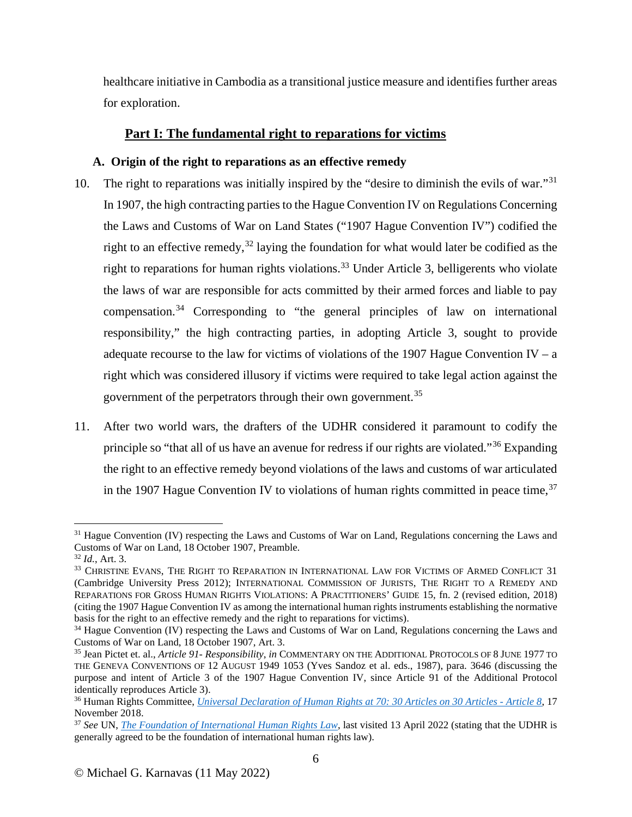healthcare initiative in Cambodia as a transitional justice measure and identifies further areas for exploration.

# **Part I: The fundamental right to reparations for victims**

# **A. Origin of the right to reparations as an effective remedy**

- 10. The right to reparations was initially inspired by the "desire to diminish the evils of war."[31](#page-5-0) In 1907, the high contracting parties to the Hague Convention IV on Regulations Concerning the Laws and Customs of War on Land States ("1907 Hague Convention IV") codified the right to an effective remedy,<sup>[32](#page-5-1)</sup> laying the foundation for what would later be codified as the right to reparations for human rights violations.<sup>[33](#page-5-2)</sup> Under Article 3, belligerents who violate the laws of war are responsible for acts committed by their armed forces and liable to pay compensation.[34](#page-5-3) Corresponding to "the general principles of law on international responsibility," the high contracting parties, in adopting Article 3, sought to provide adequate recourse to the law for victims of violations of the 1907 Hague Convention IV – a right which was considered illusory if victims were required to take legal action against the government of the perpetrators through their own government.<sup>[35](#page-5-4)</sup>
- 11. After two world wars, the drafters of the UDHR considered it paramount to codify the principle so "that all of us have an avenue for redress if our rights are violated."[36](#page-5-5) Expanding the right to an effective remedy beyond violations of the laws and customs of war articulated in the 1907 Hague Convention IV to violations of human rights committed in peace time,  $37$

<span id="page-5-0"></span> $31$  Hague Convention (IV) respecting the Laws and Customs of War on Land, Regulations concerning the Laws and Customs of War on Land, 18 October 1907. Preamble.

<span id="page-5-2"></span>

<span id="page-5-1"></span><sup>&</sup>lt;sup>32</sup> Id., Art. 3.<br><sup>33</sup> Christine Evans, The Right to Reparation in International Law for Victims of Armed Conflict 31 (Cambridge University Press 2012); INTERNATIONAL COMMISSION OF JURISTS, THE RIGHT TO A REMEDY AND REPARATIONS FOR GROSS HUMAN RIGHTS VIOLATIONS: A PRACTITIONERS' GUIDE 15, fn. 2 (revised edition, 2018) (citing the 1907 Hague Convention IV as among the international human rights instruments establishing the normative basis for the right to an effective remedy and the right to reparations for victims).

<span id="page-5-3"></span><sup>&</sup>lt;sup>34</sup> Hague Convention (IV) respecting the Laws and Customs of War on Land, Regulations concerning the Laws and Customs of War on Land, 18 October 1907, Art. 3.

<span id="page-5-4"></span><sup>35</sup> Jean Pictet et. al., *Article 91- Responsibility*, *in* COMMENTARY ON THE ADDITIONAL PROTOCOLS OF 8 JUNE 1977 TO THE GENEVA CONVENTIONS OF 12 AUGUST 1949 1053 (Yves Sandoz et al. eds., 1987), para. 3646 (discussing the purpose and intent of Article 3 of the 1907 Hague Convention IV, since Article 91 of the Additional Protocol identically reproduces Article 3).

<span id="page-5-5"></span><sup>36</sup> Human Rights Committee, *[Universal Declaration of Human Rights at 70: 30 Articles on 30 Articles -](https://www.ohchr.org/en/press-releases/2018/11/universal-declaration-human-rights-70-30-articles-30-articles-article-8?LangID=E&NewsID=23893) Article 8*, 17 November 2018.

<span id="page-5-6"></span><sup>37</sup> *See* UN, *[The Foundation of International Human Rights Law](https://www.un.org/en/about-us/udhr/foundation-of-international-human-rights-law)*, last visited 13 April 2022 (stating that the UDHR is generally agreed to be the foundation of international human rights law).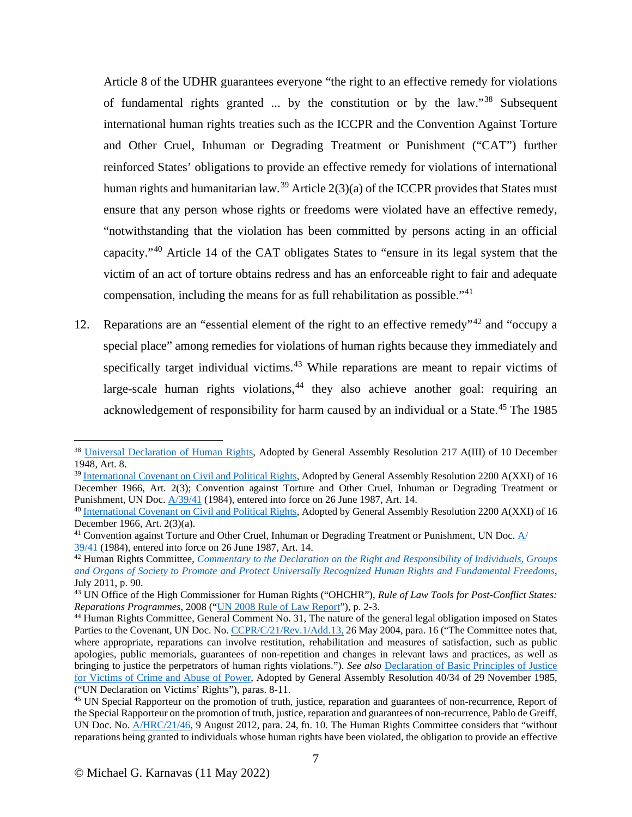Article 8 of the UDHR guarantees everyone "the right to an effective remedy for violations of fundamental rights granted ... by the constitution or by the law."[38](#page-6-0) Subsequent international human rights treaties such as the ICCPR and the Convention Against Torture and Other Cruel, Inhuman or Degrading Treatment or Punishment ("CAT") further reinforced States' obligations to provide an effective remedy for violations of international human rights and humanitarian law.<sup>[39](#page-6-1)</sup> Article  $2(3)(a)$  of the ICCPR provides that States must ensure that any person whose rights or freedoms were violated have an effective remedy, "notwithstanding that the violation has been committed by persons acting in an official capacity."[40](#page-6-2) Article 14 of the CAT obligates States to "ensure in its legal system that the victim of an act of torture obtains redress and has an enforceable right to fair and adequate compensation, including the means for as full rehabilitation as possible."[41](#page-6-3)

12. Reparations are an "essential element of the right to an effective remedy"<sup>[42](#page-6-4)</sup> and "occupy a special place" among remedies for violations of human rights because they immediately and specifically target individual victims.<sup>[43](#page-6-5)</sup> While reparations are meant to repair victims of large-scale human rights violations,  $44$  they also achieve another goal: requiring an acknowledgement of responsibility for harm caused by an individual or a State.<sup>[45](#page-6-7)</sup> The 1985

<span id="page-6-0"></span><sup>&</sup>lt;sup>38</sup> [Universal Declaration of Human Rights,](https://www.un.org/en/ga/search/view_doc.asp?symbol=A/RES/217(III)) Adopted by General Assembly Resolution 217 A(III) of 10 December 1948, Art. 8.

<span id="page-6-1"></span><sup>&</sup>lt;sup>39</sup> [International Covenant on Civil and Political Rights,](https://www.ohchr.org/en/professionalinterest/pages/ccpr.aspx) Adopted by General Assembly Resolution 2200 A(XXI) of 16 December 1966, Art. 2(3); Convention against Torture and Other Cruel, Inhuman or Degrading Treatment or Punishment, UN Doc. [A/39/41](https://www.ohchr.org/en/professionalinterest/pages/cat.aspx) (1984), entered into force on 26 June 1987, Art. 14.

<span id="page-6-2"></span><sup>&</sup>lt;sup>40</sup> [International Covenant on Civil and](https://www.ohchr.org/en/professionalinterest/pages/ccpr.aspx) Political Rights, Adopted by General Assembly Resolution 2200 A(XXI) of 16 December 1966, Art. 2(3)(a).

<span id="page-6-3"></span><sup>&</sup>lt;sup>41</sup> Convention against Torture and Other Cruel, Inhuman or Degrading Treatment or Punishment, UN Doc[. A/](https://www.ohchr.org/en/professionalinterest/pages/cat.aspx) 39/41 (1984), entered into force on 26 June 1987, Art. 14.<br><sup>42</sup> Human Rights Committee, *Commentary to the Declaration on the Right and Responsibility of Individuals, Groups* 

<span id="page-6-4"></span>*[and Organs of Society to Promote and Protect Universally Recognized Human Rights and Fundamental Freedoms,](https://www.ohchr.org/sites/default/files/Documents/Issues/Defenders/CommentarytoDeclarationondefendersJuly2011.pdf)*  July 2011, p. 90.

<span id="page-6-5"></span><sup>&</sup>lt;sup>43</sup> UN Office of the High Commissioner for Human Rights ("OHCHR"), *Rule of Law Tools for Post-Conflict States: Reparations Programmes*, 2008 ("<u>UN 2008 Rule of Law Report</u>"), p. 2-3.

<span id="page-6-6"></span><sup>&</sup>lt;sup>44</sup> Human Rights Committee, General Comment No. 31, The nature of the general legal obligation imposed on States Parties to the Covenant, UN Doc. No. [CCPR/C/21/Rev.1/Add.13,](https://undocs.org/CCPR/C/21/Rev.1/Add.13) 26 May 2004, para. 16 ("The Committee notes that, where appropriate, reparations can involve restitution, rehabilitation and measures of satisfaction, such as public apologies, public memorials, guarantees of non-repetition and changes in relevant laws and practices, as well as bringing to justice the perpetrators of human rights violations."). *See also* [Declaration of Basic Principles of Justice](https://documents-dds-ny.un.org/doc/RESOLUTION/GEN/NR0/477/41/IMG/NR047741.pdf?OpenElement)  [for Victims of Crime and Abuse of Power,](https://documents-dds-ny.un.org/doc/RESOLUTION/GEN/NR0/477/41/IMG/NR047741.pdf?OpenElement) Adopted by General Assembly Resolution 40/34 of 29 November 1985, ("UN Declaration on Victims' Rights"), paras. 8-11.<br><sup>45</sup> UN Special Rapporteur on the promotion of truth, justice, reparation and guarantees of non-recurrence, Report of

<span id="page-6-7"></span>the Special Rapporteur on the promotion of truth, justice, reparation and guarantees of non-recurrence, Pablo de Greiff, UN Doc. No.  $A/HRC/21/46$ , 9 August 2012, para. 24, fn. 10. The Human Rights Committee considers that "without reparations being granted to individuals whose human rights have been violated, the obligation to provide an effective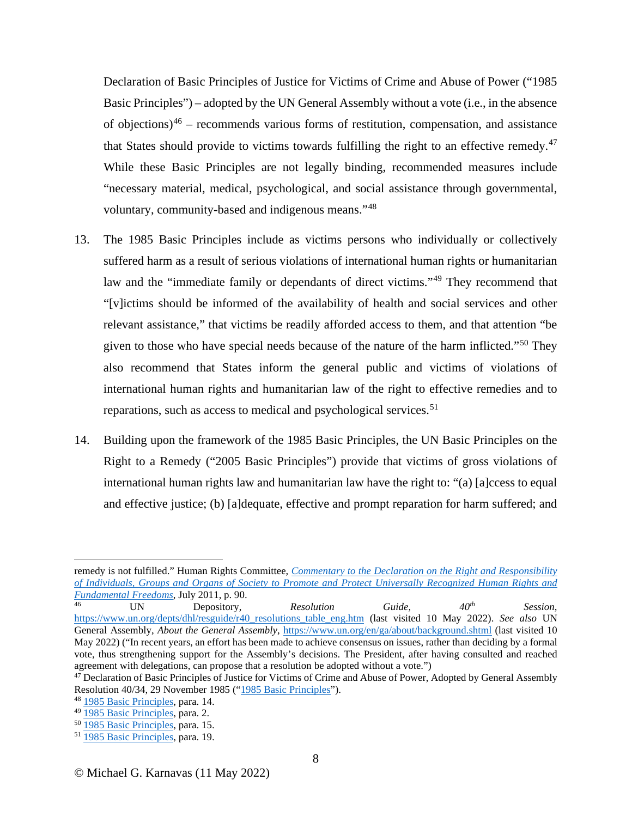Declaration of Basic Principles of Justice for Victims of Crime and Abuse of Power ("1985 Basic Principles") – adopted by the UN General Assembly without a vote (i.e., in the absence of objections) $46$  – recommends various forms of restitution, compensation, and assistance that States should provide to victims towards fulfilling the right to an effective remedy.<sup>[47](#page-7-1)</sup> While these Basic Principles are not legally binding, recommended measures include "necessary material, medical, psychological, and social assistance through governmental, voluntary, community-based and indigenous means."[48](#page-7-2)

- 13. The 1985 Basic Principles include as victims persons who individually or collectively suffered harm as a result of serious violations of international human rights or humanitarian law and the "immediate family or dependants of direct victims."[49](#page-7-3) They recommend that "[v]ictims should be informed of the availability of health and social services and other relevant assistance," that victims be readily afforded access to them, and that attention "be given to those who have special needs because of the nature of the harm inflicted."<sup>[50](#page-7-4)</sup> They also recommend that States inform the general public and victims of violations of international human rights and humanitarian law of the right to effective remedies and to reparations, such as access to medical and psychological services.<sup>[51](#page-7-5)</sup>
- 14. Building upon the framework of the 1985 Basic Principles, the UN Basic Principles on the Right to a Remedy ("2005 Basic Principles") provide that victims of gross violations of international human rights law and humanitarian law have the right to: "(a) [a]ccess to equal and effective justice; (b) [a]dequate, effective and prompt reparation for harm suffered; and

remedy is not fulfilled." Human Rights Committee, *[Commentary to the Declaration on the Right and Responsibility](https://www.ohchr.org/sites/default/files/Documents/Issues/Defenders/CommentarytoDeclarationondefendersJuly2011.pdf)  [of Individuals, Groups and Organs of Society to Promote and Protect Universally Recognized Human Rights and](https://www.ohchr.org/sites/default/files/Documents/Issues/Defenders/CommentarytoDeclarationondefendersJuly2011.pdf)  [Fundamental Freedoms](https://www.ohchr.org/sites/default/files/Documents/Issues/Defenders/CommentarytoDeclarationondefendersJuly2011.pdf)*, July 2011, p. 90.

<span id="page-7-0"></span><sup>46</sup> UN Depository, *Resolution Guide, 40th Session*, [https://www.un.org/depts/dhl/resguide/r40\\_resolutions\\_table\\_eng.htm](https://www.un.org/depts/dhl/resguide/r40_resolutions_table_eng.htm) (last visited 10 May 2022). *See also* UN General Assembly, *About the General Assembly*,<https://www.un.org/en/ga/about/background.shtml> (last visited 10 May 2022) ("In recent years, an effort has been made to achieve consensus on issues, rather than deciding by a formal vote, thus strengthening support for the Assembly's decisions. The President, after having consulted and reached agreement with delegations, can propose that a resolution be adopted without a vote.")

<span id="page-7-1"></span><sup>&</sup>lt;sup>47</sup> Declaration of Basic Principles of Justice for Victims of Crime and Abuse of Power, Adopted by General Assembly Resolution 40/34, 29 November 1985 (["1985 Basic Principles"](https://www.un.org/ga/search/view_doc.asp?symbol=A/RES/40/34)).

<span id="page-7-2"></span> $48 \frac{1985 \text{ Basic Principles}}{1985 \text{ Basic Principles}}$ , para. 14.

<span id="page-7-3"></span>

<span id="page-7-5"></span><span id="page-7-4"></span><sup>&</sup>lt;sup>50</sup> [1985 Basic Principles,](https://www.un.org/ga/search/view_doc.asp?symbol=A/RES/40/34) para. 15. <sup>51</sup> 1985 Basic Principles, para. 19.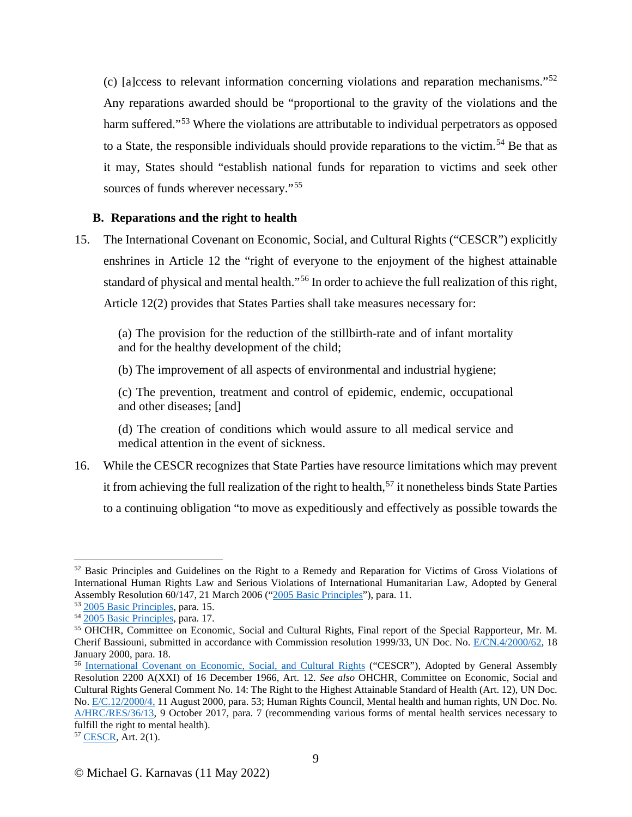(c) [a]ccess to relevant information concerning violations and reparation mechanisms."[52](#page-8-0) Any reparations awarded should be "proportional to the gravity of the violations and the harm suffered."<sup>[53](#page-8-1)</sup> Where the violations are attributable to individual perpetrators as opposed to a State, the responsible individuals should provide reparations to the victim.<sup>[54](#page-8-2)</sup> Be that as it may, States should "establish national funds for reparation to victims and seek other sources of funds wherever necessary."<sup>[55](#page-8-3)</sup>

## **B. Reparations and the right to health**

15. The International Covenant on Economic, Social, and Cultural Rights ("CESCR") explicitly enshrines in Article 12 the "right of everyone to the enjoyment of the highest attainable standard of physical and mental health."[56](#page-8-4) In order to achieve the full realization of this right, Article 12(2) provides that States Parties shall take measures necessary for:

(a) The provision for the reduction of the stillbirth-rate and of infant mortality and for the healthy development of the child;

(b) The improvement of all aspects of environmental and industrial hygiene;

(c) The prevention, treatment and control of epidemic, endemic, occupational and other diseases; [and]

(d) The creation of conditions which would assure to all medical service and medical attention in the event of sickness.

16. While the CESCR recognizes that State Parties have resource limitations which may prevent it from achieving the full realization of the right to health, [57](#page-8-5) it nonetheless binds State Parties to a continuing obligation "to move as expeditiously and effectively as possible towards the

<span id="page-8-0"></span><sup>52</sup> Basic Principles and Guidelines on the Right to a Remedy and Reparation for Victims of Gross Violations of International Human Rights Law and Serious Violations of International Humanitarian Law, Adopted by General Assembly Resolution 60/147, 21 March 2006 (["2005 Basic Principles"](https://www.ohchr.org/en/professionalinterest/pages/remedyandreparation.aspx)), para. 11.<br><sup>53</sup> 2005 Basic Principles, para. 15.

<span id="page-8-1"></span>

<span id="page-8-2"></span><sup>53</sup> [2005 Basic Principles,](https://www.ohchr.org/en/professionalinterest/pages/remedyandreparation.aspx) para. 15. 54 [2005 Basic Principles,](https://www.ohchr.org/en/professionalinterest/pages/remedyandreparation.aspx) para. 17.

<span id="page-8-3"></span><sup>55</sup> OHCHR, Committee on Economic, Social and Cultural Rights, Final report of the Special Rapporteur, Mr. M. Cherif Bassiouni, submitted in accordance with Commission resolution 1999/33, UN Doc. No. [E/CN.4/2000/62,](https://documents-dds-ny.un.org/doc/UNDOC/GEN/G00/102/36/PDF/G0010236.pdf?OpenElement) 18 January 2000, para. 18.

<span id="page-8-4"></span><sup>56</sup> [International Covenant on Economic, Social, and Cultural Rights](https://www.ohchr.org/en/professionalinterest/pages/cescr.aspx) ("CESCR"), Adopted by General Assembly Resolution 2200 A(XXI) of 16 December 1966, Art. 12. *See also* OHCHR, Committee on Economic, Social and Cultural Rights General Comment No. 14: The Right to the Highest Attainable Standard of Health (Art. 12), UN Doc. No. [E/C.12/2000/4,](https://www.refworld.org/pdfid/4538838d0.pdf) 11 August 2000, para. 53; Human Rights Council, Mental health and human rights, UN Doc. No. [A/HRC/RES/36/13,](https://undocs.org/A/HRC/RES/36/13) 9 October 2017, para. 7 (recommending various forms of mental health services necessary to fulfill the right to mental health).

<span id="page-8-5"></span><sup>57</sup> [CESCR,](https://www.ohchr.org/en/professionalinterest/pages/cescr.aspx) Art. 2(1).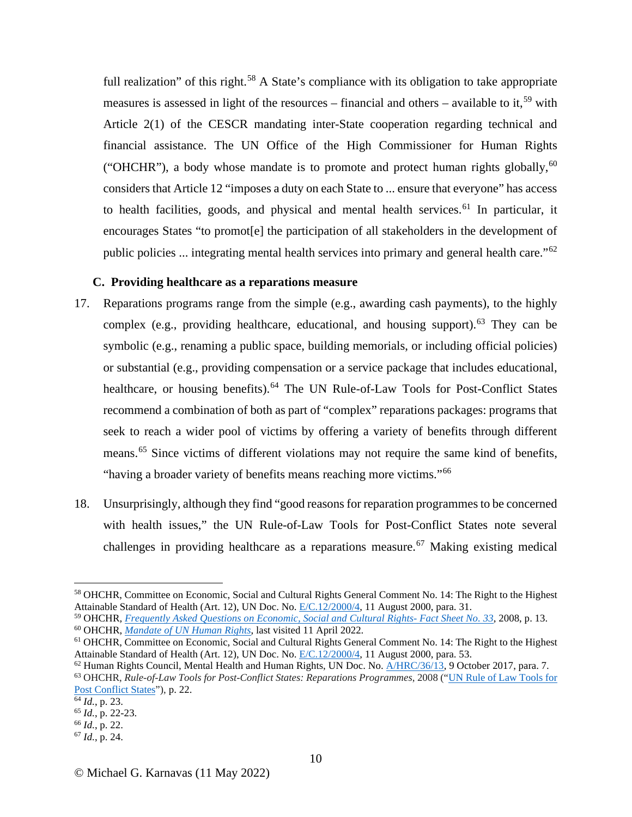full realization" of this right.<sup>[58](#page-9-0)</sup> A State's compliance with its obligation to take appropriate measures is assessed in light of the resources – financial and others – available to it,<sup>[59](#page-9-1)</sup> with Article 2(1) of the CESCR mandating inter-State cooperation regarding technical and financial assistance. The UN Office of the High Commissioner for Human Rights ("OHCHR"), a body whose mandate is to promote and protect human rights globally,  $60$ considers that Article 12 "imposes a duty on each State to ... ensure that everyone" has access to health facilities, goods, and physical and mental health services. [61](#page-9-3) In particular, it encourages States "to promot[e] the participation of all stakeholders in the development of public policies ... integrating mental health services into primary and general health care."[62](#page-9-4)

### **C. Providing healthcare as a reparations measure**

- 17. Reparations programs range from the simple (e.g., awarding cash payments), to the highly complex (e.g., providing healthcare, educational, and housing support).<sup>[63](#page-9-5)</sup> They can be symbolic (e.g., renaming a public space, building memorials, or including official policies) or substantial (e.g., providing compensation or a service package that includes educational, healthcare, or housing benefits).<sup>[64](#page-9-6)</sup> The UN Rule-of-Law Tools for Post-Conflict States recommend a combination of both as part of "complex" reparations packages: programs that seek to reach a wider pool of victims by offering a variety of benefits through different means.<sup>[65](#page-9-7)</sup> Since victims of different violations may not require the same kind of benefits, "having a broader variety of benefits means reaching more victims."<sup>[66](#page-9-8)</sup>
- 18. Unsurprisingly, although they find "good reasons for reparation programmesto be concerned with health issues," the UN Rule-of-Law Tools for Post-Conflict States note several challenges in providing healthcare as a reparations measure.<sup>[67](#page-9-9)</sup> Making existing medical

<span id="page-9-0"></span><sup>58</sup> OHCHR, Committee on Economic, Social and Cultural Rights General Comment No. 14: The Right to the Highest Attainable Standard of Health (Art. 12), UN Doc. No. [E/C.12/2000/4,](https://www.refworld.org/pdfid/4538838d0.pdf) 11 August 2000, para. 31.

<span id="page-9-2"></span><span id="page-9-1"></span><sup>59</sup> OHCHR*, Frequently Asked Questions on Economic, Social and Cultural Rights- Fact Sheet No. 33*[,](https://www.ohchr.org/Documents/Issues/ESCR/FAQ%20on%20ESCR-en.pdf) 2008, p. 13. 60 OHCHR, *[Mandate of UN Human Rights](https://www.ohchr.org/EN/ABOUTUS/Pages/Mandate.aspx)*, last visited 11 April 2022.

<span id="page-9-3"></span><sup>&</sup>lt;sup>61</sup> OHCHR, Committee on Economic, Social and Cultural Rights General Comment No. 14: The Right to the Highest Attainable Standard of Health (Art. 12), UN Doc. No. [E/C.12/2000/4,](https://www.refworld.org/pdfid/4538838d0.pdf) 11 August 2000, para. 53.

<span id="page-9-4"></span> $62$  Human Rights Council, Mental Health and Human Rights, UN Doc. No.  $\triangle/HRC/36/13$ , 9 October 2017, para. 7.

<span id="page-9-5"></span><sup>63</sup> OHCHR, *Rule-of-Law Tools for Post-Conflict States: Reparations Programmes*, 2008 (["UN Rule of Law Tools for](https://www.ohchr.org/sites/default/files/Documents/Publications/ReparationsProgrammes.pdf)  [Post Conflict States"](https://www.ohchr.org/sites/default/files/Documents/Publications/ReparationsProgrammes.pdf)), p. 22.<br> $\frac{64}{1}$ *ld.*, p. 23.

<span id="page-9-6"></span>

<span id="page-9-7"></span><sup>64</sup> *Id.*, p. 23. 65 *Id.*, p. 22-23. 66 *Id.*, p. 22.

<span id="page-9-8"></span>

<span id="page-9-9"></span><sup>67</sup> *Id.*, p. 24.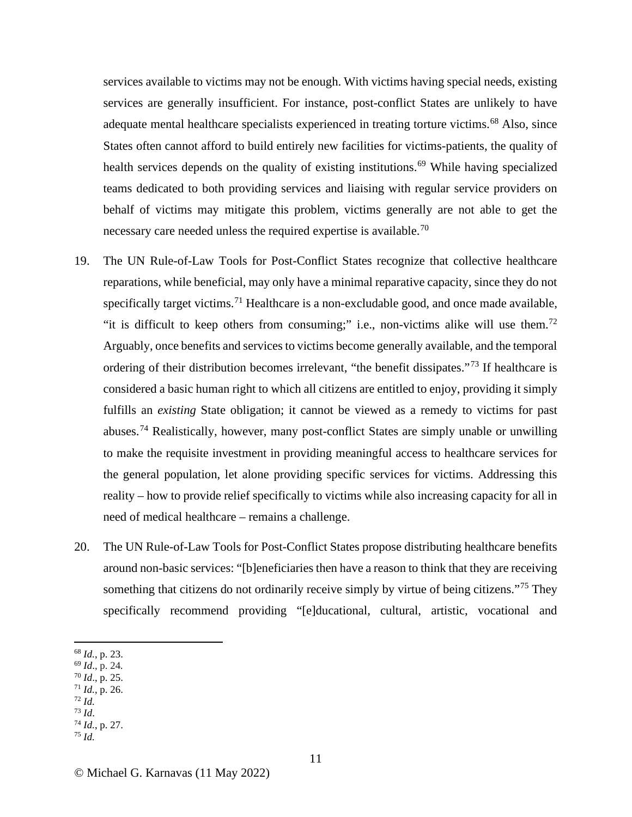services available to victims may not be enough. With victims having special needs, existing services are generally insufficient. For instance, post-conflict States are unlikely to have adequate mental healthcare specialists experienced in treating torture victims.<sup>[68](#page-10-0)</sup> Also, since States often cannot afford to build entirely new facilities for victims-patients, the quality of health services depends on the quality of existing institutions.<sup>[69](#page-10-1)</sup> While having specialized teams dedicated to both providing services and liaising with regular service providers on behalf of victims may mitigate this problem, victims generally are not able to get the necessary care needed unless the required expertise is available.<sup>[70](#page-10-2)</sup>

- 19. The UN Rule-of-Law Tools for Post-Conflict States recognize that collective healthcare reparations, while beneficial, may only have a minimal reparative capacity, since they do not specifically target victims.<sup>[71](#page-10-3)</sup> Healthcare is a non-excludable good, and once made available, "it is difficult to keep others from consuming;" i.e., non-victims alike will use them.<sup>[72](#page-10-4)</sup> Arguably, once benefits and services to victims become generally available, and the temporal ordering of their distribution becomes irrelevant, "the benefit dissipates."<sup>[73](#page-10-5)</sup> If healthcare is considered a basic human right to which all citizens are entitled to enjoy, providing it simply fulfills an *existing* State obligation; it cannot be viewed as a remedy to victims for past abuses.<sup>[74](#page-10-6)</sup> Realistically, however, many post-conflict States are simply unable or unwilling to make the requisite investment in providing meaningful access to healthcare services for the general population, let alone providing specific services for victims. Addressing this reality – how to provide relief specifically to victims while also increasing capacity for all in need of medical healthcare – remains a challenge.
- 20. The UN Rule-of-Law Tools for Post-Conflict States propose distributing healthcare benefits around non-basic services: "[b]eneficiaries then have a reason to think that they are receiving something that citizens do not ordinarily receive simply by virtue of being citizens."<sup>[75](#page-10-7)</sup> They specifically recommend providing "[e]ducational, cultural, artistic, vocational and

- <span id="page-10-2"></span><span id="page-10-1"></span><sup>70</sup> *Id*., p. 25.
- <span id="page-10-3"></span><sup>71</sup> *Id.*, p. 26. 72 *Id.*
- <span id="page-10-5"></span><span id="page-10-4"></span><sup>73</sup> *Id*.
- <span id="page-10-6"></span><sup>74</sup> *Id.*, p. 27.
- <span id="page-10-7"></span><sup>75</sup> *Id.*

© Michael G. Karnavas (11 May 2022)

<span id="page-10-0"></span><sup>68</sup> *Id.*, p. 23. 69 *Id*., p. 24*.*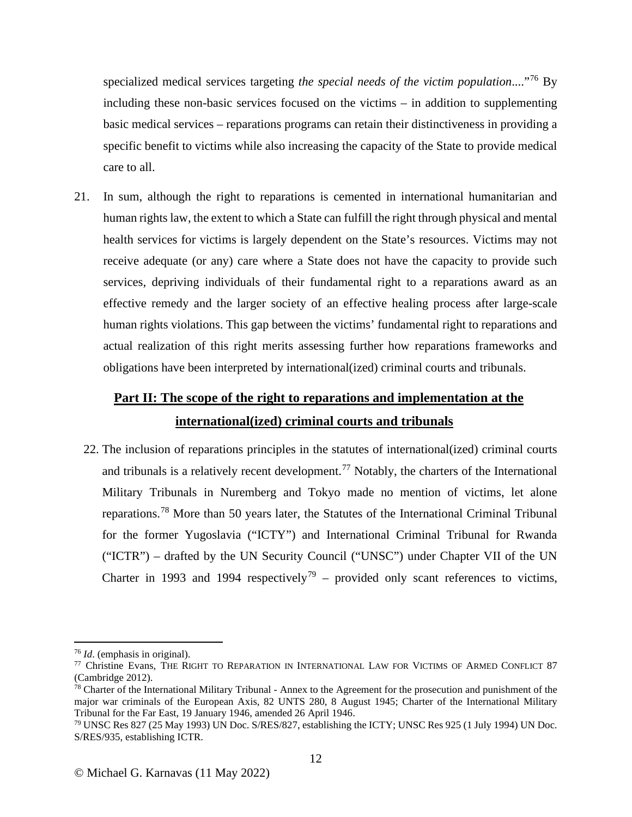specialized medical services targeting *the special needs of the victim population*...."[76](#page-11-0) By including these non-basic services focused on the victims – in addition to supplementing basic medical services – reparations programs can retain their distinctiveness in providing a specific benefit to victims while also increasing the capacity of the State to provide medical care to all.

21. In sum, although the right to reparations is cemented in international humanitarian and human rights law, the extent to which a State can fulfill the right through physical and mental health services for victims is largely dependent on the State's resources. Victims may not receive adequate (or any) care where a State does not have the capacity to provide such services, depriving individuals of their fundamental right to a reparations award as an effective remedy and the larger society of an effective healing process after large-scale human rights violations. This gap between the victims' fundamental right to reparations and actual realization of this right merits assessing further how reparations frameworks and obligations have been interpreted by international(ized) criminal courts and tribunals.

# **Part II: The scope of the right to reparations and implementation at the international(ized) criminal courts and tribunals**

22. The inclusion of reparations principles in the statutes of international(ized) criminal courts and tribunals is a relatively recent development.[77](#page-11-1) Notably, the charters of the International Military Tribunals in Nuremberg and Tokyo made no mention of victims, let alone reparations.[78](#page-11-2) More than 50 years later, the Statutes of the International Criminal Tribunal for the former Yugoslavia ("ICTY") and International Criminal Tribunal for Rwanda ("ICTR") – drafted by the UN Security Council ("UNSC") under Chapter VII of the UN Charter in 1993 and 1994 respectively<sup>[79](#page-11-3)</sup> – provided only scant references to victims,

<span id="page-11-1"></span><span id="page-11-0"></span><sup>&</sup>lt;sup>76</sup> *Id.* (emphasis in original).<br><sup>77</sup> Christine Evans, THE RIGHT TO REPARATION IN INTERNATIONAL LAW FOR VICTIMS OF ARMED CONFLICT 87 (Cambridge 2012).

<span id="page-11-2"></span><sup>&</sup>lt;sup>78</sup> Charter of the International Military Tribunal - Annex to the Agreement for the prosecution and punishment of the major war criminals of the European Axis, 82 UNTS 280, 8 August 1945; Charter of the International Military<br>Tribunal for the Far East, 19 January 1946, amended 26 April 1946.

<span id="page-11-3"></span><sup>&</sup>lt;sup>79</sup> UNSC Res 827 (25 May 1993) UN Doc. S/RES/827, establishing the ICTY; UNSC Res 925 (1 July 1994) UN Doc. S/RES/935, establishing ICTR.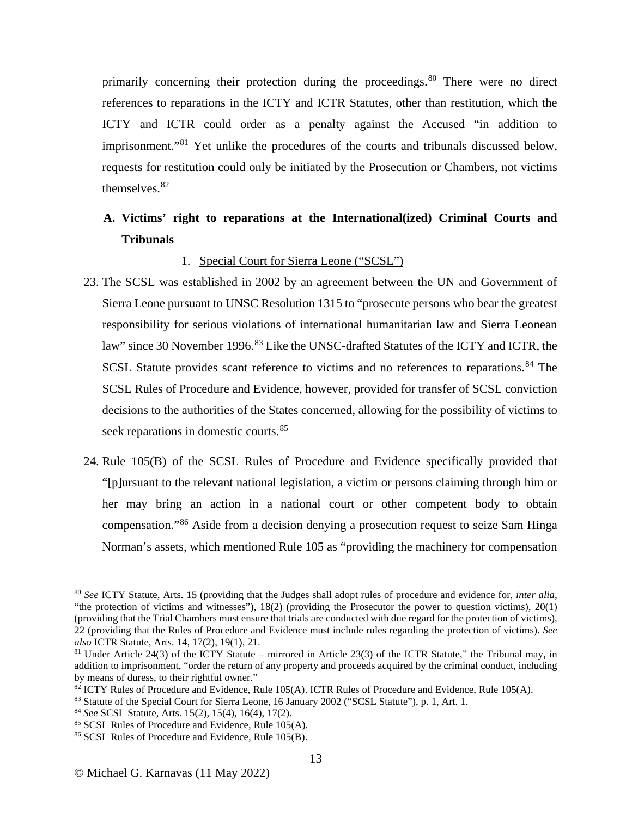primarily concerning their protection during the proceedings.<sup>[80](#page-12-0)</sup> There were no direct references to reparations in the ICTY and ICTR Statutes, other than restitution, which the ICTY and ICTR could order as a penalty against the Accused "in addition to imprisonment."[81](#page-12-1) Yet unlike the procedures of the courts and tribunals discussed below, requests for restitution could only be initiated by the Prosecution or Chambers, not victims themselves.<sup>[82](#page-12-2)</sup>

# **A. Victims' right to reparations at the International(ized) Criminal Courts and Tribunals**

## 1. Special Court for Sierra Leone ("SCSL")

- 23. The SCSL was established in 2002 by an agreement between the UN and Government of Sierra Leone pursuant to UNSC Resolution 1315 to "prosecute persons who bear the greatest responsibility for serious violations of international humanitarian law and Sierra Leonean law" since 30 November 1996.<sup>[83](#page-12-3)</sup> Like the UNSC-drafted Statutes of the ICTY and ICTR, the SCSL Statute provides scant reference to victims and no references to reparations.<sup>[84](#page-12-4)</sup> The SCSL Rules of Procedure and Evidence, however, provided for transfer of SCSL conviction decisions to the authorities of the States concerned, allowing for the possibility of victims to seek reparations in domestic courts.<sup>[85](#page-12-5)</sup>
- 24. Rule 105(B) of the SCSL Rules of Procedure and Evidence specifically provided that "[p]ursuant to the relevant national legislation, a victim or persons claiming through him or her may bring an action in a national court or other competent body to obtain compensation."[86](#page-12-6) Aside from a decision denying a prosecution request to seize Sam Hinga Norman's assets, which mentioned Rule 105 as "providing the machinery for compensation

<span id="page-12-0"></span><sup>80</sup> *See* ICTY Statute, Arts. 15 (providing that the Judges shall adopt rules of procedure and evidence for, *inter alia*, "the protection of victims and witnesses"),  $18(2)$  (providing the Prosecutor the power to question victims),  $20(1)$ (providing that the Trial Chambers must ensure that trials are conducted with due regard for the protection of victims), 22 (providing that the Rules of Procedure and Evidence must include rules regarding the protection of victims). *See* 

<span id="page-12-1"></span><sup>&</sup>lt;sup>81</sup> Under Article 24(3) of the ICTY Statute – mirrored in Article 23(3) of the ICTR Statute," the Tribunal may, in addition to imprisonment, "order the return of any property and proceeds acquired by the criminal conduct, including by means of duress, to their rightful owner."

<span id="page-12-2"></span><sup>&</sup>lt;sup>82</sup> ICTY Rules of Procedure and Evidence, Rule 105(A). ICTR Rules of Procedure and Evidence, Rule 105(A).<br><sup>83</sup> Statute of the Special Court for Sierra Leone, 16 January 2002 ("SCSL Statute"), p. 1, Art. 1.<br><sup>84</sup> *See* SCS

<span id="page-12-3"></span>

<span id="page-12-4"></span>

<span id="page-12-5"></span>

<span id="page-12-6"></span>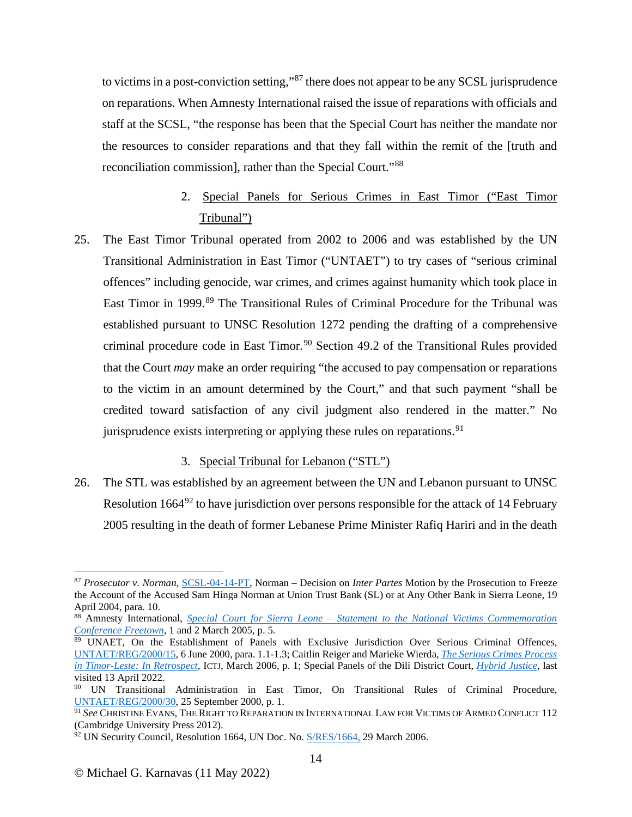to victims in a post-conviction setting,"[87](#page-13-0) there does not appear to be any SCSL jurisprudence on reparations. When Amnesty International raised the issue of reparations with officials and staff at the SCSL, "the response has been that the Special Court has neither the mandate nor the resources to consider reparations and that they fall within the remit of the [truth and reconciliation commission], rather than the Special Court."[88](#page-13-1)

# 2. Special Panels for Serious Crimes in East Timor ("East Timor Tribunal")

25. The East Timor Tribunal operated from 2002 to 2006 and was established by the UN Transitional Administration in East Timor ("UNTAET") to try cases of "serious criminal offences" including genocide, war crimes, and crimes against humanity which took place in East Timor in 1999.<sup>[89](#page-13-2)</sup> The Transitional Rules of Criminal Procedure for the Tribunal was established pursuant to UNSC Resolution 1272 pending the drafting of a comprehensive criminal procedure code in East Timor.<sup>[90](#page-13-3)</sup> Section 49.2 of the Transitional Rules provided that the Court *may* make an order requiring "the accused to pay compensation or reparations to the victim in an amount determined by the Court," and that such payment "shall be credited toward satisfaction of any civil judgment also rendered in the matter." No jurisprudence exists interpreting or applying these rules on reparations.<sup>[91](#page-13-4)</sup>

## 3. Special Tribunal for Lebanon ("STL")

26. The STL was established by an agreement between the UN and Lebanon pursuant to UNSC Resolution 1664 $92$  to have jurisdiction over persons responsible for the attack of 14 February 2005 resulting in the death of former Lebanese Prime Minister Rafiq Hariri and in the death

<span id="page-13-0"></span><sup>87</sup> *Prosecutor v. Norman*, [SCSL-04-14-PT,](http://www.rscsl.org/Documents/Decisions/CDF/059/SCSL-04-14-PT-059.doc) Norman – Decision on *Inter Partes* Motion by the Prosecution to Freeze the Account of the Accused Sam Hinga Norman at Union Trust Bank (SL) or at Any Other Bank in Sierra Leone, 19 April 2004, para. 10.

<span id="page-13-1"></span><sup>88</sup> Amnesty International, *Special Court for Sierra Leone – [Statement to the National Victims Commemoration](https://www.amnesty.org/en/wp-content/uploads/2021/08/afr510022005en.pdf)  [Conference Freetown,](https://www.amnesty.org/en/wp-content/uploads/2021/08/afr510022005en.pdf)* 1 and 2 March 2005, p. 5.

<span id="page-13-2"></span><sup>89</sup> UNAET, On the Establishment of Panels with Exclusive Jurisdiction Over Serious Criminal Offences, [UNTAET/REG/2000/15,](https://www.legal-tools.org/doc/c082f8/pdf/) 6 June 2000, para. 1.1-1.3; Caitlin Reiger and Marieke Wierda, *[The Serious Crimes Process](https://ictj.org/sites/default/files/ICTJ-TimorLeste-Criminal-Process-2006-English.pdf)  [in Timor-Leste: In Retrospect,](https://ictj.org/sites/default/files/ICTJ-TimorLeste-Criminal-Process-2006-English.pdf)* ICTJ, March 2006, p. 1; Special Panels of the Dili District Court, *[Hybrid Justice](https://hybridjustice.com/special-panels-of-the-dili-district-court/)*, last visited 13 April 2022.

<span id="page-13-3"></span><sup>&</sup>lt;sup>90</sup> UN Transitional Administration in East Timor, On Transitional Rules of Criminal Procedure, [UNTAET/REG/2000/30,](https://www.legal-tools.org/doc/f3e141/pdf/) 25 September 2000, p. 1.

<span id="page-13-4"></span><sup>91</sup> *See* CHRISTINE EVANS, THE RIGHT TO REPARATION IN INTERNATIONAL LAW FOR VICTIMS OF ARMED CONFLICT 112 (Cambridge University Press 2012).

<span id="page-13-5"></span> $92$  UN Security Council, Resolution 1664, UN Doc. No.  $\frac{S/RES/1664}{2}$ , 29 March 2006.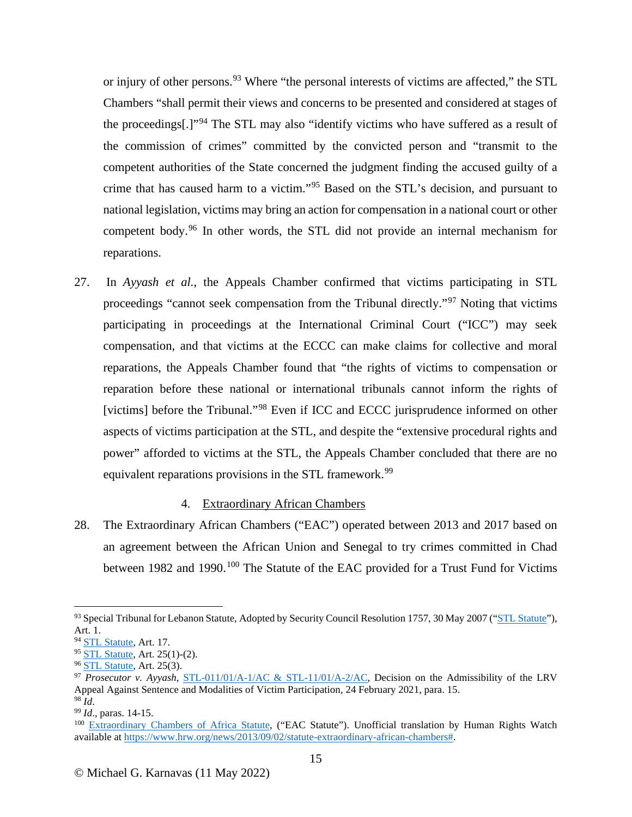or injury of other persons.<sup>[93](#page-14-0)</sup> Where "the personal interests of victims are affected," the STL Chambers "shall permit their views and concerns to be presented and considered at stages of the proceedings[.]"[94](#page-14-1) The STL may also "identify victims who have suffered as a result of the commission of crimes" committed by the convicted person and "transmit to the competent authorities of the State concerned the judgment finding the accused guilty of a crime that has caused harm to a victim."[95](#page-14-2) Based on the STL's decision, and pursuant to national legislation, victims may bring an action for compensation in a national court or other competent body.[96](#page-14-3) In other words, the STL did not provide an internal mechanism for reparations.

27. In *Ayyash et al.*, the Appeals Chamber confirmed that victims participating in STL proceedings "cannot seek compensation from the Tribunal directly."<sup>[97](#page-14-4)</sup> Noting that victims participating in proceedings at the International Criminal Court ("ICC") may seek compensation, and that victims at the ECCC can make claims for collective and moral reparations, the Appeals Chamber found that "the rights of victims to compensation or reparation before these national or international tribunals cannot inform the rights of [victims] before the Tribunal."<sup>[98](#page-14-5)</sup> Even if ICC and ECCC jurisprudence informed on other aspects of victims participation at the STL, and despite the "extensive procedural rights and power" afforded to victims at the STL, the Appeals Chamber concluded that there are no equivalent reparations provisions in the STL framework.<sup>[99](#page-14-6)</sup>

## 4. Extraordinary African Chambers

28. The Extraordinary African Chambers ("EAC") operated between 2013 and 2017 based on an agreement between the African Union and Senegal to try crimes committed in Chad between 1982 and 1990.<sup>[100](#page-14-7)</sup> The Statute of the EAC provided for a Trust Fund for Victims

<span id="page-14-0"></span><sup>&</sup>lt;sup>93</sup> Special Tribunal for Lebanon Statute, Adopted by Security Council Resolution 1757, 30 May 2007 (["STL Statute"](https://www.stl-tsl.org/sites/default/files/documents/legal-documents/statute/Statute_of_the_Special_Tribunal_for_Lebanon___English.pdf)), Art. 1.

<span id="page-14-2"></span><span id="page-14-1"></span><sup>&</sup>lt;sup>94</sup> [STL Statute,](https://www.stl-tsl.org/sites/default/files/documents/legal-documents/statute/Statute_of_the_Special_Tribunal_for_Lebanon___English.pdf) Art. 17.<br><sup>95</sup> STL Statute, Art. 25(1)-(2).

<span id="page-14-4"></span><span id="page-14-3"></span><sup>&</sup>lt;sup>96</sup> [STL Statute,](https://www.stl-tsl.org/sites/default/files/documents/legal-documents/statute/Statute_of_the_Special_Tribunal_for_Lebanon___English.pdf) Art. 25(3).<br><sup>97</sup> *Prosecutor v. Ayyash, STL-011/01/A-1/AC & STL-11/01/A-2/AC*, Decision on the Admissibility of the LRV Appeal Against Sentence and Modalities of Victim Participation, 24 February 2021, para. 15.

<span id="page-14-6"></span><span id="page-14-5"></span><sup>&</sup>lt;sup>98</sup> *Id.* paras. 14-15.

<span id="page-14-7"></span><sup>&</sup>lt;sup>100</sup> [Extraordinary Chambers of Africa Statute,](http://www.chambresafricaines.org/pdf/Accord%20UA-Senegal%20Chambres%20africaines%20extra%20Aout%202012.pdf) ("EAC Statute"). Unofficial translation by Human Rights Watch available at [https://www.hrw.org/news/2013/09/02/statute-extraordinary-african-chambers#.](https://www.hrw.org/news/2013/09/02/statute-extraordinary-african-chambers)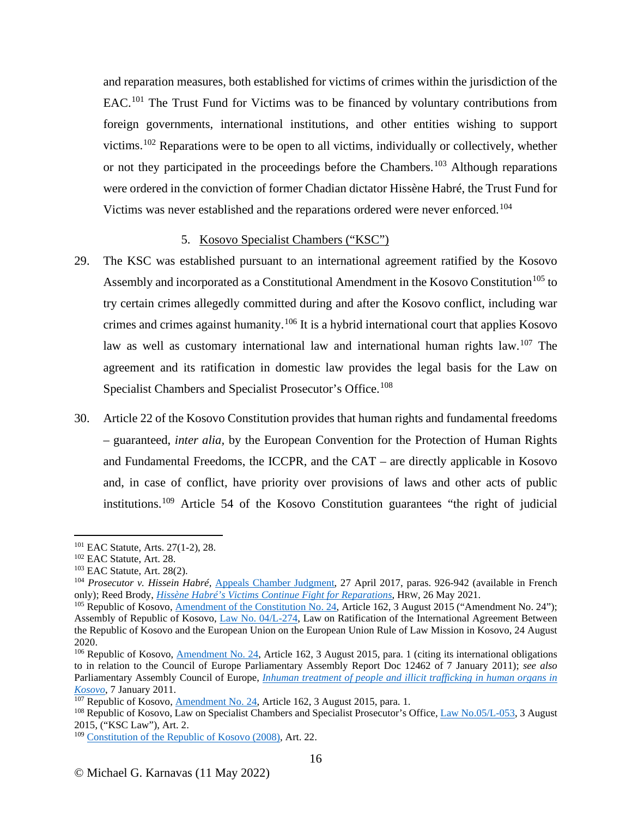and reparation measures, both established for victims of crimes within the jurisdiction of the EAC.[101](#page-15-0) The Trust Fund for Victims was to be financed by voluntary contributions from foreign governments, international institutions, and other entities wishing to support victims.[102](#page-15-1) Reparations were to be open to all victims, individually or collectively, whether or not they participated in the proceedings before the Chambers.<sup>[103](#page-15-2)</sup> Although reparations were ordered in the conviction of former Chadian dictator Hissène Habré, the Trust Fund for Victims was never established and the reparations ordered were never enforced.<sup>[104](#page-15-3)</sup>

#### 5. Kosovo Specialist Chambers ("KSC")

- 29. The KSC was established pursuant to an international agreement ratified by the Kosovo Assembly and incorporated as a Constitutional Amendment in the Kosovo Constitution<sup>[105](#page-15-4)</sup> to try certain crimes allegedly committed during and after the Kosovo conflict, including war crimes and crimes against humanity.<sup>[106](#page-15-5)</sup> It is a hybrid international court that applies Kosovo law as well as customary international law and international human rights law.<sup>[107](#page-15-6)</sup> The agreement and its ratification in domestic law provides the legal basis for the Law on Specialist Chambers and Specialist Prosecutor's Office.<sup>[108](#page-15-7)</sup>
- 30. Article 22 of the Kosovo Constitution provides that human rights and fundamental freedoms – guaranteed, *inter alia,* by the European Convention for the Protection of Human Rights and Fundamental Freedoms, the ICCPR, and the CAT – are directly applicable in Kosovo and, in case of conflict, have priority over provisions of laws and other acts of public institutions.[109](#page-15-8) Article 54 of the Kosovo Constitution guarantees "the right of judicial

<span id="page-15-3"></span><span id="page-15-2"></span>

<span id="page-15-1"></span><span id="page-15-0"></span><sup>101</sup> EAC Statute, Arts. 27(1-2), 28.<br>
102 EAC Statute, Art. 28.<br>
103 EAC Statute, Art. 28(2).<br>
104 *Prosecutor v. Hissein Habré*, [Appeals Chamber Judgment,](http://www.chambresafricaines.org/pdf/Arr%C3%AAt_int%C3%A9gral.pdf) 27 April 2017, paras. 926-942 (available in French only); Reed Brody[,](https://www.hrw.org/news/2021/05/26/hissene-habres-victims-continue-fight-reparations) *Hissène Habré's Victims Continue Fight for Reparations*, HRW, 26 May 2021.<br><sup>105</sup> Republic of Kosovo[, Amendment of the Constitution No. 24,](https://www.scp-ks.org/sites/default/files/public/amendment_of_the_constitution_-no_24.pdf) Article 162, 3 August 2015 ("Amendment No. 24");

<span id="page-15-4"></span>Assembly of Republic of Kosovo, [Law No. 04/L-274,](https://www.scp-ks.org/sites/default/files/public/04-l-274_a.pdf) Law on Ratification of the International Agreement Between the Republic of Kosovo and the European Union on the European Union Rule of Law Mission in Kosovo, 24 August 2020.

<span id="page-15-5"></span><sup>&</sup>lt;sup>106</sup> Republic of Kosovo, [Amendment No. 24,](https://www.scp-ks.org/sites/default/files/public/amendment_of_the_constitution_-no_24.pdf) Article 162, 3 August 2015, para. 1 (citing its international obligations to in relation to the Council of Europe Parliamentary Assembly Report Doc 12462 of 7 January 2011); *see also* Parliamentary Assembly Council of Europe, *[Inhuman treatment of people and illicit trafficking in human organs in](https://www.scp-ks.org/sites/default/files/public/coe.pdf)  [Kosovo](https://www.scp-ks.org/sites/default/files/public/coe.pdf)*, 7 January 2011.<br><sup>107</sup> Republic of Kosovo, Amendment No. 24, Article 162, 3 August 2015, para. 1.

<span id="page-15-7"></span><span id="page-15-6"></span><sup>&</sup>lt;sup>108</sup> Republic of Kosovo, Law on Specialist Chambers and Specialist Prosecutor's Office, [Law No.05/L-053,](https://www.scp-ks.org/sites/default/files/public/05-l-053_a.pdf) 3 August 2015, ("KSC Law"), Art. 2.

<span id="page-15-8"></span><sup>&</sup>lt;sup>109</sup> [Constitution of the Republic of Kosovo](https://mapl.rks-gov.net/wp-content/uploads/2017/10/1.CONSTITUTION_OF_THE_REPUBLIC_OF_KOSOVO.pdf) (2008), Art. 22.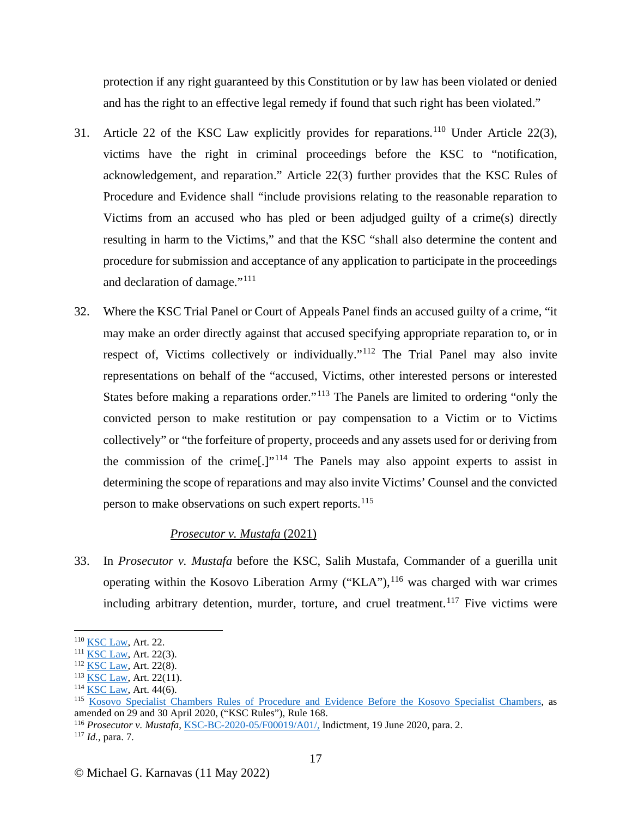protection if any right guaranteed by this Constitution or by law has been violated or denied and has the right to an effective legal remedy if found that such right has been violated."

- 31. Article 22 of the KSC Law explicitly provides for reparations.<sup>[110](#page-16-0)</sup> Under Article 22(3), victims have the right in criminal proceedings before the KSC to "notification, acknowledgement, and reparation." Article 22(3) further provides that the KSC Rules of Procedure and Evidence shall "include provisions relating to the reasonable reparation to Victims from an accused who has pled or been adjudged guilty of a crime(s) directly resulting in harm to the Victims," and that the KSC "shall also determine the content and procedure for submission and acceptance of any application to participate in the proceedings and declaration of damage."[111](#page-16-1)
- 32. Where the KSC Trial Panel or Court of Appeals Panel finds an accused guilty of a crime, "it may make an order directly against that accused specifying appropriate reparation to, or in respect of, Victims collectively or individually."<sup>[112](#page-16-2)</sup> The Trial Panel may also invite representations on behalf of the "accused, Victims, other interested persons or interested States before making a reparations order."<sup>[113](#page-16-3)</sup> The Panels are limited to ordering "only the convicted person to make restitution or pay compensation to a Victim or to Victims collectively" or "the forfeiture of property, proceeds and any assets used for or deriving from the commission of the crime<sup>[1]</sup><sup> $\cdot$ [114](#page-16-4)</sup> The Panels may also appoint experts to assist in determining the scope of reparations and may also invite Victims' Counsel and the convicted person to make observations on such expert reports.<sup>[115](#page-16-5)</sup>

## *Prosecutor v. Mustafa* (2021)

33. In *Prosecutor v. Mustafa* before the KSC, Salih Mustafa, Commander of a guerilla unit operating within the Kosovo Liberation Army ("KLA"),  $^{116}$  $^{116}$  $^{116}$  was charged with war crimes including arbitrary detention, murder, torture, and cruel treatment.<sup>[117](#page-16-7)</sup> Five victims were

<span id="page-16-0"></span> $\frac{110}{111}$  [KSC Law,](https://www.scp-ks.org/sites/default/files/public/05-l-053_a.pdf) Art. 22.<br> $\frac{111}{111}$  KSC Law, Art. 22(3).

<span id="page-16-3"></span><span id="page-16-2"></span><span id="page-16-1"></span><sup>&</sup>lt;sup>112</sup> [KSC Law,](https://www.scp-ks.org/sites/default/files/public/05-l-053_a.pdf) Art. 22(8).<br><sup>113</sup> KSC Law, Art. 22(11).<br><sup>114</sup> KSC Law, Art. 44(6).

<span id="page-16-5"></span><span id="page-16-4"></span><sup>115</sup> [Kosovo Specialist Chambers Rules of Procedure and Evidence Before the Kosovo Specialist Chambers,](https://www.scp-ks.org/sites/default/files/public/content/documents/ksc-bd-03-rev3-rulesofprocedureandevidence.pdf) as amended on 29 and 30 April 2020, ("KSC Rules"), Rule 168.

<span id="page-16-7"></span><span id="page-16-6"></span><sup>116</sup> *Prosecutor v. Mustafa*, KSC-BC-2020-05/F00019/A01/, Indictment, 19 June 2020, para. 2. 117 *Id.*, para. 7.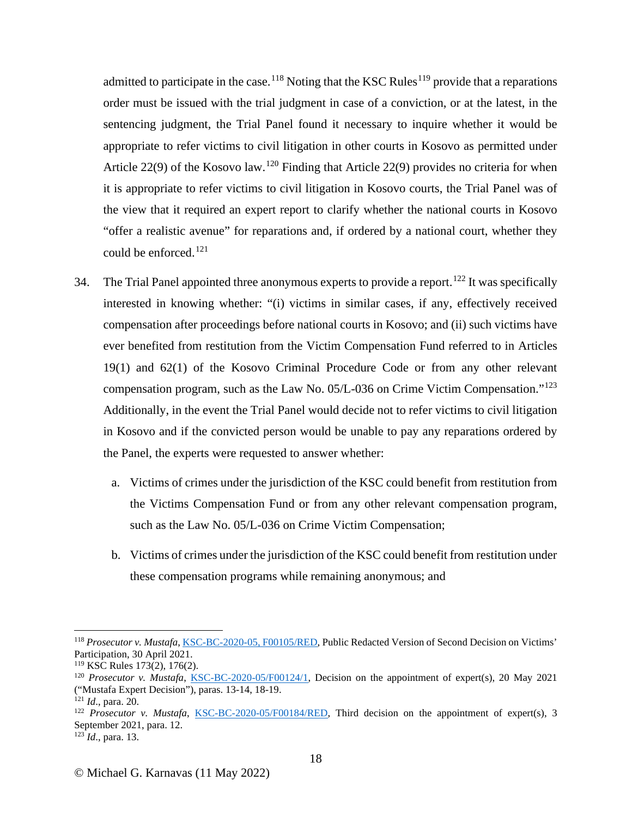admitted to participate in the case.<sup>[118](#page-17-0)</sup> Noting that the KSC Rules<sup>[119](#page-17-1)</sup> provide that a reparations order must be issued with the trial judgment in case of a conviction, or at the latest, in the sentencing judgment, the Trial Panel found it necessary to inquire whether it would be appropriate to refer victims to civil litigation in other courts in Kosovo as permitted under Article 22(9) of the Kosovo law.<sup>[120](#page-17-2)</sup> Finding that Article 22(9) provides no criteria for when it is appropriate to refer victims to civil litigation in Kosovo courts, the Trial Panel was of the view that it required an expert report to clarify whether the national courts in Kosovo "offer a realistic avenue" for reparations and, if ordered by a national court, whether they could be enforced. [121](#page-17-3)

- 34. The Trial Panel appointed three anonymous experts to provide a report.<sup>[122](#page-17-4)</sup> It was specifically interested in knowing whether: "(i) victims in similar cases, if any, effectively received compensation after proceedings before national courts in Kosovo; and (ii) such victims have ever benefited from restitution from the Victim Compensation Fund referred to in Articles 19(1) and 62(1) of the Kosovo Criminal Procedure Code or from any other relevant compensation program, such as the Law No.  $05/L-036$  on Crime Victim Compensation.<sup> $123$ </sup> Additionally, in the event the Trial Panel would decide not to refer victims to civil litigation in Kosovo and if the convicted person would be unable to pay any reparations ordered by the Panel, the experts were requested to answer whether:
	- a. Victims of crimes under the jurisdiction of the KSC could benefit from restitution from the Victims Compensation Fund or from any other relevant compensation program, such as the Law No. 05/L-036 on Crime Victim Compensation;
	- b. Victims of crimes under the jurisdiction of the KSC could benefit from restitution under these compensation programs while remaining anonymous; and

<span id="page-17-0"></span><sup>118</sup> *Prosecutor v. Mustafa*, [KSC-BC-2020-05, F00105/RED,](https://www.scp-ks.org/sites/default/files/public/content/documents/public_redacted_version_of_second_decision_on_victims_participation.pdf) Public Redacted Version of Second Decision on Victims' Participation, 30 April 2021.<br><sup>119</sup> KSC Rules 173(2), 176(2).

<span id="page-17-2"></span><span id="page-17-1"></span><sup>&</sup>lt;sup>120</sup> Prosecutor v. Mustafa, [KSC-BC-2020-05/F00124/1,](https://repository.scp-ks.org/LW/Published/Filing/0b1ec6e98047984b/Decision%20on%20the%20appointment%20of%20expert(s).pdf) Decision on the appointment of expert(s), 20 May 2021 ("Mustafa Expert Decision"), paras. 13-14, 18-19.<br><sup>121</sup> *Id.*, para. 20. *Nustafa*, <u>KSC-BC-2020-05/F00184/RED</u>, Third decision on the appointment of expert(s), 3<br><sup>122</sup> *Prosecutor v. Mustafa*, <u>KSC-BC-2020-05/F00184/RED</u>,

<span id="page-17-3"></span>

<span id="page-17-4"></span>September 2021, para. 12.

<span id="page-17-5"></span><sup>123</sup> *Id*., para. 13.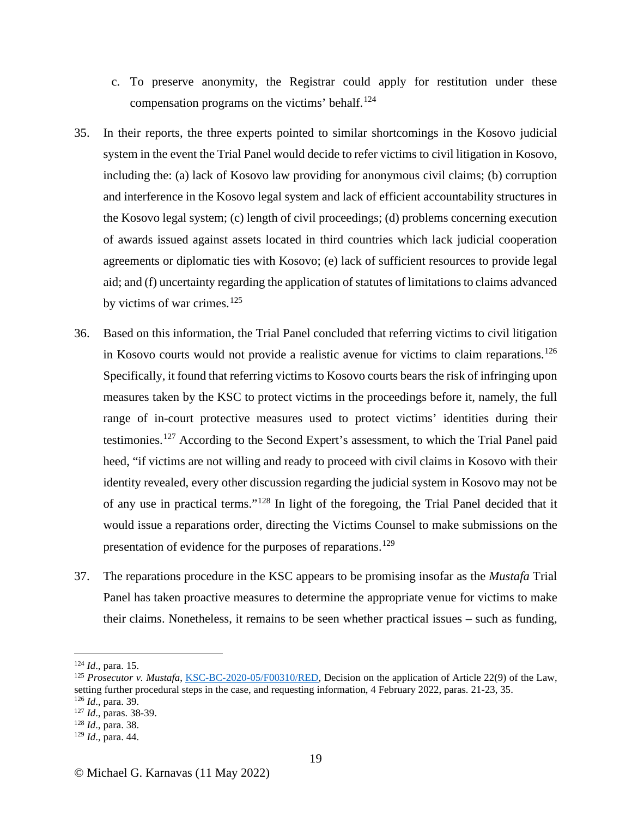- c. To preserve anonymity, the Registrar could apply for restitution under these compensation programs on the victims' behalf.<sup>[124](#page-18-0)</sup>
- 35. In their reports, the three experts pointed to similar shortcomings in the Kosovo judicial system in the event the Trial Panel would decide to refer victims to civil litigation in Kosovo, including the: (a) lack of Kosovo law providing for anonymous civil claims; (b) corruption and interference in the Kosovo legal system and lack of efficient accountability structures in the Kosovo legal system; (c) length of civil proceedings; (d) problems concerning execution of awards issued against assets located in third countries which lack judicial cooperation agreements or diplomatic ties with Kosovo; (e) lack of sufficient resources to provide legal aid; and (f) uncertainty regarding the application of statutes of limitations to claims advanced by victims of war crimes. $125$
- 36. Based on this information, the Trial Panel concluded that referring victims to civil litigation in Kosovo courts would not provide a realistic avenue for victims to claim reparations.<sup>[126](#page-18-2)</sup> Specifically, it found that referring victims to Kosovo courts bears the risk of infringing upon measures taken by the KSC to protect victims in the proceedings before it, namely, the full range of in-court protective measures used to protect victims' identities during their testimonies.[127](#page-18-3) According to the Second Expert's assessment, to which the Trial Panel paid heed, "if victims are not willing and ready to proceed with civil claims in Kosovo with their identity revealed, every other discussion regarding the judicial system in Kosovo may not be of any use in practical terms."[128](#page-18-4) In light of the foregoing, the Trial Panel decided that it would issue a reparations order, directing the Victims Counsel to make submissions on the presentation of evidence for the purposes of reparations.<sup>[129](#page-18-5)</sup>
- 37. The reparations procedure in the KSC appears to be promising insofar as the *Mustafa* Trial Panel has taken proactive measures to determine the appropriate venue for victims to make their claims. Nonetheless, it remains to be seen whether practical issues – such as funding,

<span id="page-18-1"></span><span id="page-18-0"></span><sup>&</sup>lt;sup>124</sup> *Id.*, para. 15.<br><sup>125</sup> *Prosecutor v. Mustafa*, [KSC-BC-2020-05/F00310/RED,](https://repository.scp-ks.org/LW/Published/Filing/0b1ec6e980b1675f/Public%20redacted%20version%20of%20Decision%20on%20the%20application%20of%20Article%2022(9)%20of%20the%20Law,%20setting%20further%20procedural%20steps%20in%20the%20case,%20and%20requesting%20information.pdf) Decision on the application of Article 22(9) of the Law, setting further procedural steps in the case, and requesting information, 4 February 2022, paras. 21-23, 35.

<span id="page-18-3"></span>

<span id="page-18-2"></span><sup>126</sup> *Id*., para. 39. 127 *Id*., paras. 38-39. 128 *Id*., para. 38.

<span id="page-18-5"></span><span id="page-18-4"></span><sup>129</sup> *Id*., para. 44.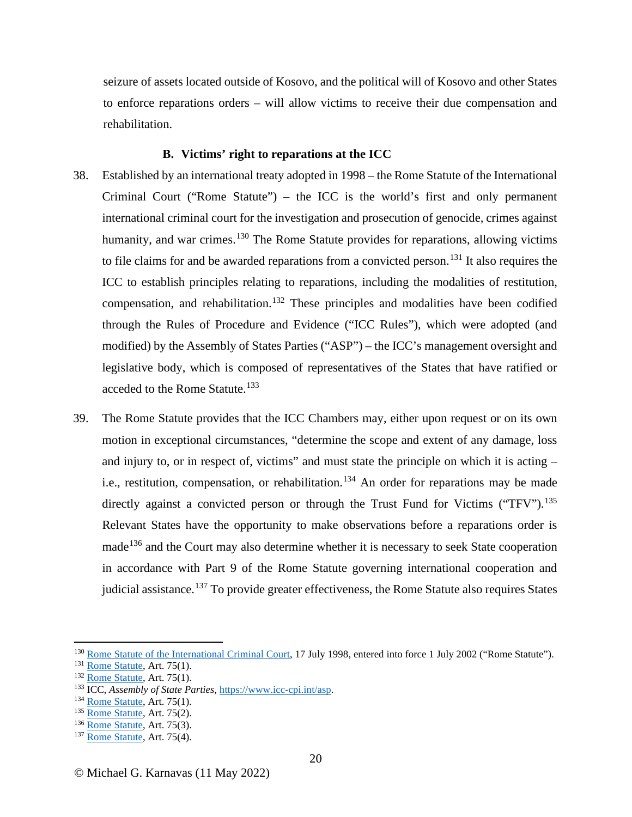seizure of assets located outside of Kosovo, and the political will of Kosovo and other States to enforce reparations orders – will allow victims to receive their due compensation and rehabilitation.

## **B. Victims' right to reparations at the ICC**

- 38. Established by an international treaty adopted in 1998 the Rome Statute of the International Criminal Court ("Rome Statute") – the ICC is the world's first and only permanent international criminal court for the investigation and prosecution of genocide, crimes against humanity, and war crimes.<sup>[130](#page-19-0)</sup> The Rome Statute provides for reparations, allowing victims to file claims for and be awarded reparations from a convicted person.[131](#page-19-1) It also requires the ICC to establish principles relating to reparations, including the modalities of restitution, compensation, and rehabilitation.<sup>[132](#page-19-2)</sup> These principles and modalities have been codified through the Rules of Procedure and Evidence ("ICC Rules"), which were adopted (and modified) by the Assembly of States Parties ("ASP") – the ICC's management oversight and legislative body, which is composed of representatives of the States that have ratified or acceded to the Rome Statute.<sup>[133](#page-19-3)</sup>
- 39. The Rome Statute provides that the ICC Chambers may, either upon request or on its own motion in exceptional circumstances, "determine the scope and extent of any damage, loss and injury to, or in respect of, victims" and must state the principle on which it is acting – i.e., restitution, compensation, or rehabilitation.<sup>[134](#page-19-4)</sup> An order for reparations may be made directly against a convicted person or through the Trust Fund for Victims ("TFV").<sup>[135](#page-19-5)</sup> Relevant States have the opportunity to make observations before a reparations order is made<sup>[136](#page-19-6)</sup> and the Court may also determine whether it is necessary to seek State cooperation in accordance with Part 9 of the Rome Statute governing international cooperation and judicial assistance.<sup>[137](#page-19-7)</sup> To provide greater effectiveness, the Rome Statute also requires States

<span id="page-19-1"></span><span id="page-19-0"></span><sup>&</sup>lt;sup>130</sup> R[o](https://www.icc-cpi.int/resource-library/documents/rs-eng.pdf)me Statute of the International Criminal Court, 17 July 1998, entered into force 1 July 2002 ("Rome Statute").<br>
<sup>131</sup> [Rome Statute,](https://www.icc-cpi.int/resource-library/documents/rs-eng.pdf) Art. 75(1).<br>
<sup>132</sup> Rome Statute, Art. 75(1).<br>
<sup>132</sup> Rome Statute, Art. 75(1).<br>
<sup>13</sup>

<span id="page-19-2"></span>

<span id="page-19-3"></span>

<span id="page-19-4"></span>

<span id="page-19-5"></span>

<span id="page-19-6"></span>

<span id="page-19-7"></span>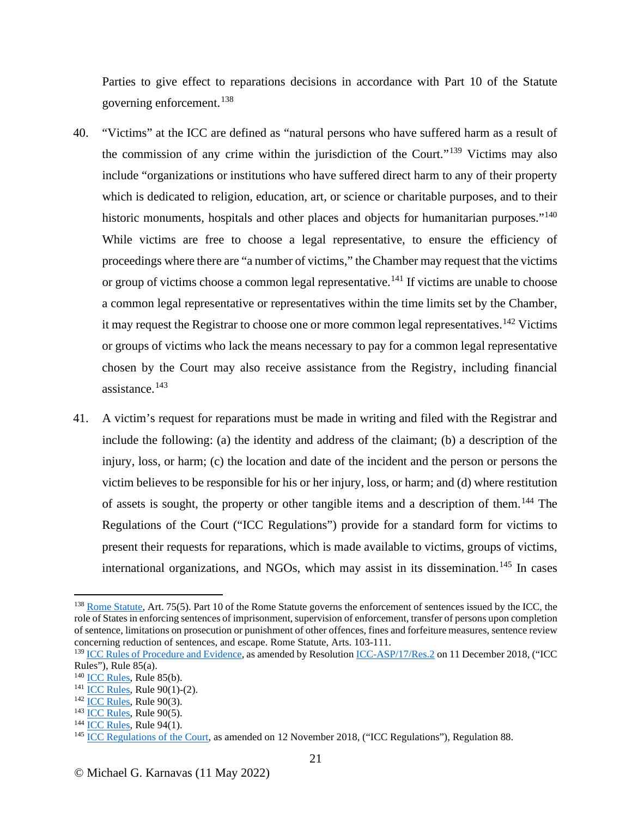Parties to give effect to reparations decisions in accordance with Part 10 of the Statute governing enforcement.[138](#page-20-0)

- 40. "Victims" at the ICC are defined as "natural persons who have suffered harm as a result of the commission of any crime within the jurisdiction of the Court."[139](#page-20-1) Victims may also include "organizations or institutions who have suffered direct harm to any of their property which is dedicated to religion, education, art, or science or charitable purposes, and to their historic monuments, hospitals and other places and objects for humanitarian purposes."<sup>[140](#page-20-2)</sup> While victims are free to choose a legal representative, to ensure the efficiency of proceedings where there are "a number of victims," the Chamber may request that the victims or group of victims choose a common legal representative.<sup>[141](#page-20-3)</sup> If victims are unable to choose a common legal representative or representatives within the time limits set by the Chamber, it may request the Registrar to choose one or more common legal representatives.<sup>[142](#page-20-4)</sup> Victims or groups of victims who lack the means necessary to pay for a common legal representative chosen by the Court may also receive assistance from the Registry, including financial assistance.[143](#page-20-5)
- 41. A victim's request for reparations must be made in writing and filed with the Registrar and include the following: (a) the identity and address of the claimant; (b) a description of the injury, loss, or harm; (c) the location and date of the incident and the person or persons the victim believes to be responsible for his or her injury, loss, or harm; and (d) where restitution of assets is sought, the property or other tangible items and a description of them.[144](#page-20-6) The Regulations of the Court ("ICC Regulations") provide for a standard form for victims to present their requests for reparations, which is made available to victims, groups of victims, international organizations, and NGOs, which may assist in its dissemination.<sup>[145](#page-20-7)</sup> In cases

<span id="page-20-0"></span><sup>&</sup>lt;sup>138</sup> [Rome Statute,](https://www.icc-cpi.int/resource-library/documents/rs-eng.pdf) Art. 75(5). Part 10 of the Rome Statute governs the enforcement of sentences issued by the ICC, the role of States in enforcing sentences of imprisonment, supervision of enforcement, transfer of persons upon completion of sentence, limitations on prosecution or punishment of other offences, fines and forfeiture measures, sentence review concerning reduction of sentences, and escape. Rome Statute, Arts. 103-111.

<span id="page-20-1"></span><sup>&</sup>lt;sup>139</sup> [ICC Rules of Procedure and Evidence,](https://www.icc-cpi.int/sites/default/files/Publications/Rules-of-Procedure-and-Evidence.pdf) as amended by Resolution [ICC-ASP/17/Res.2](https://asp.icc-cpi.int/sites/asp/files/asp_docs/ASP17/RES-2-ENG.pdf) on 11 December 2018, ("ICC Rules"), Rule 85(a).<br><sup>140</sup> ICC Rules, Rule 85(b).

<span id="page-20-2"></span>

<span id="page-20-4"></span>

<span id="page-20-5"></span>

<span id="page-20-7"></span><span id="page-20-6"></span>

<span id="page-20-3"></span><sup>&</sup>lt;sup>141</sup> [ICC Rules](https://www.icc-cpi.int/sites/default/files/Publications/Rules-of-Procedure-and-Evidence.pdf), Rule 90(1)-(2).<br>
<sup>142</sup> [ICC Rules,](https://www.icc-cpi.int/sites/default/files/Publications/Rules-of-Procedure-and-Evidence.pdfhttps:/www.icc-cpi.int/sites/default/files/Publications/Rules-of-Procedure-and-Evidence.pdf) Rule 90(3).<br>
<sup>143</sup> ICC Rules, Rule 90(5).<br>
<sup>143</sup> [ICC Regulations of the Court,](https://www.icc-cpi.int/sites/default/files/Publications/Regulations-of-the-Court.pdf) as amended on 12 November 2018, ("ICC Regulations"), Regulation 88.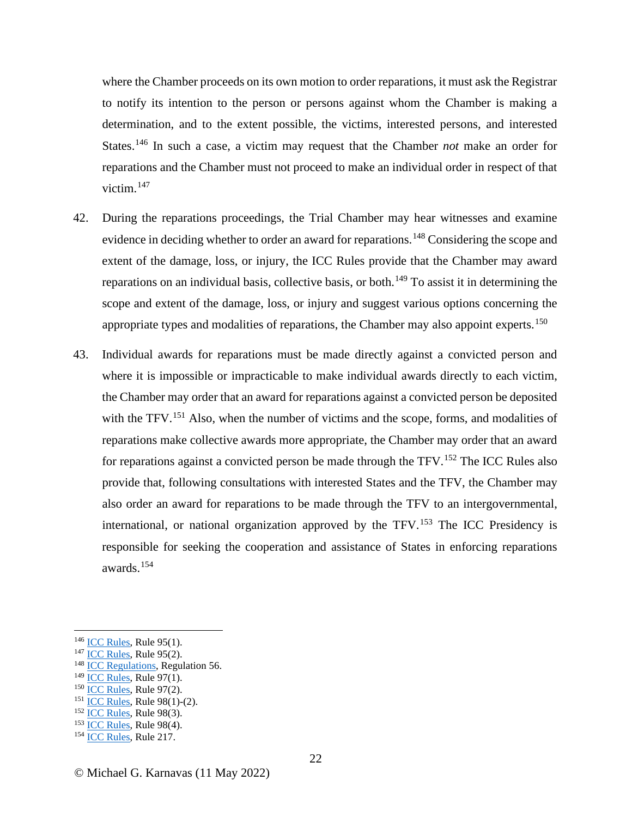where the Chamber proceeds on its own motion to order reparations, it must ask the Registrar to notify its intention to the person or persons against whom the Chamber is making a determination, and to the extent possible, the victims, interested persons, and interested States.[146](#page-21-0) In such a case, a victim may request that the Chamber *not* make an order for reparations and the Chamber must not proceed to make an individual order in respect of that victim. $147$ 

- 42. During the reparations proceedings, the Trial Chamber may hear witnesses and examine evidence in deciding whether to order an award for reparations.<sup>[148](#page-21-2)</sup> Considering the scope and extent of the damage, loss, or injury, the ICC Rules provide that the Chamber may award reparations on an individual basis, collective basis, or both.<sup>[149](#page-21-3)</sup> To assist it in determining the scope and extent of the damage, loss, or injury and suggest various options concerning the appropriate types and modalities of reparations, the Chamber may also appoint experts.<sup>[150](#page-21-4)</sup>
- 43. Individual awards for reparations must be made directly against a convicted person and where it is impossible or impracticable to make individual awards directly to each victim, the Chamber may order that an award for reparations against a convicted person be deposited with the TFV.<sup>[151](#page-21-5)</sup> Also, when the number of victims and the scope, forms, and modalities of reparations make collective awards more appropriate, the Chamber may order that an award for reparations against a convicted person be made through the TFV.[152](#page-21-6) The ICC Rules also provide that, following consultations with interested States and the TFV, the Chamber may also order an award for reparations to be made through the TFV to an intergovernmental, international, or national organization approved by the TFV.[153](#page-21-7) The ICC Presidency is responsible for seeking the cooperation and assistance of States in enforcing reparations awards.[154](#page-21-8)

- <span id="page-21-0"></span><sup>146</sup> [ICC Rules](https://www.icc-cpi.int/sites/default/files/Publications/Rules-of-Procedure-and-Evidence.pdf), Rule 95(1).<br><sup>147</sup> ICC Rules, Rule 95(2).<br><sup>148</sup> [ICC Regulations](https://www.icc-cpi.int/sites/default/files/Publications/Regulations-of-the-Court.pdf), Regulation 56.<br><sup>149</sup> ICC Rules, Rule 97(1).
- <span id="page-21-3"></span>
- 
- <span id="page-21-5"></span><span id="page-21-4"></span><sup>150</sup> <u>[ICC Rules](https://www.icc-cpi.int/sites/default/files/Publications/Rules-of-Procedure-and-Evidence.pdf)</u>, Rule 97(2).<br>
<sup>151</sup> <u>ICC Rules</u>, Rule 98(1)-(2).<br>
<sup>152</sup> <u>ICC Rules</u>, Rule 98(3).<br>
<sup>153</sup> <u>ICC Rules</u>, Rule 98(4).<br>
<sup>154</sup> ICC Rules, Rule 217.
- <span id="page-21-6"></span>
- <span id="page-21-7"></span>

<span id="page-21-2"></span><span id="page-21-1"></span>

<span id="page-21-8"></span>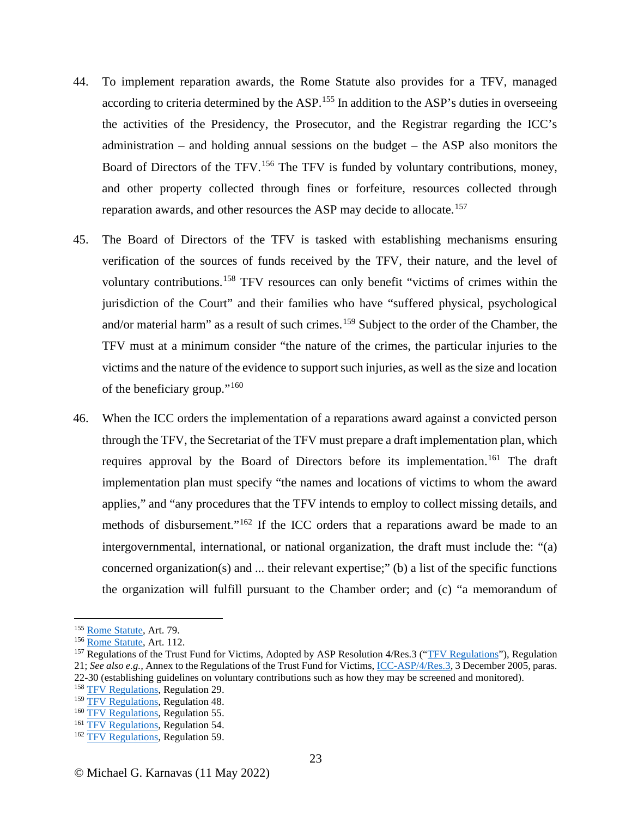- 44. To implement reparation awards, the Rome Statute also provides for a TFV, managed according to criteria determined by the ASP.<sup>[155](#page-22-0)</sup> In addition to the ASP's duties in overseeing the activities of the Presidency, the Prosecutor, and the Registrar regarding the ICC's administration – and holding annual sessions on the budget – the ASP also monitors the Board of Directors of the TFV.<sup>[156](#page-22-1)</sup> The TFV is funded by voluntary contributions, money, and other property collected through fines or forfeiture, resources collected through reparation awards, and other resources the ASP may decide to allocate.<sup>[157](#page-22-2)</sup>
- 45. The Board of Directors of the TFV is tasked with establishing mechanisms ensuring verification of the sources of funds received by the TFV, their nature, and the level of voluntary contributions.[158](#page-22-3) TFV resources can only benefit "victims of crimes within the jurisdiction of the Court" and their families who have "suffered physical, psychological and/or material harm" as a result of such crimes.<sup>[159](#page-22-4)</sup> Subject to the order of the Chamber, the TFV must at a minimum consider "the nature of the crimes, the particular injuries to the victims and the nature of the evidence to support such injuries, as well as the size and location of the beneficiary group."[160](#page-22-5)
- 46. When the ICC orders the implementation of a reparations award against a convicted person through the TFV, the Secretariat of the TFV must prepare a draft implementation plan, which requires approval by the Board of Directors before its implementation.<sup>[161](#page-22-6)</sup> The draft implementation plan must specify "the names and locations of victims to whom the award applies," and "any procedures that the TFV intends to employ to collect missing details, and methods of disbursement."[162](#page-22-7) If the ICC orders that a reparations award be made to an intergovernmental, international, or national organization, the draft must include the: "(a) concerned organization(s) and  $\ldots$  their relevant expertise;" (b) a list of the specific functions the organization will fulfill pursuant to the Chamber order; and (c) "a memorandum of

<span id="page-22-2"></span>

<span id="page-22-1"></span><span id="page-22-0"></span><sup>&</sup>lt;sup>155</sup> [Rome Statute,](https://www.icc-cpi.int/resource-library/documents/rs-eng.pdf) Art. 79.<br><sup>156</sup> Rome Statute, Art. 112.<br><sup>157</sup> Regulations of the Trust Fund for Victims, Adopted by ASP Resolution 4/Res.3 ("<u>TFV Regulations</u>"), Regulation 21; *See also e.g.,* Annex to the Regulations of the Trust Fund for Victims, [ICC-ASP/4/Res.3,](https://www.icc-cpi.int/NR/rdonlyres/0CE5967F-EADC-44C9-8CCA-7A7E9AC89C30/140126/ICCASP432Res3_English.pdf) 3 December 2005, paras. 22-30 (establishing guidelines on voluntary contributions such as how they may be screened and monitored).

<span id="page-22-3"></span><sup>&</sup>lt;sup>158</sup> [TFV Regulations](https://www.icc-cpi.int/sites/default/files/NR/rdonlyres/0CE5967F-EADC-44C9-8CCA-7A7E9AC89C30/140126/ICCASP432Res3_English.pdf), Regulation 29.<br><sup>159</sup> TFV Regulations, Regulation 48.

<span id="page-22-7"></span><span id="page-22-6"></span>

<span id="page-22-5"></span><span id="page-22-4"></span><sup>&</sup>lt;sup>160</sup> [TFV Regulations,](https://www.icc-cpi.int/sites/default/files/NR/rdonlyres/0CE5967F-EADC-44C9-8CCA-7A7E9AC89C30/140126/ICCASP432Res3_English.pdfhttps:/www.icc-cpi.int/sites/default/files/NR/rdonlyres/0CE5967F-EADC-44C9-8CCA-7A7E9AC89C30/140126/ICCASP432Res3_English.pdf) Regulation 55.<br><sup>161</sup> [TFV Regulations](https://www.icc-cpi.int/sites/default/files/NR/rdonlyres/0CE5967F-EADC-44C9-8CCA-7A7E9AC89C30/140126/ICCASP432Res3_English.pdf), Regulation 54.<br><sup>162</sup> TFV Regulations, Regulation 59.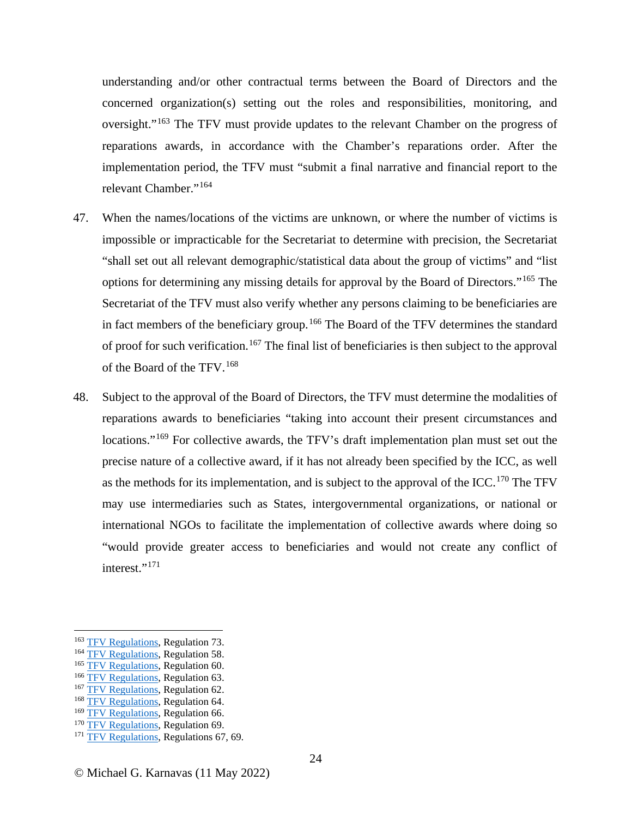understanding and/or other contractual terms between the Board of Directors and the concerned organization(s) setting out the roles and responsibilities, monitoring, and oversight."[163](#page-23-0) The TFV must provide updates to the relevant Chamber on the progress of reparations awards, in accordance with the Chamber's reparations order. After the implementation period, the TFV must "submit a final narrative and financial report to the relevant Chamber."<sup>[164](#page-23-1)</sup>

- 47. When the names/locations of the victims are unknown, or where the number of victims is impossible or impracticable for the Secretariat to determine with precision, the Secretariat "shall set out all relevant demographic/statistical data about the group of victims" and "list options for determining any missing details for approval by the Board of Directors."[165](#page-23-2) The Secretariat of the TFV must also verify whether any persons claiming to be beneficiaries are in fact members of the beneficiary group.<sup>[166](#page-23-3)</sup> The Board of the TFV determines the standard of proof for such verification.<sup>[167](#page-23-4)</sup> The final list of beneficiaries is then subject to the approval of the Board of the TFV.[168](#page-23-5)
- 48. Subject to the approval of the Board of Directors, the TFV must determine the modalities of reparations awards to beneficiaries "taking into account their present circumstances and locations."<sup>[169](#page-23-6)</sup> For collective awards, the TFV's draft implementation plan must set out the precise nature of a collective award, if it has not already been specified by the ICC, as well as the methods for its implementation, and is subject to the approval of the ICC.<sup>[170](#page-23-7)</sup> The TFV may use intermediaries such as States, intergovernmental organizations, or national or international NGOs to facilitate the implementation of collective awards where doing so "would provide greater access to beneficiaries and would not create any conflict of interest."<sup>[171](#page-23-8)</sup>

<span id="page-23-1"></span>

<span id="page-23-3"></span><span id="page-23-2"></span>

<span id="page-23-4"></span>

<span id="page-23-0"></span><sup>&</sup>lt;sup>163</sup> [TFV Regulations](https://www.icc-cpi.int/sites/default/files/NR/rdonlyres/0CE5967F-EADC-44C9-8CCA-7A7E9AC89C30/140126/ICCASP432Res3_English.pdf), Regulation 73.<br><sup>165</sup> TFV Regulations, Regulation 58.<br><sup>165</sup> TFV Regulations, Regulation 63.<br><sup>167</sup> TFV Regulations, Regulation 64.<br><sup>169</sup> TFV Regulations, Regulation 66.

<span id="page-23-5"></span>

<span id="page-23-6"></span>

<span id="page-23-8"></span><span id="page-23-7"></span><sup>&</sup>lt;sup>170</sup> [TFV Regulations](https://www.icc-cpi.int/sites/default/files/NR/rdonlyres/0CE5967F-EADC-44C9-8CCA-7A7E9AC89C30/140126/ICCASP432Res3_English.pdf), Regulation 69. <sup>171</sup> TFV Regulations, Regulations 67, 69.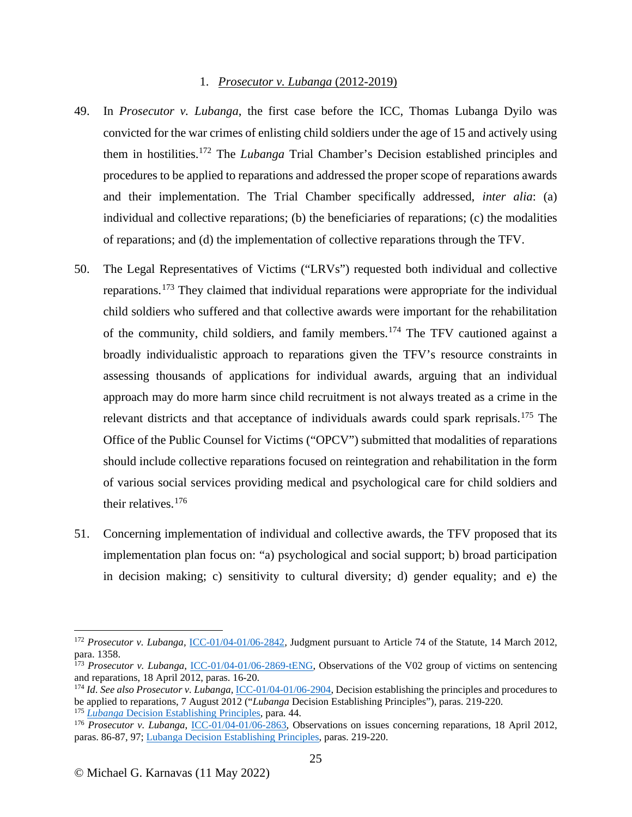## 1. *Prosecutor v. Lubanga* (2012-2019)

- 49. In *Prosecutor v. Lubanga*, the first case before the ICC, Thomas Lubanga Dyilo was convicted for the war crimes of enlisting child soldiers under the age of 15 and actively using them in hostilities.[172](#page-24-0) The *Lubanga* Trial Chamber's Decision established principles and procedures to be applied to reparations and addressed the proper scope of reparations awards and their implementation. The Trial Chamber specifically addressed, *inter alia*: (a) individual and collective reparations; (b) the beneficiaries of reparations; (c) the modalities of reparations; and (d) the implementation of collective reparations through the TFV.
- 50. The Legal Representatives of Victims ("LRVs") requested both individual and collective reparations.<sup>[173](#page-24-1)</sup> They claimed that individual reparations were appropriate for the individual child soldiers who suffered and that collective awards were important for the rehabilitation of the community, child soldiers, and family members.[174](#page-24-2) The TFV cautioned against a broadly individualistic approach to reparations given the TFV's resource constraints in assessing thousands of applications for individual awards, arguing that an individual approach may do more harm since child recruitment is not always treated as a crime in the relevant districts and that acceptance of individuals awards could spark reprisals.[175](#page-24-3) The Office of the Public Counsel for Victims ("OPCV") submitted that modalities of reparations should include collective reparations focused on reintegration and rehabilitation in the form of various social services providing medical and psychological care for child soldiers and their relatives. [176](#page-24-4)
- 51. Concerning implementation of individual and collective awards, the TFV proposed that its implementation plan focus on: "a) psychological and social support; b) broad participation in decision making; c) sensitivity to cultural diversity; d) gender equality; and e) the

<span id="page-24-0"></span><sup>172</sup> *Prosecutor v. Lubanga,* [ICC-01/04-01/06-2842](https://www.icc-cpi.int/CourtRecords/CR2012_03942.PDF)*,* Judgment pursuant to Article 74 of the Statute, 14 March 2012, para. 1358.

<span id="page-24-1"></span><sup>&</sup>lt;sup>173</sup> Prosecutor v. Lubanga, [ICC-01/04-01/06-2869-tENG,](https://www.icc-cpi.int/CourtRecords/CR2012_09159.PDF) Observations of the V02 group of victims on sentencing and reparations, 18 April 2012, paras. 16-20.<br><sup>174</sup> *Id. See also Prosecutor v. Lubanga*, *ICC-01/04-01/06-2904*, Decision establishing the principles and procedures to

<span id="page-24-2"></span>be applied to reparations, 7 August 2012 ("*Lubanga* Decision Establishing Principles"), paras. 219-220.

<span id="page-24-4"></span><span id="page-24-3"></span><sup>&</sup>lt;sup>176</sup> *Prosecutor v. Lubanga*, [ICC-01/04-01/06-2863,](https://www.icc-cpi.int/CourtRecords/CR2012_05125.PDF) Observations on issues concerning reparations, 18 April 2012, paras. 86-87, 97[; Lubanga Decision Establishing Principles,](https://www.icc-cpi.int/CourtRecords/CR2012_07872.PDF) paras. 219-220.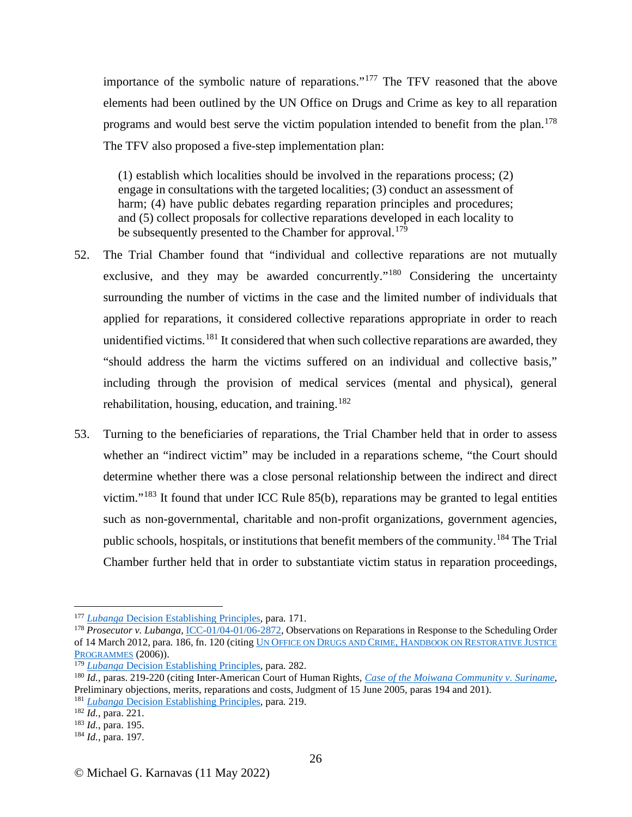importance of the symbolic nature of reparations."[177](#page-25-0) The TFV reasoned that the above elements had been outlined by the UN Office on Drugs and Crime as key to all reparation programs and would best serve the victim population intended to benefit from the plan.<sup>[178](#page-25-1)</sup> The TFV also proposed a five-step implementation plan:

(1) establish which localities should be involved in the reparations process; (2) engage in consultations with the targeted localities; (3) conduct an assessment of harm; (4) have public debates regarding reparation principles and procedures; and (5) collect proposals for collective reparations developed in each locality to be subsequently presented to the Chamber for approval.<sup>[179](#page-25-2)</sup>

- 52. The Trial Chamber found that "individual and collective reparations are not mutually exclusive, and they may be awarded concurrently."<sup>[180](#page-25-3)</sup> Considering the uncertainty surrounding the number of victims in the case and the limited number of individuals that applied for reparations, it considered collective reparations appropriate in order to reach unidentified victims. <sup>[181](#page-25-4)</sup> It considered that when such collective reparations are awarded, they "should address the harm the victims suffered on an individual and collective basis," including through the provision of medical services (mental and physical), general rehabilitation, housing, education, and training.<sup>[182](#page-25-5)</sup>
- 53. Turning to the beneficiaries of reparations, the Trial Chamber held that in order to assess whether an "indirect victim" may be included in a reparations scheme, "the Court should determine whether there was a close personal relationship between the indirect and direct victim."<sup>[183](#page-25-6)</sup> It found that under ICC Rule  $85(b)$ , reparations may be granted to legal entities such as non-governmental, charitable and non-profit organizations, government agencies, public schools, hospitals, or institutions that benefit members of the community.[184](#page-25-7) The Trial Chamber further held that in order to substantiate victim status in reparation proceedings,

<span id="page-25-1"></span><span id="page-25-0"></span><sup>&</sup>lt;sup>177</sup> *Lubanga* [Decision Establishing Principles,](https://www.icc-cpi.int/CourtRecords/CR2012_07872.PDF) para. 171.<br><sup>178</sup> *Prosecutor v. Lubanga*, <u>ICC-01/04-01/06-2872</u>, Observations on Reparations in Response to the Scheduling Order of 14 March 2012, para. 186, fn. 120 (citing [UN OFFICE ON DRUGS AND CRIME, HANDBOOK ON RESTORATIVE JUSTICE](https://www.unodc.org/pdf/criminal_justice/Handbook_on_Restorative_Justice_Programmes.pdf)  [PROGRAMMES](https://www.unodc.org/pdf/criminal_justice/Handbook_on_Restorative_Justice_Programmes.pdf) (2006)).<br><sup>179</sup> Lubanga Decision Establishing Principles, para. 282.

<span id="page-25-3"></span><span id="page-25-2"></span><sup>&</sup>lt;sup>180</sup> *Id., paras.* 219-220 (citing Inter-American Court of Human Rights, *[Case of the Moiwana Community v. Suriname](https://www.corteidh.or.cr/docs/casos/articulos/seriec_124_ing.pdf)*, Preliminary objections, merits, reparations and costs, Judgment of 15 June 2005, paras 194 and 201). <sup>181</sup> *Lubanga* [Decision Establishing Principles,](https://www.icc-cpi.int/CourtRecords/CR2012_07872.PDF) para. 219. 182 *Id.*, para. 221. 183 *Id.*, para. 195. 184 *Id.*, para. 197.

<span id="page-25-5"></span><span id="page-25-4"></span>

<span id="page-25-6"></span>

<span id="page-25-7"></span>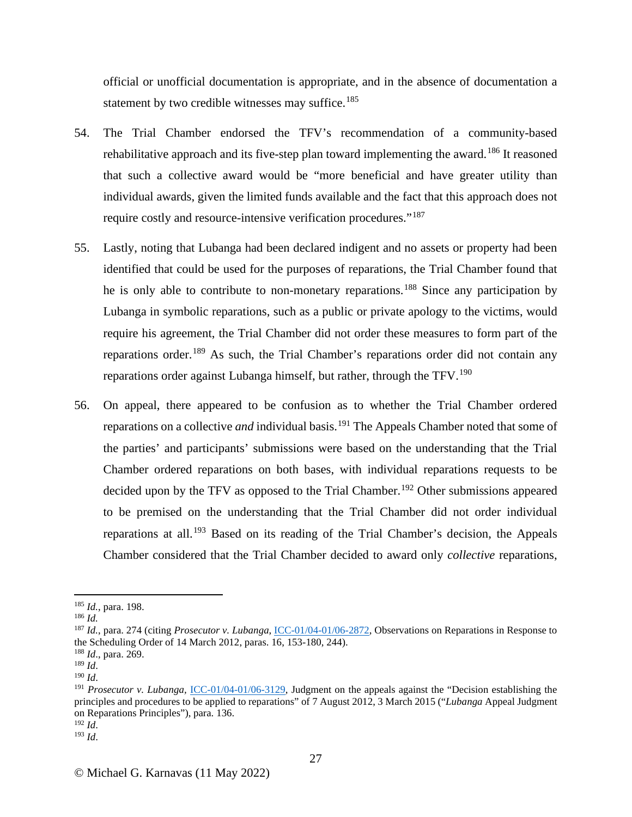official or unofficial documentation is appropriate, and in the absence of documentation a statement by two credible witnesses may suffice.<sup>[185](#page-26-0)</sup>

- 54. The Trial Chamber endorsed the TFV's recommendation of a community-based rehabilitative approach and its five-step plan toward implementing the award.<sup>[186](#page-26-1)</sup> It reasoned that such a collective award would be "more beneficial and have greater utility than individual awards, given the limited funds available and the fact that this approach does not require costly and resource-intensive verification procedures."[187](#page-26-2)
- 55. Lastly, noting that Lubanga had been declared indigent and no assets or property had been identified that could be used for the purposes of reparations, the Trial Chamber found that he is only able to contribute to non-monetary reparations.<sup>[188](#page-26-3)</sup> Since any participation by Lubanga in symbolic reparations, such as a public or private apology to the victims, would require his agreement, the Trial Chamber did not order these measures to form part of the reparations order.[189](#page-26-4) As such, the Trial Chamber's reparations order did not contain any reparations order against Lubanga himself, but rather, through the TFV.<sup>[190](#page-26-5)</sup>
- 56. On appeal, there appeared to be confusion as to whether the Trial Chamber ordered reparations on a collective *and* individual basis.<sup>[191](#page-26-6)</sup> The Appeals Chamber noted that some of the parties' and participants' submissions were based on the understanding that the Trial Chamber ordered reparations on both bases, with individual reparations requests to be decided upon by the TFV as opposed to the Trial Chamber.<sup>[192](#page-26-7)</sup> Other submissions appeared to be premised on the understanding that the Trial Chamber did not order individual reparations at all.[193](#page-26-8) Based on its reading of the Trial Chamber's decision, the Appeals Chamber considered that the Trial Chamber decided to award only *collective* reparations,

<span id="page-26-1"></span><span id="page-26-0"></span><sup>185</sup> *Id.*, para. 198. 186 *Id.*

<span id="page-26-2"></span><sup>187</sup> *Id.*, para. 274 (citing *Prosecutor v. Lubanga*[, ICC-01/04-01/06-2872,](https://www.icc-cpi.int/CourtRecords/CR2012_05251.PDF) Observations on Reparations in Response to the Scheduling Order of 14 March 2012, paras. 16, 153-180, 244). 188 *Id*., para. 269.

<span id="page-26-3"></span>

<span id="page-26-4"></span> $\frac{189}{190}$  *Id*.

<span id="page-26-6"></span><span id="page-26-5"></span><sup>&</sup>lt;sup>191</sup> *Prosecutor v. Lubanga, [ICC-01/04-01/06-3129,](https://www.icc-cpi.int/CourtRecords/CR2015_02631.PDF) Judgment on the appeals against the "Decision establishing the* principles and procedures to be applied to reparations" of 7 August 2012, 3 March 2015 ("*Lubanga* Appeal Judgment on Reparations Principles"), para. 136.<br><sup>192</sup> Id.

<span id="page-26-8"></span><span id="page-26-7"></span> $193$  *Id.*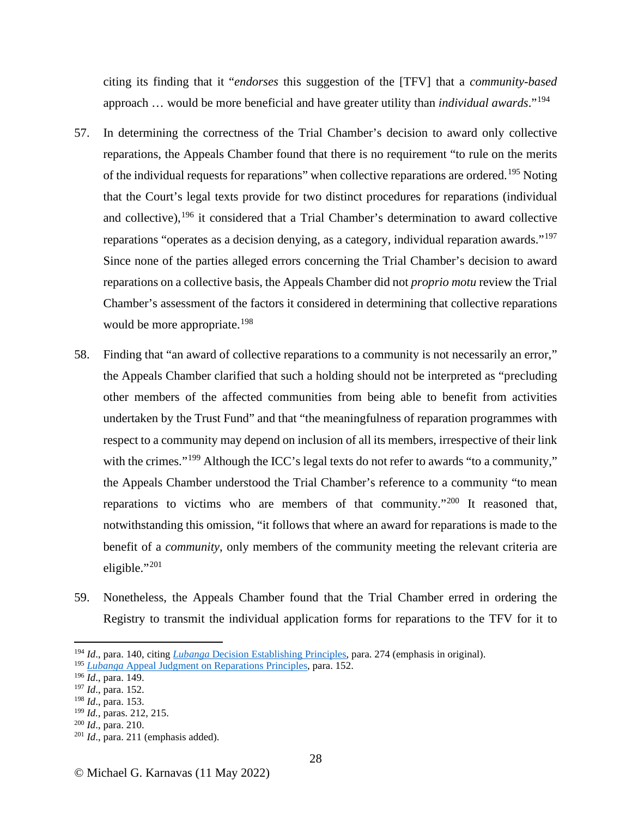citing its finding that it "*endorses* this suggestion of the [TFV] that a *community-based* approach … would be more beneficial and have greater utility than *individual awards*."[194](#page-27-0)

- 57. In determining the correctness of the Trial Chamber's decision to award only collective reparations, the Appeals Chamber found that there is no requirement "to rule on the merits of the individual requests for reparations" when collective reparations are ordered.<sup>[195](#page-27-1)</sup> Noting that the Court's legal texts provide for two distinct procedures for reparations (individual and collective),  $196$  it considered that a Trial Chamber's determination to award collective reparations "operates as a decision denying, as a category, individual reparation awards."<sup>[197](#page-27-3)</sup> Since none of the parties alleged errors concerning the Trial Chamber's decision to award reparations on a collective basis, the Appeals Chamber did not *proprio motu* review the Trial Chamber's assessment of the factors it considered in determining that collective reparations would be more appropriate.<sup>[198](#page-27-4)</sup>
- 58. Finding that "an award of collective reparations to a community is not necessarily an error," the Appeals Chamber clarified that such a holding should not be interpreted as "precluding other members of the affected communities from being able to benefit from activities undertaken by the Trust Fund" and that "the meaningfulness of reparation programmes with respect to a community may depend on inclusion of all its members, irrespective of their link with the crimes."<sup>[199](#page-27-5)</sup> Although the ICC's legal texts do not refer to awards "to a community," the Appeals Chamber understood the Trial Chamber's reference to a community "to mean reparations to victims who are members of that community."[200](#page-27-6) It reasoned that, notwithstanding this omission, "it follows that where an award for reparations is made to the benefit of a *community*, only members of the community meeting the relevant criteria are eligible."[201](#page-27-7)
- 59. Nonetheless, the Appeals Chamber found that the Trial Chamber erred in ordering the Registry to transmit the individual application forms for reparations to the TFV for it to

<span id="page-27-0"></span><sup>194</sup> *Id*., para. 140, citing *Lubanga* [Decision Establishing Principles,](https://www.icc-cpi.int/CourtRecords/CR2012_07872.PDF) para. 274 (emphasis in original).

<span id="page-27-1"></span><sup>195</sup> *Lubanga* [Appeal Judgment on Reparations Principles,](https://www.icc-cpi.int/sites/default/files/CourtRecords/CR2015_02631.PDF) para. 152.

<span id="page-27-2"></span><sup>196</sup> *Id*., para. 149.

<span id="page-27-3"></span><sup>197</sup> *Id*., para. 152.

<span id="page-27-4"></span><sup>&</sup>lt;sup>198</sup> *Id.*, para. 153.<br><sup>199</sup> *Id.*, paras. 212, 215.

<span id="page-27-7"></span><span id="page-27-6"></span><span id="page-27-5"></span><sup>&</sup>lt;sup>200</sup> *Id.*, para. 210.<br><sup>201</sup> *Id.*, para. 211 (emphasis added).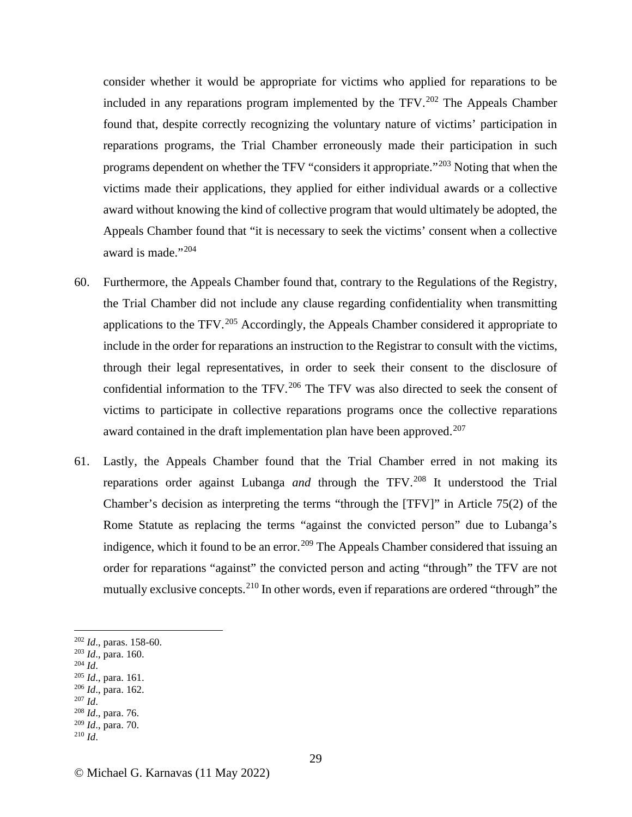consider whether it would be appropriate for victims who applied for reparations to be included in any reparations program implemented by the TFV.<sup>[202](#page-28-0)</sup> The Appeals Chamber found that, despite correctly recognizing the voluntary nature of victims' participation in reparations programs, the Trial Chamber erroneously made their participation in such programs dependent on whether the TFV "considers it appropriate."[203](#page-28-1) Noting that when the victims made their applications, they applied for either individual awards or a collective award without knowing the kind of collective program that would ultimately be adopted, the Appeals Chamber found that "it is necessary to seek the victims' consent when a collective award is made."[204](#page-28-2)

- 60. Furthermore, the Appeals Chamber found that, contrary to the Regulations of the Registry, the Trial Chamber did not include any clause regarding confidentiality when transmitting applications to the TFV.<sup>[205](#page-28-3)</sup> Accordingly, the Appeals Chamber considered it appropriate to include in the order for reparations an instruction to the Registrar to consult with the victims, through their legal representatives, in order to seek their consent to the disclosure of confidential information to the TFV.<sup>[206](#page-28-4)</sup> The TFV was also directed to seek the consent of victims to participate in collective reparations programs once the collective reparations award contained in the draft implementation plan have been approved.<sup>[207](#page-28-5)</sup>
- 61. Lastly, the Appeals Chamber found that the Trial Chamber erred in not making its reparations order against Lubanga *and* through the TFV.[208](#page-28-6) It understood the Trial Chamber's decision as interpreting the terms "through the [TFV]" in Article 75(2) of the Rome Statute as replacing the terms "against the convicted person" due to Lubanga's indigence, which it found to be an error.<sup>[209](#page-28-7)</sup> The Appeals Chamber considered that issuing an order for reparations "against" the convicted person and acting "through" the TFV are not mutually exclusive concepts.<sup>[210](#page-28-8)</sup> In other words, even if reparations are ordered "through" the

- 
- <span id="page-28-4"></span>
- <span id="page-28-6"></span><span id="page-28-5"></span>
- 
- <span id="page-28-8"></span><span id="page-28-7"></span><sup>209</sup> *Id*., para. 70. 210 *Id*.

<span id="page-28-0"></span><sup>202</sup> *Id.*, paras. 158-60.<br>
<sup>203</sup> *Id.*, para. 160.<br>
<sup>204</sup> *Id.*, para. 161.<br>
<sup>206</sup> *Id.*, para. 162.<br>
<sup>207</sup> *Id.* 208 *Id.*, para. 76.

<span id="page-28-1"></span>

<span id="page-28-3"></span><span id="page-28-2"></span>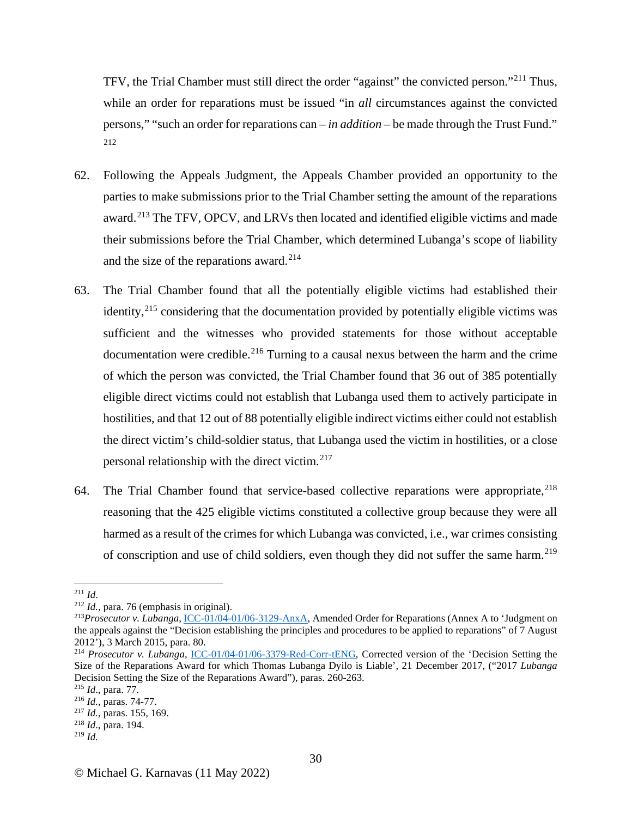TFV, the Trial Chamber must still direct the order "against" the convicted person."[211](#page-29-0) Thus, while an order for reparations must be issued "in *all* circumstances against the convicted persons," "such an order for reparations can – *in addition* – be made through the Trust Fund." [212](#page-29-1)

- 62. Following the Appeals Judgment, the Appeals Chamber provided an opportunity to the parties to make submissions prior to the Trial Chamber setting the amount of the reparations award.<sup>[213](#page-29-2)</sup> The TFV, OPCV, and LRVs then located and identified eligible victims and made their submissions before the Trial Chamber, which determined Lubanga's scope of liability and the size of the reparations award. [214](#page-29-3)
- 63. The Trial Chamber found that all the potentially eligible victims had established their identity,<sup>[215](#page-29-4)</sup> considering that the documentation provided by potentially eligible victims was sufficient and the witnesses who provided statements for those without acceptable documentation were credible.<sup>[216](#page-29-5)</sup> Turning to a causal nexus between the harm and the crime of which the person was convicted, the Trial Chamber found that 36 out of 385 potentially eligible direct victims could not establish that Lubanga used them to actively participate in hostilities, and that 12 out of 88 potentially eligible indirect victims either could not establish the direct victim's child-soldier status, that Lubanga used the victim in hostilities, or a close personal relationship with the direct victim.[217](#page-29-6)
- 64. The Trial Chamber found that service-based collective reparations were appropriate,<sup>[218](#page-29-7)</sup> reasoning that the 425 eligible victims constituted a collective group because they were all harmed as a result of the crimes for which Lubanga was convicted, i.e., war crimes consisting of conscription and use of child soldiers, even though they did not suffer the same harm.<sup>[219](#page-29-8)</sup>

<span id="page-29-2"></span><span id="page-29-1"></span>

<span id="page-29-0"></span><sup>211</sup> *Id*. 212 *Id.*, para. 76 (emphasis in original). 213*Prosecutor v. Lubanga*, [ICC-01/04-01/06-3129-AnxA,](https://www.icc-cpi.int/sites/default/files/RelatedRecords/CR2015_02633.PDF) Amended Order for Reparations (Annex A to 'Judgment on the appeals against the "Decision establishing the principles and procedures to be applied to reparations" of 7 August 2012'), 3 March 2015, para. 80.

<span id="page-29-3"></span><sup>&</sup>lt;sup>214</sup> *Prosecutor v. Lubanga*, [ICC-01/04-01/06-3379-Red-Corr-tENG,](https://www.legal-tools.org/doc/96a7c5/) Corrected version of the 'Decision Setting the Size of the Reparations Award for which Thomas Lubanga Dyilo is Liable', 21 December 2017, ("2017 *Lubanga* Decision Setting the Size of the Reparations Award"), paras. 260-263.<br><sup>215</sup> Id., para. 77.

<span id="page-29-4"></span>

<span id="page-29-5"></span><sup>&</sup>lt;sup>216</sup> *Id.*, paras. 74-77.<br><sup>217</sup> *Id.*, paras. 155, 169.

<span id="page-29-6"></span>

<span id="page-29-7"></span><sup>218</sup> *Id*., para. 194.

<span id="page-29-8"></span><sup>219</sup> *Id.*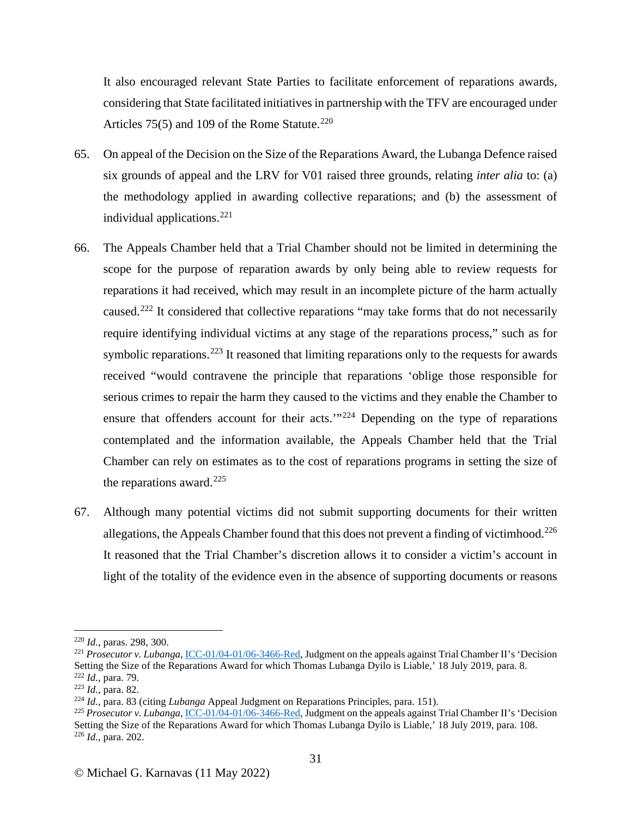It also encouraged relevant State Parties to facilitate enforcement of reparations awards, considering that State facilitated initiatives in partnership with the TFV are encouraged under Articles 75(5) and 109 of the Rome Statute.<sup>[220](#page-30-0)</sup>

- 65. On appeal of the Decision on the Size of the Reparations Award, the Lubanga Defence raised six grounds of appeal and the LRV for V01 raised three grounds, relating *inter alia* to: (a) the methodology applied in awarding collective reparations; and (b) the assessment of individual applications.<sup>[221](#page-30-1)</sup>
- 66. The Appeals Chamber held that a Trial Chamber should not be limited in determining the scope for the purpose of reparation awards by only being able to review requests for reparations it had received, which may result in an incomplete picture of the harm actually caused.<sup>[222](#page-30-2)</sup> It considered that collective reparations "may take forms that do not necessarily require identifying individual victims at any stage of the reparations process," such as for symbolic reparations.<sup>[223](#page-30-3)</sup> It reasoned that limiting reparations only to the requests for awards received "would contravene the principle that reparations 'oblige those responsible for serious crimes to repair the harm they caused to the victims and they enable the Chamber to ensure that offenders account for their acts.'"<sup>[224](#page-30-4)</sup> Depending on the type of reparations contemplated and the information available, the Appeals Chamber held that the Trial Chamber can rely on estimates as to the cost of reparations programs in setting the size of the reparations award.<sup>[225](#page-30-5)</sup>
- 67. Although many potential victims did not submit supporting documents for their written allegations, the Appeals Chamber found that this does not prevent a finding of victimhood.<sup>[226](#page-30-6)</sup> It reasoned that the Trial Chamber's discretion allows it to consider a victim's account in light of the totality of the evidence even in the absence of supporting documents or reasons

<span id="page-30-1"></span><span id="page-30-0"></span><sup>&</sup>lt;sup>220</sup> *Id.*, paras. 298, 300.<br><sup>221</sup> *Prosecutor v. Lubanga*[, ICC-01/04-01/06-3466-Red,](https://www.icc-cpi.int/CourtRecords/CR2019_03906.PDF) Judgment on the appeals against Trial Chamber II's 'Decision Setting the Size of the Reparations Award for which Thomas Lubanga Dyilo is Liable,' 18 July 2019, para. 8.

<span id="page-30-2"></span><sup>&</sup>lt;sup>222</sup> *Id.*, para. 79.<br><sup>223</sup> *Id.*, para. 82.

<span id="page-30-6"></span><span id="page-30-5"></span><span id="page-30-4"></span><span id="page-30-3"></span><sup>&</sup>lt;sup>224</sup> Id., para. 83 (citing Lubanga Appeal Judgment on Reparations Principles, para. 151).<br><sup>225</sup> Prosecutor v. Lubanga[, ICC-01/04-01/06-3466-Red,](https://www.icc-cpi.int/CourtRecords/CR2019_03906.PDF) Judgment on the appeals against Trial Chamber II's 'Decision Setting the Size of the Reparations Award for which Thomas Lubanga Dyilo is Liable,' 18 July 2019, para. 108. <sup>226</sup> *Id.*, para. 202.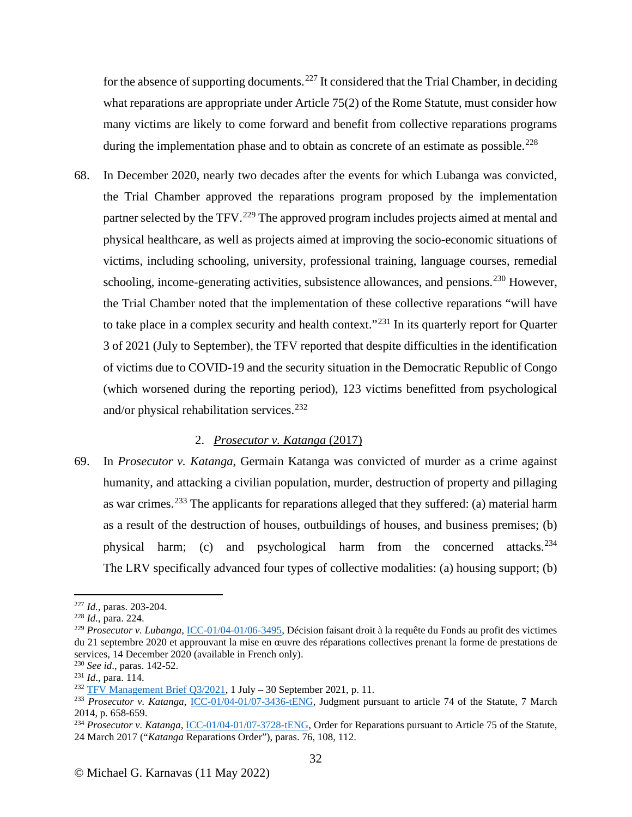for the absence of supporting documents.<sup>[227](#page-31-0)</sup> It considered that the Trial Chamber, in deciding what reparations are appropriate under Article 75(2) of the Rome Statute, must consider how many victims are likely to come forward and benefit from collective reparations programs during the implementation phase and to obtain as concrete of an estimate as possible.<sup>[228](#page-31-1)</sup>

68. In December 2020, nearly two decades after the events for which Lubanga was convicted, the Trial Chamber approved the reparations program proposed by the implementation partner selected by the TFV.<sup>[229](#page-31-2)</sup> The approved program includes projects aimed at mental and physical healthcare, as well as projects aimed at improving the socio-economic situations of victims, including schooling, university, professional training, language courses, remedial schooling, income-generating activities, subsistence allowances, and pensions.<sup>[230](#page-31-3)</sup> However, the Trial Chamber noted that the implementation of these collective reparations "will have to take place in a complex security and health context."<sup>[231](#page-31-4)</sup> In its quarterly report for Quarter 3 of 2021 (July to September), the TFV reported that despite difficulties in the identification of victims due to COVID-19 and the security situation in the Democratic Republic of Congo (which worsened during the reporting period), 123 victims benefitted from psychological and/or physical rehabilitation services.<sup>[232](#page-31-5)</sup>

## 2. *Prosecutor v. Katanga* (2017)

69. In *Prosecutor v. Katanga*, Germain Katanga was convicted of murder as a crime against humanity, and attacking a civilian population, murder, destruction of property and pillaging as war crimes.<sup>[233](#page-31-6)</sup> The applicants for reparations alleged that they suffered: (a) material harm as a result of the destruction of houses, outbuildings of houses, and business premises; (b) physical harm; (c) and psychological harm from the concerned attacks.<sup>[234](#page-31-7)</sup> The LRV specifically advanced four types of collective modalities: (a) housing support; (b)

<span id="page-31-0"></span><sup>227</sup> *Id.*, paras. 203-204. 228 *Id.*, para. 224.

<span id="page-31-1"></span>

<span id="page-31-2"></span><sup>229</sup> *Prosecutor v. Lubanga*, [ICC-01/04-01/06-3495,](https://www.icc-cpi.int/sites/default/files/CourtRecords/CR2021_01805.PDF) Décision faisant droit à la requête du Fonds au profit des victimes du 21 septembre 2020 et approuvant la mise en œuvre des réparations collectives prenant la forme de prestations de services, 14 December 2020 (available in French only).

<span id="page-31-4"></span>

<span id="page-31-3"></span><sup>&</sup>lt;sup>230</sup> *See id.*, paras. 142-52.<br><sup>231</sup> *Id.*, para. 114.<br><sup>232</sup> TFV Management Brief Q3/2021, 1 July – 30 September 2021, p. 11.

<span id="page-31-6"></span><span id="page-31-5"></span><sup>&</sup>lt;sup>233</sup> Prosecutor v. Katanga, <u>ICC-01/04-01/07-3436-tENG</u>, Judgment pursuant to article 74 of the Statute, 7 March<br>2014, p. 658-659.

<span id="page-31-7"></span><sup>&</sup>lt;sup>234</sup> *Prosecutor v. Katanga*, *ICC-01/04-01/07-3728-tENG*, Order for Reparations pursuant to Article 75 of the Statute, 24 March 2017 ("*Katanga* Reparations Order"), paras. 76, 108, 112.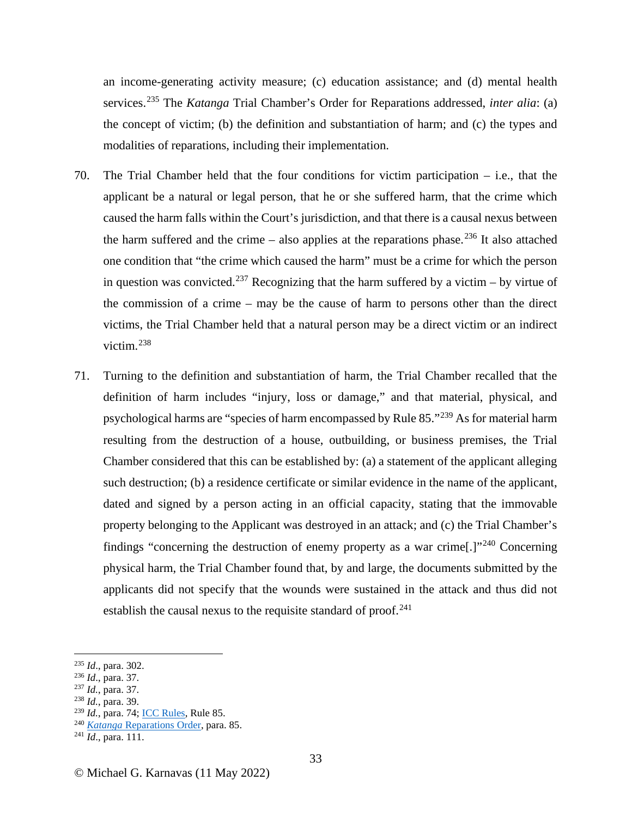an income-generating activity measure; (c) education assistance; and (d) mental health services.[235](#page-32-0) The *Katanga* Trial Chamber's Order for Reparations addressed, *inter alia*: (a) the concept of victim; (b) the definition and substantiation of harm; and (c) the types and modalities of reparations, including their implementation.

- 70. The Trial Chamber held that the four conditions for victim participation i.e., that the applicant be a natural or legal person, that he or she suffered harm, that the crime which caused the harm falls within the Court's jurisdiction, and that there is a causal nexus between the harm suffered and the crime  $-$  also applies at the reparations phase.<sup>[236](#page-32-1)</sup> It also attached one condition that "the crime which caused the harm" must be a crime for which the person in question was convicted.<sup>[237](#page-32-2)</sup> Recognizing that the harm suffered by a victim – by virtue of the commission of a crime – may be the cause of harm to persons other than the direct victims, the Trial Chamber held that a natural person may be a direct victim or an indirect victim. [238](#page-32-3)
- 71. Turning to the definition and substantiation of harm, the Trial Chamber recalled that the definition of harm includes "injury, loss or damage," and that material, physical, and psychological harms are "species of harm encompassed by Rule 85."[239](#page-32-4) As for material harm resulting from the destruction of a house, outbuilding, or business premises, the Trial Chamber considered that this can be established by: (a) a statement of the applicant alleging such destruction; (b) a residence certificate or similar evidence in the name of the applicant, dated and signed by a person acting in an official capacity, stating that the immovable property belonging to the Applicant was destroyed in an attack; and (c) the Trial Chamber's findings "concerning the destruction of enemy property as a war crime.]<sup>"[240](#page-32-5)</sup> Concerning physical harm, the Trial Chamber found that, by and large, the documents submitted by the applicants did not specify that the wounds were sustained in the attack and thus did not establish the causal nexus to the requisite standard of proof.<sup>[241](#page-32-6)</sup>

<span id="page-32-1"></span>

<span id="page-32-2"></span>

<span id="page-32-0"></span><sup>235</sup> *Id*., para. 302. 236 *Id*., para. 37. 237 *Id.*, para. 37. 238 *Id.*, para. 39.

<span id="page-32-3"></span>

<span id="page-32-4"></span><sup>239</sup> *Id.*, para. 74[; ICC Rules,](https://www.icc-cpi.int/sites/default/files/Publications/Rules-of-Procedure-and-Evidence.pdfhttps:/www.icc-cpi.int/sites/default/files/Publications/Rules-of-Procedure-and-Evidence.pdf) Rule 85.

<span id="page-32-6"></span><span id="page-32-5"></span><sup>240</sup> *Katanga* [Reparations Order,](https://www.icc-cpi.int/CourtRecords/CR2017_05121.PDF) para. 85. 241 *Id*., para. 111.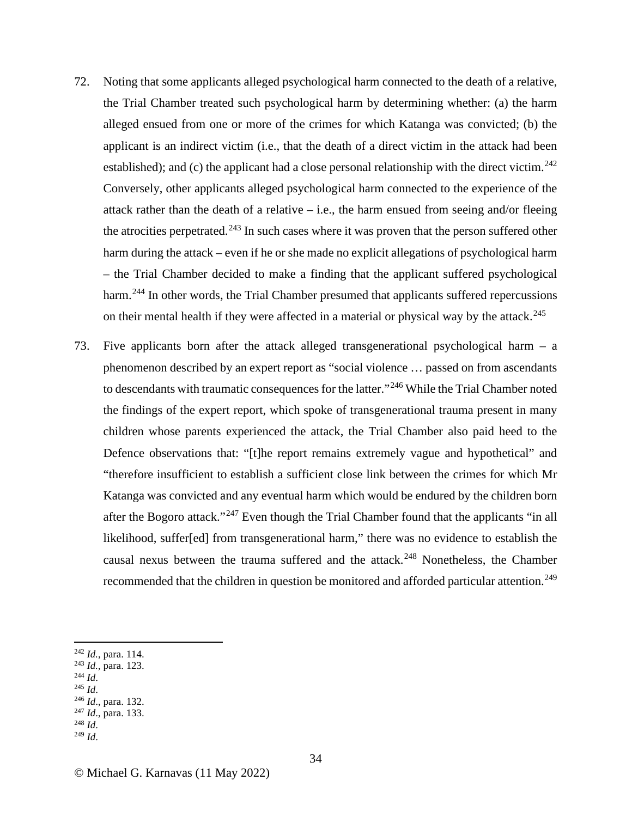- 72. Noting that some applicants alleged psychological harm connected to the death of a relative, the Trial Chamber treated such psychological harm by determining whether: (a) the harm alleged ensued from one or more of the crimes for which Katanga was convicted; (b) the applicant is an indirect victim (i.e., that the death of a direct victim in the attack had been established); and (c) the applicant had a close personal relationship with the direct victim.<sup>[242](#page-33-0)</sup> Conversely, other applicants alleged psychological harm connected to the experience of the attack rather than the death of a relative – i.e., the harm ensued from seeing and/or fleeing the atrocities perpetrated.<sup>[243](#page-33-1)</sup> In such cases where it was proven that the person suffered other harm during the attack – even if he or she made no explicit allegations of psychological harm – the Trial Chamber decided to make a finding that the applicant suffered psychological harm.<sup>[244](#page-33-2)</sup> In other words, the Trial Chamber presumed that applicants suffered repercussions on their mental health if they were affected in a material or physical way by the attack.<sup>[245](#page-33-3)</sup>
- 73. Five applicants born after the attack alleged transgenerational psychological harm a phenomenon described by an expert report as "social violence … passed on from ascendants to descendants with traumatic consequences for the latter."<sup>[246](#page-33-4)</sup> While the Trial Chamber noted the findings of the expert report, which spoke of transgenerational trauma present in many children whose parents experienced the attack, the Trial Chamber also paid heed to the Defence observations that: "[t]he report remains extremely vague and hypothetical" and "therefore insufficient to establish a sufficient close link between the crimes for which Mr Katanga was convicted and any eventual harm which would be endured by the children born after the Bogoro attack."[247](#page-33-5) Even though the Trial Chamber found that the applicants "in all likelihood, suffer[ed] from transgenerational harm," there was no evidence to establish the causal nexus between the trauma suffered and the attack.<sup>[248](#page-33-6)</sup> Nonetheless, the Chamber recommended that the children in question be monitored and afforded particular attention.<sup>[249](#page-33-7)</sup>

- <span id="page-33-3"></span><span id="page-33-2"></span>
- <span id="page-33-4"></span>
- <span id="page-33-1"></span><span id="page-33-0"></span>242 *Id.*, para. 114. 243 *Id.*, para. 123. 244 *Id*. 245 *Id*. 246 *Id*., para. 132. 247 *Id*., para. 133. 248 *Id*. 249 *Id*.

<span id="page-33-7"></span><span id="page-33-6"></span>

<span id="page-33-5"></span>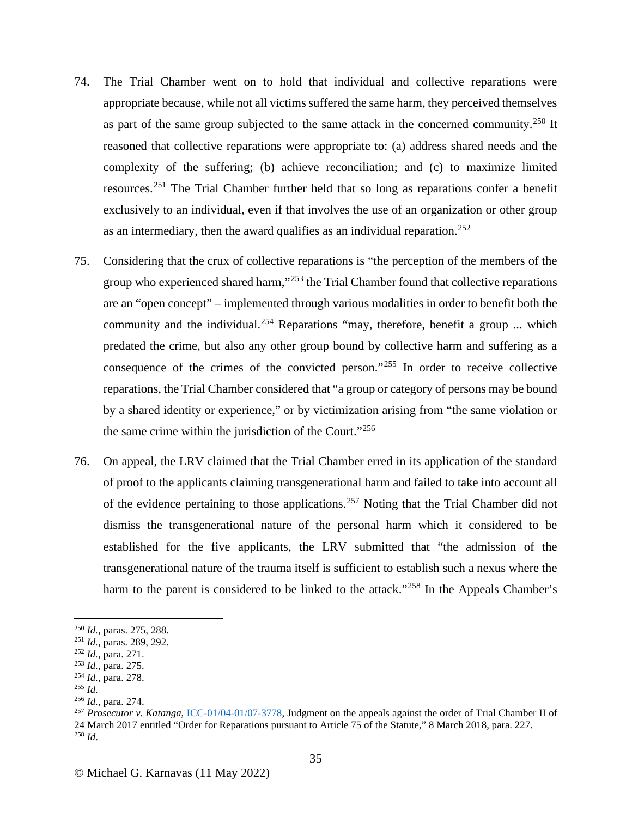- 74. The Trial Chamber went on to hold that individual and collective reparations were appropriate because, while not all victims suffered the same harm, they perceived themselves as part of the same group subjected to the same attack in the concerned community.<sup>[250](#page-34-0)</sup> It reasoned that collective reparations were appropriate to: (a) address shared needs and the complexity of the suffering; (b) achieve reconciliation; and (c) to maximize limited resources.[251](#page-34-1) The Trial Chamber further held that so long as reparations confer a benefit exclusively to an individual, even if that involves the use of an organization or other group as an intermediary, then the award qualifies as an individual reparation.<sup>[252](#page-34-2)</sup>
- 75. Considering that the crux of collective reparations is "the perception of the members of the group who experienced shared harm,"<sup>[253](#page-34-3)</sup> the Trial Chamber found that collective reparations are an "open concept" – implemented through various modalities in order to benefit both the community and the individual.<sup>[254](#page-34-4)</sup> Reparations "may, therefore, benefit a group ... which predated the crime, but also any other group bound by collective harm and suffering as a consequence of the crimes of the convicted person."[255](#page-34-5) In order to receive collective reparations, the Trial Chamber considered that "a group or category of persons may be bound by a shared identity or experience," or by victimization arising from "the same violation or the same crime within the jurisdiction of the Court."[256](#page-34-6)
- 76. On appeal, the LRV claimed that the Trial Chamber erred in its application of the standard of proof to the applicants claiming transgenerational harm and failed to take into account all of the evidence pertaining to those applications.<sup>[257](#page-34-7)</sup> Noting that the Trial Chamber did not dismiss the transgenerational nature of the personal harm which it considered to be established for the five applicants, the LRV submitted that "the admission of the transgenerational nature of the trauma itself is sufficient to establish such a nexus where the harm to the parent is considered to be linked to the attack."<sup>[258](#page-34-8)</sup> In the Appeals Chamber's

<span id="page-34-1"></span><span id="page-34-0"></span><sup>250</sup> *Id.*, paras. 275, 288. 251 *Id.*, paras. 289, 292. 252 *Id.*, para. 271.

<span id="page-34-2"></span>

<span id="page-34-3"></span>

<span id="page-34-4"></span><sup>253</sup> *Id.*, para. 275. 254 *Id.*, para. 278. 255 *Id.*

<span id="page-34-5"></span>

<span id="page-34-8"></span><span id="page-34-7"></span><span id="page-34-6"></span><sup>&</sup>lt;sup>256</sup> *Id.*, para. 274.<br><sup>257</sup> Prosecutor v. Katanga, <u>ICC-01/04-01/07-3778</u>, Judgment on the appeals against the order of Trial Chamber II of 24 March 2017 entitled "Order for Reparations pursuant to Article 75 of the Statute," 8 March 2018, para. 227. <sup>258</sup> *Id*.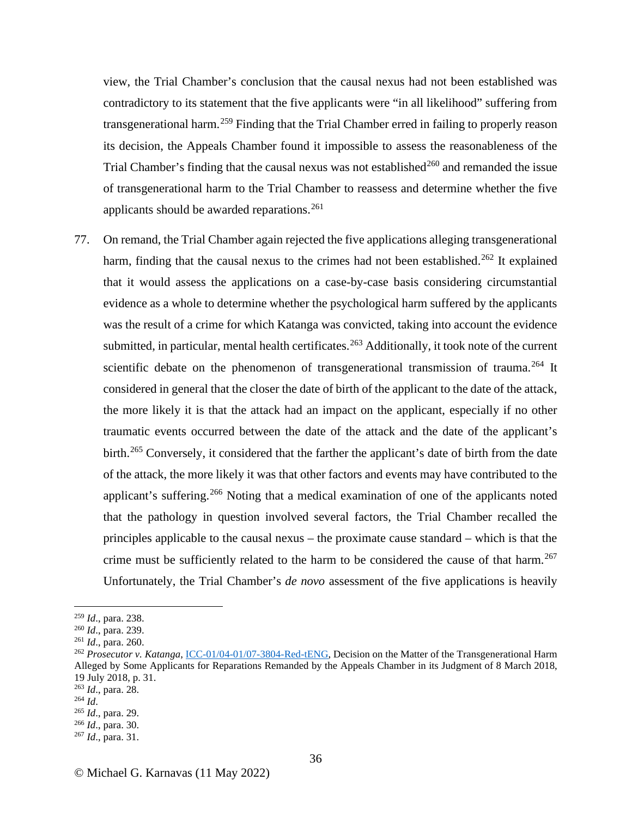view, the Trial Chamber's conclusion that the causal nexus had not been established was contradictory to its statement that the five applicants were "in all likelihood" suffering from transgenerational harm.<sup>[259](#page-35-0)</sup> Finding that the Trial Chamber erred in failing to properly reason its decision, the Appeals Chamber found it impossible to assess the reasonableness of the Trial Chamber's finding that the causal nexus was not established<sup>[260](#page-35-1)</sup> and remanded the issue of transgenerational harm to the Trial Chamber to reassess and determine whether the five applicants should be awarded reparations.<sup>[261](#page-35-2)</sup>

77. On remand, the Trial Chamber again rejected the five applications alleging transgenerational harm, finding that the causal nexus to the crimes had not been established.<sup>[262](#page-35-3)</sup> It explained that it would assess the applications on a case-by-case basis considering circumstantial evidence as a whole to determine whether the psychological harm suffered by the applicants was the result of a crime for which Katanga was convicted, taking into account the evidence submitted, in particular, mental health certificates.<sup>[263](#page-35-4)</sup> Additionally, it took note of the current scientific debate on the phenomenon of transgenerational transmission of trauma.<sup>[264](#page-35-5)</sup> It considered in general that the closer the date of birth of the applicant to the date of the attack, the more likely it is that the attack had an impact on the applicant, especially if no other traumatic events occurred between the date of the attack and the date of the applicant's birth.<sup>[265](#page-35-6)</sup> Conversely, it considered that the farther the applicant's date of birth from the date of the attack, the more likely it was that other factors and events may have contributed to the applicant's suffering.<sup>[266](#page-35-7)</sup> Noting that a medical examination of one of the applicants noted that the pathology in question involved several factors, the Trial Chamber recalled the principles applicable to the causal nexus – the proximate cause standard – which is that the crime must be sufficiently related to the harm to be considered the cause of that harm.<sup>[267](#page-35-8)</sup> Unfortunately, the Trial Chamber's *de novo* assessment of the five applications is heavily

<span id="page-35-1"></span>

<span id="page-35-3"></span><span id="page-35-2"></span>

<span id="page-35-0"></span><sup>&</sup>lt;sup>259</sup> *Id*., para. 238.<br><sup>260</sup> *Id.*, para. 239.<br><sup>261</sup> *Id.*, para. 260.<br><sup>262</sup> *Prosecutor v. Katanga*, [ICC-01/04-01/07-3804-Red-tENG,](https://www.icc-cpi.int/sites/default/files/CourtRecords/CR2018_04641.PDF) Decision on the Matter of the Transgenerational Harm Alleged by Some Applicants for Reparations Remanded by the Appeals Chamber in its Judgment of 8 March 2018, 19 July 2018, p. 31.

<span id="page-35-6"></span><span id="page-35-5"></span>

<span id="page-35-7"></span>

<span id="page-35-4"></span><sup>263</sup> *Id*., para. 28. 264 *Id*. 265 *Id*., para. 29. 266 *Id*., para. 30. 267 *Id*., para. 31.

<span id="page-35-8"></span>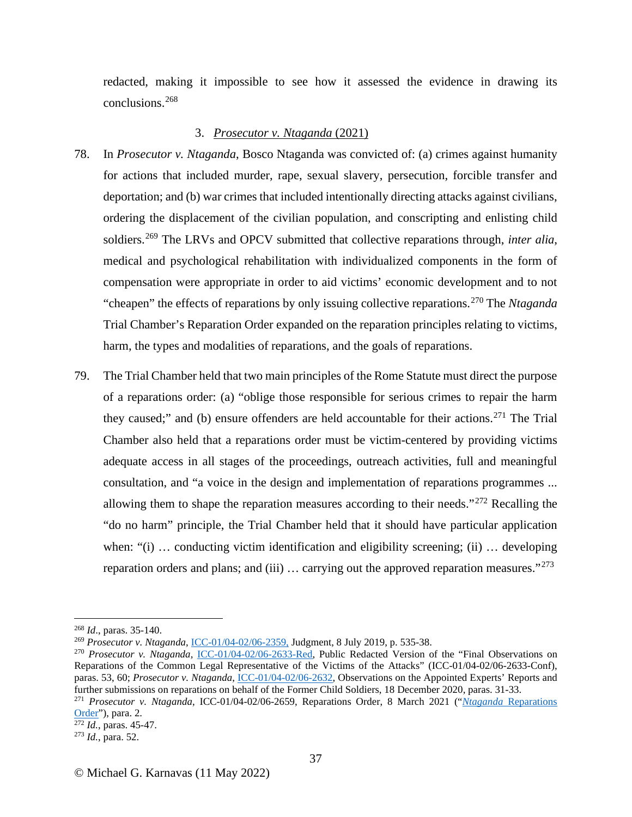redacted, making it impossible to see how it assessed the evidence in drawing its conclusions.[268](#page-36-0)

## 3. *Prosecutor v. Ntaganda* (2021)

- 78. In *Prosecutor v. Ntaganda*, Bosco Ntaganda was convicted of: (a) crimes against humanity for actions that included murder, rape, sexual slavery, persecution, forcible transfer and deportation; and (b) war crimes that included intentionally directing attacks against civilians, ordering the displacement of the civilian population, and conscripting and enlisting child soldiers.[269](#page-36-1) The LRVs and OPCV submitted that collective reparations through, *inter alia*, medical and psychological rehabilitation with individualized components in the form of compensation were appropriate in order to aid victims' economic development and to not "cheapen" the effects of reparations by only issuing collective reparations.[270](#page-36-2) The *Ntaganda*  Trial Chamber's Reparation Order expanded on the reparation principles relating to victims, harm, the types and modalities of reparations, and the goals of reparations.
- 79. The Trial Chamber held that two main principles of the Rome Statute must direct the purpose of a reparations order: (a) "oblige those responsible for serious crimes to repair the harm they caused;" and (b) ensure offenders are held accountable for their actions.<sup>[271](#page-36-3)</sup> The Trial Chamber also held that a reparations order must be victim-centered by providing victims adequate access in all stages of the proceedings, outreach activities, full and meaningful consultation, and "a voice in the design and implementation of reparations programmes ... allowing them to shape the reparation measures according to their needs." $272$  Recalling the "do no harm" principle, the Trial Chamber held that it should have particular application when: " $(i)$  ... conducting victim identification and eligibility screening;  $(ii)$  ... developing reparation orders and plans; and (iii)  $\ldots$  carrying out the approved reparation measures."<sup>[273](#page-36-5)</sup>

<span id="page-36-0"></span><sup>&</sup>lt;sup>268</sup> *Id.*, paras. 35-140.<br><sup>269</sup> Prosecutor v. Ntaganda, <u>ICC-01/04-02/06-2359</u>, Judgment, 8 July 2019, p. 535-38.

<span id="page-36-2"></span><span id="page-36-1"></span><sup>&</sup>lt;sup>270</sup> Prosecutor v. Ntaganda, [ICC-01/04-02/06-2633-Red,](https://www.icc-cpi.int/CourtRecords/CR2020_07644.PDF) Public Redacted Version of the "Final Observations on Reparations of the Common Legal Representative of the Victims of the Attacks" (ICC-01/04-02/06-2633-Conf), paras. 53, 60; *Prosecutor v. Ntaganda*, [ICC-01/04-02/06-2632,](https://www.icc-cpi.int/CourtRecords/CR2020_07568.PDF) Observations on the Appointed Experts' Reports and further submissions on reparations on behalf of the Former Child Soldiers, 18 December 2020, paras. 31-33.<br><sup>271</sup> Prosecutor v. Ntaganda, ICC-01/04-02/06-2659, [Reparations](https://www.icc-cpi.int/CourtRecords/CR2021_01889.PDF) Order, 8 March 2021 ("Ntaganda Reparations")

<span id="page-36-3"></span>[Order"](https://www.icc-cpi.int/CourtRecords/CR2021_01889.PDF)), para. 2. 272 *Id.*, paras. 45-47. 273 *Id.*, para. 52.

<span id="page-36-4"></span>

<span id="page-36-5"></span>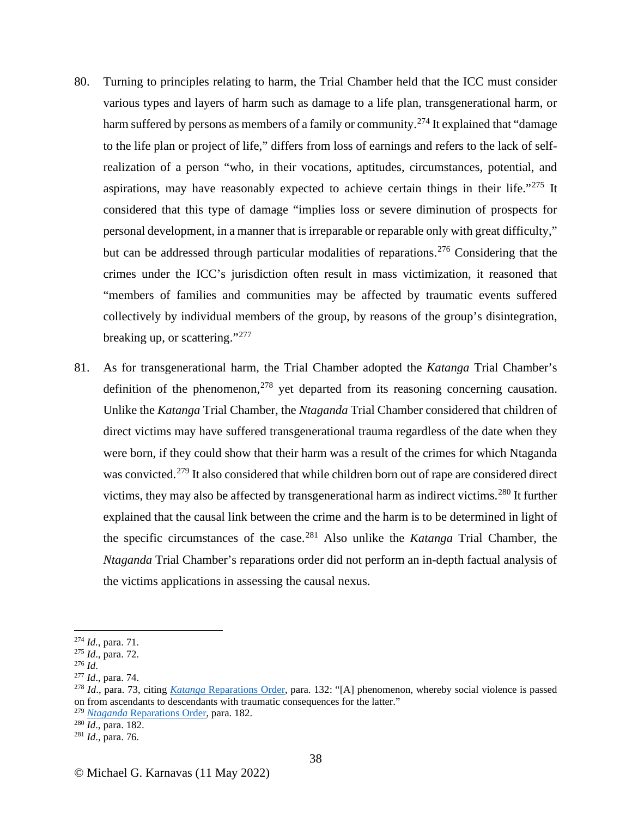- 80. Turning to principles relating to harm, the Trial Chamber held that the ICC must consider various types and layers of harm such as damage to a life plan, transgenerational harm, or harm suffered by persons as members of a family or community.<sup>[274](#page-37-0)</sup> It explained that "damage to the life plan or project of life," differs from loss of earnings and refers to the lack of selfrealization of a person "who, in their vocations, aptitudes, circumstances, potential, and aspirations, may have reasonably expected to achieve certain things in their life."<sup>[275](#page-37-1)</sup> It considered that this type of damage "implies loss or severe diminution of prospects for personal development, in a manner that is irreparable or reparable only with great difficulty," but can be addressed through particular modalities of reparations.<sup>[276](#page-37-2)</sup> Considering that the crimes under the ICC's jurisdiction often result in mass victimization, it reasoned that "members of families and communities may be affected by traumatic events suffered collectively by individual members of the group, by reasons of the group's disintegration, breaking up, or scattering."<sup>[277](#page-37-3)</sup>
- 81. As for transgenerational harm, the Trial Chamber adopted the *Katanga* Trial Chamber's definition of the phenomenon,  $278$  yet departed from its reasoning concerning causation. Unlike the *Katanga* Trial Chamber, the *Ntaganda* Trial Chamber considered that children of direct victims may have suffered transgenerational trauma regardless of the date when they were born, if they could show that their harm was a result of the crimes for which Ntaganda was convicted.<sup>[279](#page-37-5)</sup> It also considered that while children born out of rape are considered direct victims, they may also be affected by transgenerational harm as indirect victims.[280](#page-37-6) It further explained that the causal link between the crime and the harm is to be determined in light of the specific circumstances of the case.[281](#page-37-7) Also unlike the *Katanga* Trial Chamber, the *Ntaganda* Trial Chamber's reparations order did not perform an in-depth factual analysis of the victims applications in assessing the causal nexus.

<span id="page-37-5"></span><sup>279</sup> *Ntaganda* [Reparations Order,](https://www.icc-cpi.int/CourtRecords/CR2021_01889.PDF) para. 182. 280 *Id*., para. 182. 281 *Id*., para. 76.

<span id="page-37-1"></span>

<span id="page-37-3"></span><span id="page-37-2"></span>

<span id="page-37-4"></span>

<span id="page-37-0"></span><sup>274</sup> *Id.*, para. 71.<br>
<sup>275</sup> *Id.*, para. 72.<br>
<sup>276</sup> *Id.*, para. 74.<br>
<sup>278</sup> *Id.*, para. 73, citing *Katanga* [Reparations Order,](https://www.icc-cpi.int/CourtRecords/CR2017_05121.PDF) para. 132: "[A] phenomenon, whereby social violence is passed on from ascendants to descendants with traumatic consequences for the latter."

<span id="page-37-6"></span>

<span id="page-37-7"></span>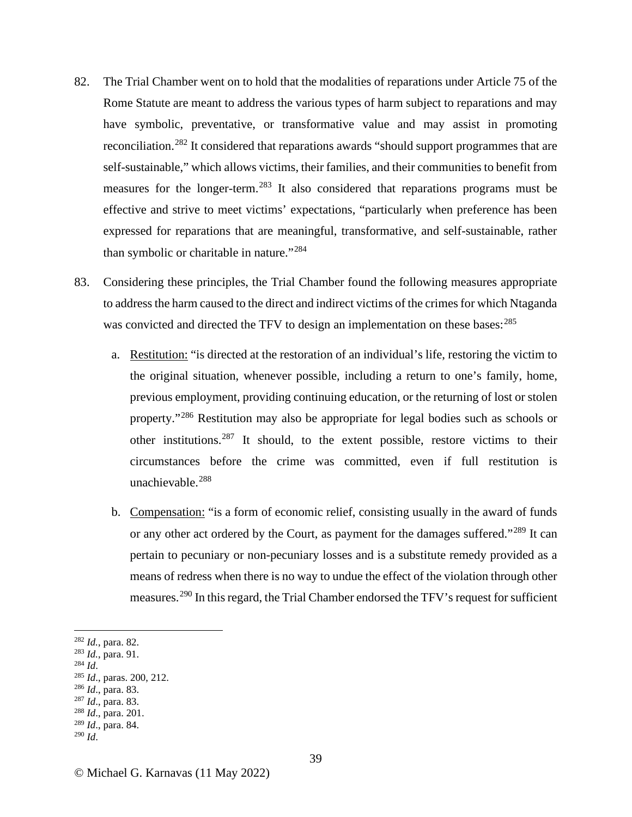- 82. The Trial Chamber went on to hold that the modalities of reparations under Article 75 of the Rome Statute are meant to address the various types of harm subject to reparations and may have symbolic, preventative, or transformative value and may assist in promoting reconciliation.<sup>[282](#page-38-0)</sup> It considered that reparations awards "should support programmes that are self-sustainable," which allows victims, their families, and their communities to benefit from measures for the longer-term.[283](#page-38-1) It also considered that reparations programs must be effective and strive to meet victims' expectations, "particularly when preference has been expressed for reparations that are meaningful, transformative, and self-sustainable, rather than symbolic or charitable in nature."[284](#page-38-2)
- 83. Considering these principles, the Trial Chamber found the following measures appropriate to address the harm caused to the direct and indirect victims of the crimes for which Ntaganda was convicted and directed the TFV to design an implementation on these bases:  $^{285}$  $^{285}$  $^{285}$ 
	- a. Restitution: "is directed at the restoration of an individual's life, restoring the victim to the original situation, whenever possible, including a return to one's family, home, previous employment, providing continuing education, or the returning of lost or stolen property."[286](#page-38-4) Restitution may also be appropriate for legal bodies such as schools or other institutions.[287](#page-38-5) It should, to the extent possible, restore victims to their circumstances before the crime was committed, even if full restitution is unachievable.<sup>[288](#page-38-6)</sup>
	- b. Compensation: "is a form of economic relief, consisting usually in the award of funds or any other act ordered by the Court, as payment for the damages suffered."[289](#page-38-7) It can pertain to pecuniary or non-pecuniary losses and is a substitute remedy provided as a means of redress when there is no way to undue the effect of the violation through other measures.[290](#page-38-8) In this regard, the Trial Chamber endorsed the TFV's request for sufficient

- <span id="page-38-4"></span>
- <span id="page-38-5"></span>
- <span id="page-38-7"></span><span id="page-38-6"></span><sup>289</sup> *Id*., para. 84.
- <span id="page-38-8"></span><sup>290</sup> *Id*.

<span id="page-38-1"></span>

<span id="page-38-3"></span><span id="page-38-2"></span>

<span id="page-38-0"></span><sup>282</sup> *Id.*, para. 82.<br>
<sup>283</sup> *Id.*, para. 91.<br>
<sup>284</sup> *Id.*, paras. 200, 212.<br>
<sup>286</sup> *Id.*, para. 83.<br>
<sup>287</sup> *Id.*, para. 83.<br>
<sup>288</sup> *Id.*, para. 201.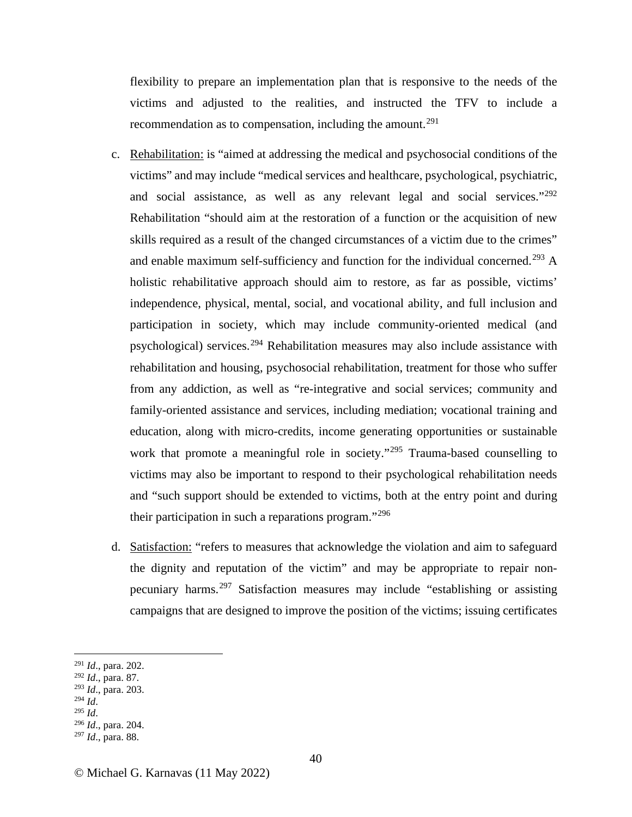flexibility to prepare an implementation plan that is responsive to the needs of the victims and adjusted to the realities, and instructed the TFV to include a recommendation as to compensation, including the amount.<sup>[291](#page-39-0)</sup>

- c. Rehabilitation: is "aimed at addressing the medical and psychosocial conditions of the victims" and may include "medical services and healthcare, psychological, psychiatric, and social assistance, as well as any relevant legal and social services."[292](#page-39-1) Rehabilitation "should aim at the restoration of a function or the acquisition of new skills required as a result of the changed circumstances of a victim due to the crimes" and enable maximum self-sufficiency and function for the individual concerned.<sup>[293](#page-39-2)</sup> A holistic rehabilitative approach should aim to restore, as far as possible, victims' independence, physical, mental, social, and vocational ability, and full inclusion and participation in society, which may include community-oriented medical (and psychological) services.<sup>[294](#page-39-3)</sup> Rehabilitation measures may also include assistance with rehabilitation and housing, psychosocial rehabilitation, treatment for those who suffer from any addiction, as well as "re-integrative and social services; community and family-oriented assistance and services, including mediation; vocational training and education, along with micro-credits, income generating opportunities or sustainable work that promote a meaningful role in society."<sup>[295](#page-39-4)</sup> Trauma-based counselling to victims may also be important to respond to their psychological rehabilitation needs and "such support should be extended to victims, both at the entry point and during their participation in such a reparations program."[296](#page-39-5)
- d. Satisfaction: "refers to measures that acknowledge the violation and aim to safeguard the dignity and reputation of the victim" and may be appropriate to repair nonpecuniary harms.[297](#page-39-6) Satisfaction measures may include "establishing or assisting campaigns that are designed to improve the position of the victims; issuing certificates

- <span id="page-39-1"></span><sup>292</sup> *Id*., para. 87.
- <span id="page-39-3"></span><span id="page-39-2"></span><sup>293</sup> *Id*., para. 203.
- 

<span id="page-39-0"></span><sup>291</sup> *Id*., para. 202.

<span id="page-39-4"></span><sup>294</sup> *Id*. 295 *Id*. 296 *Id*., para. 204.

<span id="page-39-6"></span><span id="page-39-5"></span><sup>297</sup> *Id*., para. 88.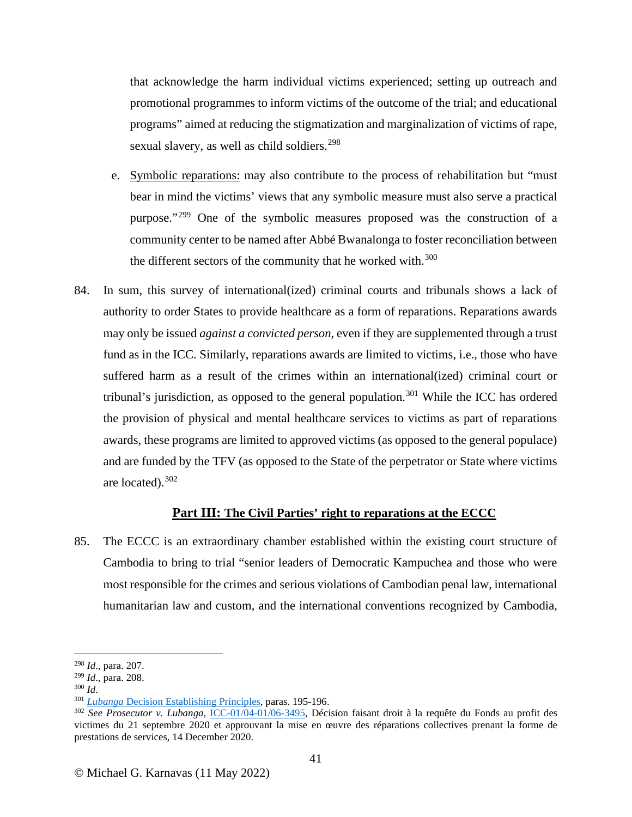that acknowledge the harm individual victims experienced; setting up outreach and promotional programmes to inform victims of the outcome of the trial; and educational programs" aimed at reducing the stigmatization and marginalization of victims of rape, sexual slavery, as well as child soldiers.<sup>[298](#page-40-0)</sup>

- e. Symbolic reparations: may also contribute to the process of rehabilitation but "must bear in mind the victims' views that any symbolic measure must also serve a practical purpose."[299](#page-40-1) One of the symbolic measures proposed was the construction of a community center to be named after Abbé Bwanalonga to foster reconciliation between the different sectors of the community that he worked with.<sup>[300](#page-40-2)</sup>
- 84. In sum, this survey of international(ized) criminal courts and tribunals shows a lack of authority to order States to provide healthcare as a form of reparations. Reparations awards may only be issued *against a convicted person*, even if they are supplemented through a trust fund as in the ICC. Similarly, reparations awards are limited to victims, i.e., those who have suffered harm as a result of the crimes within an international(ized) criminal court or tribunal's jurisdiction, as opposed to the general population.<sup>[301](#page-40-3)</sup> While the ICC has ordered the provision of physical and mental healthcare services to victims as part of reparations awards, these programs are limited to approved victims (as opposed to the general populace) and are funded by the TFV (as opposed to the State of the perpetrator or State where victims are located).  $302$

## **Part III: The Civil Parties' right to reparations at the ECCC**

85. The ECCC is an extraordinary chamber established within the existing court structure of Cambodia to bring to trial "senior leaders of Democratic Kampuchea and those who were most responsible for the crimes and serious violations of Cambodian penal law, international humanitarian law and custom, and the international conventions recognized by Cambodia,

<span id="page-40-0"></span><sup>&</sup>lt;sup>298</sup> *Id.*, para. 207.<br><sup>299</sup> *Id.*, para. 208.

<span id="page-40-4"></span>

<span id="page-40-3"></span><span id="page-40-2"></span><span id="page-40-1"></span><sup>&</sup>lt;sup>300</sup> Id.<br><sup>301</sup> Lubanga [Decision Establishing Principles,](https://www.icc-cpi.int/CourtRecords/CR2012_07872.PDF) paras. 195-196.<br><sup>302</sup> See Prosecutor v. Lubanga, [ICC-01/04-01/06-3495,](https://www.icc-cpi.int/sites/default/files/CourtRecords/CR2021_01805.PDF) Décision faisant droit à la requête du Fonds au profit des victimes du 21 septembre 2020 et approuvant la mise en œuvre des réparations collectives prenant la forme de prestations de services, 14 December 2020.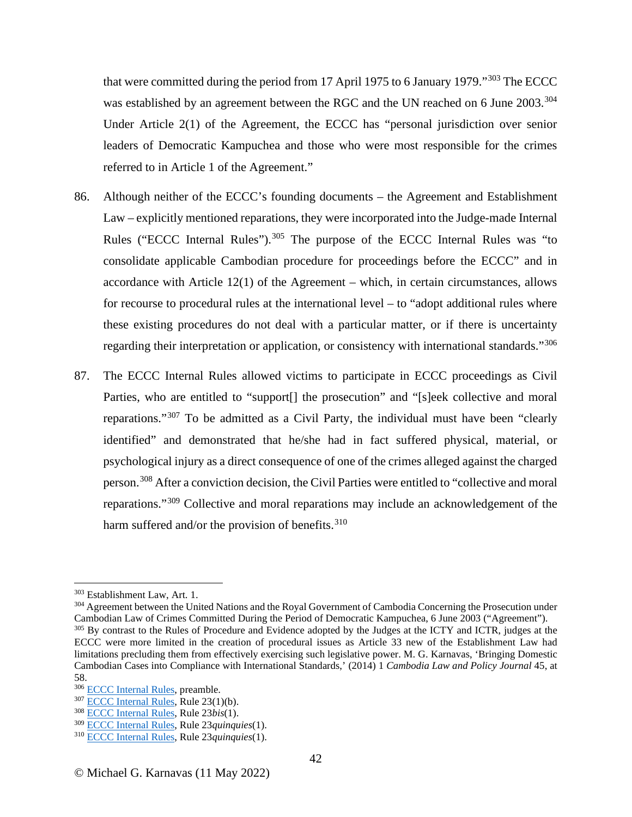that were committed during the period from 17 April 1975 to 6 January 1979."[303](#page-41-0) The ECCC was established by an agreement between the RGC and the UN reached on 6 June 2003.<sup>[304](#page-41-1)</sup> Under Article 2(1) of the Agreement, the ECCC has "personal jurisdiction over senior leaders of Democratic Kampuchea and those who were most responsible for the crimes referred to in Article 1 of the Agreement."

- 86. Although neither of the ECCC's founding documents the Agreement and Establishment Law – explicitly mentioned reparations, they were incorporated into the Judge-made Internal Rules ("ECCC Internal Rules").<sup>[305](#page-41-2)</sup> The purpose of the ECCC Internal Rules was "to consolidate applicable Cambodian procedure for proceedings before the ECCC" and in accordance with Article 12(1) of the Agreement – which, in certain circumstances, allows for recourse to procedural rules at the international level – to "adopt additional rules where these existing procedures do not deal with a particular matter, or if there is uncertainty regarding their interpretation or application, or consistency with international standards."[306](#page-41-3)
- 87. The ECCC Internal Rules allowed victims to participate in ECCC proceedings as Civil Parties, who are entitled to "support[] the prosecution" and "[s]eek collective and moral reparations."[307](#page-41-4) To be admitted as a Civil Party, the individual must have been "clearly identified" and demonstrated that he/she had in fact suffered physical, material, or psychological injury as a direct consequence of one of the crimes alleged against the charged person.[308](#page-41-5) After a conviction decision, the Civil Parties were entitled to "collective and moral reparations."[309](#page-41-6) Collective and moral reparations may include an acknowledgement of the harm suffered and/or the provision of benefits.<sup>[310](#page-41-7)</sup>

<span id="page-41-1"></span><span id="page-41-0"></span><sup>&</sup>lt;sup>303</sup> Establishment Law, Art. 1.<br><sup>304</sup> Agreement between the United Nations and the Royal Government of Cambodia Concerning the Prosecution under<br>Cambodian Law of Crimes Committed During the Period of Democratic Kampuchea, <sup>305</sup> By contrast to the Rules of Procedure and Evidence adopted by the Judges at the ICTY and ICTR, judges at the

<span id="page-41-2"></span>ECCC were more limited in the creation of procedural issues as Article 33 new of the Establishment Law had limitations precluding them from effectively exercising such legislative power. M. G. Karnavas, 'Bringing Domestic Cambodian Cases into Compliance with International Standards,' (2014) 1 *Cambodia Law and Policy Journal* 45, at

<span id="page-41-3"></span><sup>58.&</sup>lt;br><sup>306</sup> ECCC Internal Rules, preamble.

<span id="page-41-5"></span><span id="page-41-4"></span><sup>&</sup>lt;sup>307</sup> [ECCC Internal Rules,](https://www.eccc.gov.kh/sites/default/files/legal-documents/Internal_Rules_Rev_9_Eng.pdf) Rule 23(1)(b).<br><sup>308</sup> ECCC Internal Rules, Rule 23*bis*(1).

<span id="page-41-6"></span><sup>309</sup> ECCC Internal Rules, Rule 23*quinquies*(1). 310 [ECCC Internal Rules,](https://www.eccc.gov.kh/sites/default/files/legal-documents/Internal_Rules_Rev_9_Eng.pdf) Rule 23*quinquies*(1).

<span id="page-41-7"></span>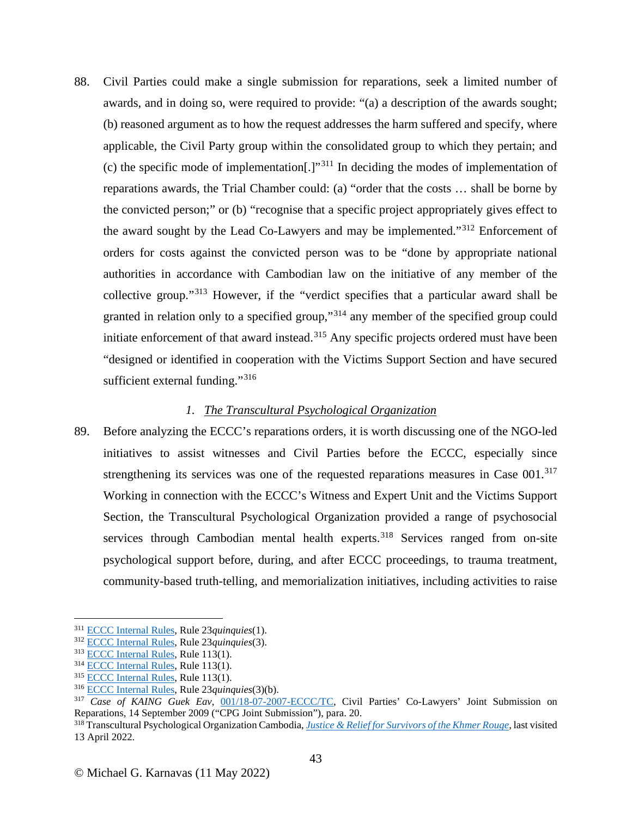88. Civil Parties could make a single submission for reparations, seek a limited number of awards, and in doing so, were required to provide: "(a) a description of the awards sought; (b) reasoned argument as to how the request addresses the harm suffered and specify, where applicable, the Civil Party group within the consolidated group to which they pertain; and (c) the specific mode of implementation[.]"<sup>[311](#page-42-0)</sup> In deciding the modes of implementation of reparations awards, the Trial Chamber could: (a) "order that the costs … shall be borne by the convicted person;" or (b) "recognise that a specific project appropriately gives effect to the award sought by the Lead Co-Lawyers and may be implemented."[312](#page-42-1) Enforcement of orders for costs against the convicted person was to be "done by appropriate national authorities in accordance with Cambodian law on the initiative of any member of the collective group."[313](#page-42-2) However, if the "verdict specifies that a particular award shall be granted in relation only to a specified group,"[314](#page-42-3) any member of the specified group could initiate enforcement of that award instead.<sup>[315](#page-42-4)</sup> Any specific projects ordered must have been "designed or identified in cooperation with the Victims Support Section and have secured sufficient external funding." $316$ 

# *1. The Transcultural Psychological Organization*

89. Before analyzing the ECCC's reparations orders, it is worth discussing one of the NGO-led initiatives to assist witnesses and Civil Parties before the ECCC, especially since strengthening its services was one of the requested reparations measures in Case 001.<sup>[317](#page-42-6)</sup> Working in connection with the ECCC's Witness and Expert Unit and the Victims Support Section, the Transcultural Psychological Organization provided a range of psychosocial services through Cambodian mental health experts.<sup>[318](#page-42-7)</sup> Services ranged from on-site psychological support before, during, and after ECCC proceedings, to trauma treatment, community-based truth-telling, and memorialization initiatives, including activities to raise

<span id="page-42-1"></span><span id="page-42-0"></span><sup>&</sup>lt;sup>311</sup> <u>ECCC Internal Rules</u>, Rule 23*quinquies*(1).<br>
<sup>312</sup> <u>ECCC Internal Rules</u>, Rule 23*quinquies*(3).<br>
<sup>313</sup> [ECCC Internal Rules,](https://www.eccc.gov.kh/sites/default/files/legal-documents/Internal_Rules_Rev_9_Eng.pdf) Rule 113(1).<br>
<sup>314</sup> ECCC Internal Rules, Rule 113(1).<br>
<sup>315</sup> ECCC Internal Rules, Rule 1

<span id="page-42-3"></span><span id="page-42-2"></span>

<span id="page-42-4"></span>

<span id="page-42-5"></span>

<span id="page-42-6"></span><sup>317</sup> *Case of KAING Guek Eav*, [001/18-07-2007-ECCC/TC,](https://www.eccc.gov.kh/sites/default/files/documents/courtdoc/E159_3_EN.pdf) Civil Parties' Co-Lawyers' Joint Submission on Reparations, 14 September 2009 ("CPG Joint Submission"), para. 20.

<span id="page-42-7"></span><sup>318</sup> Transcultural Psychological Organization Cambodia, *[Justice & Relief for Survivors of the Khmer Rouge](https://tpocambodia.org/justice-and-relief-for-survivors-of-the-khmer-rouge/)*, last visited 13 April 2022.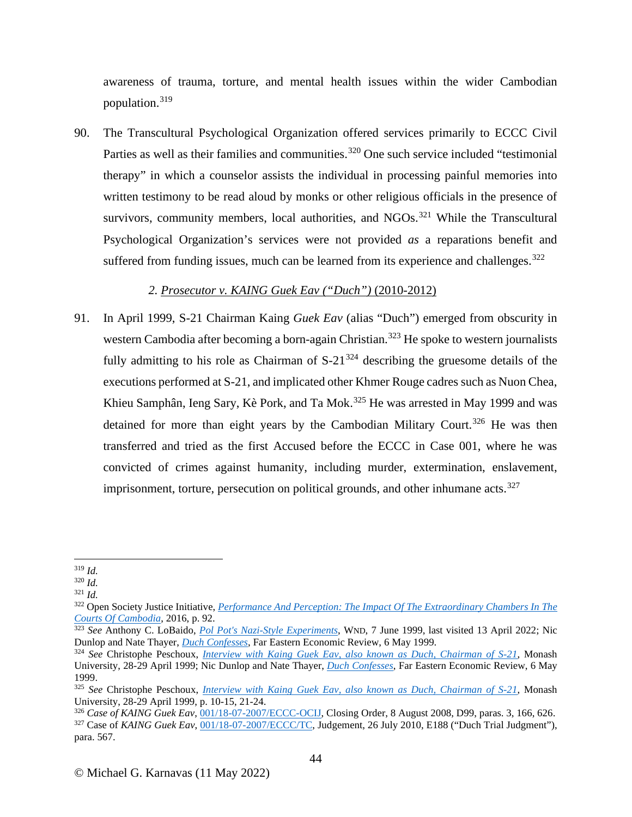awareness of trauma, torture, and mental health issues within the wider Cambodian population.[319](#page-43-0)

90. The Transcultural Psychological Organization offered services primarily to ECCC Civil Parties as well as their families and communities.<sup>[320](#page-43-1)</sup> One such service included "testimonial" therapy" in which a counselor assists the individual in processing painful memories into written testimony to be read aloud by monks or other religious officials in the presence of survivors, community members, local authorities, and  $NGOs.$ <sup>[321](#page-43-2)</sup> While the Transcultural Psychological Organization's services were not provided *as* a reparations benefit and suffered from funding issues, much can be learned from its experience and challenges.<sup>[322](#page-43-3)</sup>

## *2. Prosecutor v. KAING Guek Eav ("Duch")* (2010-2012)

91. In April 1999, S-21 Chairman Kaing *Guek Eav* (alias "Duch") emerged from obscurity in western Cambodia after becoming a born-again Christian.<sup>[323](#page-43-4)</sup> He spoke to western journalists fully admitting to his role as Chairman of  $S-21^{324}$  $S-21^{324}$  $S-21^{324}$  describing the gruesome details of the executions performed at S-21, and implicated other Khmer Rouge cadres such as Nuon Chea, Khieu Samphân, Ieng Sary, Kè Pork, and Ta Mok.<sup>[325](#page-43-6)</sup> He was arrested in May 1999 and was detained for more than eight years by the Cambodian Military Court.<sup>[326](#page-43-7)</sup> He was then transferred and tried as the first Accused before the ECCC in Case 001, where he was convicted of crimes against humanity, including murder, extermination, enslavement, imprisonment, torture, persecution on political grounds, and other inhumane  $acts.327$  $acts.327$ 

<span id="page-43-0"></span><sup>319</sup> *Id.* 

<span id="page-43-1"></span><sup>320</sup> *Id.* 

<span id="page-43-2"></span><sup>321</sup> *Id.* 

<span id="page-43-3"></span><sup>322</sup> Open Society Justice Initiative, *[Performance And Perception: The Impact Of The Extraordinary Chambers In The](https://www.justiceinitiative.org/uploads/106d6a5a-c109-4952-a4e8-7097f8e0b452/performance-perception-eccc-20160211.pdf.)  [Courts Of Cambodia](https://www.justiceinitiative.org/uploads/106d6a5a-c109-4952-a4e8-7097f8e0b452/performance-perception-eccc-20160211.pdf.)*, 2016, p. 92.

<span id="page-43-4"></span><sup>&</sup>lt;sup>323</sup> *See* Anthony C. LoBaido, *[Pol Pot's Nazi-Style Experiments](http://www.wnd.com/1999/06/3715/)*, WND, 7 June 1999, last visited 13 April 2022; Nic<br>Dunlop and Nate Thayer, *Duch Confesses*, Far Eastern Economic Review, 6 May 1999.

<span id="page-43-5"></span><sup>&</sup>lt;sup>324</sup> See Christophe Peschoux[,](http://natethayer.typepad.com/blog/2011/11/duch-confesses-he-was-the-chief-executioner-in-one-of-historys-most-murderous-regimes-now-hes-a-born.html) *[Interview with Kaing Guek Eav, also known as Duch, Chairman of S-21](https://repository.monash.edu/items/show/1304#?c=0&m=0&s=0&cv=0)*, Monash University, 28-29 April 1999; Nic Dunlop and Nate Thayer, *[Duch Confesses](http://natethayer.typepad.com/blog/2011/11/duch-confesses-he-was-the-chief-executioner-in-one-of-historys-most-murderous-regimes-now-hes-a-born.html)*, Far Eastern Economic Review, 6 May 1999.

<span id="page-43-6"></span><sup>325</sup> *See* Christophe Peschoux, *[Interview with Kaing Guek Eav, also known as Duch, Chairman of S-21](https://repository.monash.edu/items/show/1304#?c=0&m=0&s=0&cv=0)*, Monash University, 28-29 April 1999, p. 10-15, 21-24.<br><sup>326</sup> Case of KAING Guek Eav, 001/18-07-2007/ECCC-OCIJ, Closing Order, 8 August 2008, D99, paras. 3, 166, 626.

<span id="page-43-8"></span><span id="page-43-7"></span><sup>&</sup>lt;sup>327</sup> Case of KAING Guek Eav, [001/18-07-2007/ECCC/TC,](https://www.eccc.gov.kh/sites/default/files/documents/courtdoc/20100726_Judgement_Case_001_ENG_PUBLIC.pdf) Judgement, 26 July 2010, E188 ("Duch Trial Judgment"), para. 567.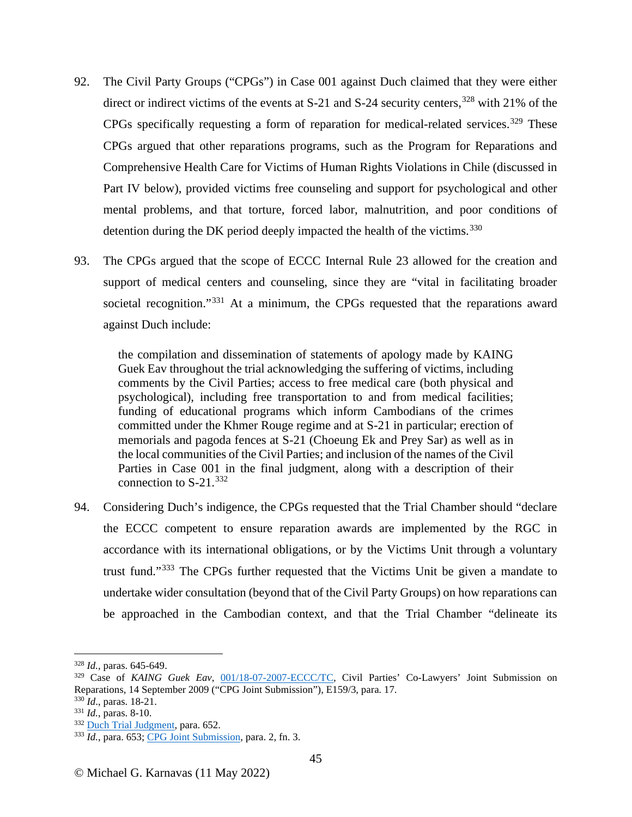- 92. The Civil Party Groups ("CPGs") in Case 001 against Duch claimed that they were either direct or indirect victims of the events at  $S-21$  and  $S-24$  security centers,  $328$  with 21% of the CPGs specifically requesting a form of reparation for medical-related services.<sup>[329](#page-44-1)</sup> These CPGs argued that other reparations programs, such as the Program for Reparations and Comprehensive Health Care for Victims of Human Rights Violations in Chile (discussed in Part IV below), provided victims free counseling and support for psychological and other mental problems, and that torture, forced labor, malnutrition, and poor conditions of detention during the DK period deeply impacted the health of the victims.<sup>[330](#page-44-2)</sup>
- 93. The CPGs argued that the scope of ECCC Internal Rule 23 allowed for the creation and support of medical centers and counseling, since they are "vital in facilitating broader societal recognition."<sup>[331](#page-44-3)</sup> At a minimum, the CPGs requested that the reparations award against Duch include:

the compilation and dissemination of statements of apology made by KAING Guek Eav throughout the trial acknowledging the suffering of victims, including comments by the Civil Parties; access to free medical care (both physical and psychological), including free transportation to and from medical facilities; funding of educational programs which inform Cambodians of the crimes committed under the Khmer Rouge regime and at S-21 in particular; erection of memorials and pagoda fences at S-21 (Choeung Ek and Prey Sar) as well as in the local communities of the Civil Parties; and inclusion of the names of the Civil Parties in Case 001 in the final judgment, along with a description of their connection to  $S-21$ .<sup>[332](#page-44-4)</sup>

94. Considering Duch's indigence, the CPGs requested that the Trial Chamber should "declare the ECCC competent to ensure reparation awards are implemented by the RGC in accordance with its international obligations, or by the Victims Unit through a voluntary trust fund."[333](#page-44-5) The CPGs further requested that the Victims Unit be given a mandate to undertake wider consultation (beyond that of the Civil Party Groups) on how reparations can be approached in the Cambodian context, and that the Trial Chamber "delineate its

<span id="page-44-0"></span><sup>328</sup> *Id.,* paras. 645-649.

<span id="page-44-1"></span><sup>329</sup> Case of *KAING Guek Eav*, [001/18-07-2007-ECCC/TC,](https://www.eccc.gov.kh/sites/default/files/documents/courtdoc/E159_3_EN.pdf) Civil Parties' Co-Lawyers' Joint Submission on Reparations, 14 September 2009 ("CPG Joint Submission"), E159/3, para. 17.

<span id="page-44-5"></span><span id="page-44-4"></span>

<span id="page-44-3"></span><span id="page-44-2"></span><sup>&</sup>lt;sup>330</sup> *Id.*, paras. 18-21.<br><sup>331</sup> *Id.*, paras. 8-10.<br><sup>332</sup> <u>Duch Trial Judgment</u>, para. 652.<br><sup>333</sup> *Id.*, para. 653[; CPG Joint Submission,](https://www.eccc.gov.kh/sites/default/files/documents/courtdoc/E159_3_EN.pdf) para. 2, fn. 3.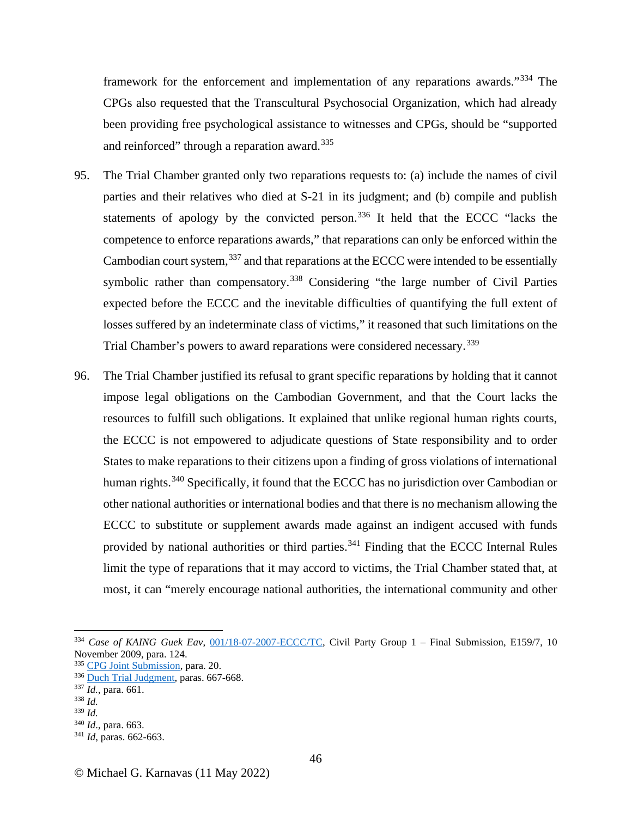framework for the enforcement and implementation of any reparations awards."[334](#page-45-0) The CPGs also requested that the Transcultural Psychosocial Organization, which had already been providing free psychological assistance to witnesses and CPGs, should be "supported and reinforced" through a reparation award.<sup>[335](#page-45-1)</sup>

- 95. The Trial Chamber granted only two reparations requests to: (a) include the names of civil parties and their relatives who died at S-21 in its judgment; and (b) compile and publish statements of apology by the convicted person.<sup>[336](#page-45-2)</sup> It held that the ECCC "lacks the competence to enforce reparations awards," that reparations can only be enforced within the Cambodian court system,<sup>[337](#page-45-3)</sup> and that reparations at the ECCC were intended to be essentially symbolic rather than compensatory.<sup>[338](#page-45-4)</sup> Considering "the large number of Civil Parties" expected before the ECCC and the inevitable difficulties of quantifying the full extent of losses suffered by an indeterminate class of victims," it reasoned that such limitations on the Trial Chamber's powers to award reparations were considered necessary.<sup>[339](#page-45-5)</sup>
- 96. The Trial Chamber justified its refusal to grant specific reparations by holding that it cannot impose legal obligations on the Cambodian Government, and that the Court lacks the resources to fulfill such obligations. It explained that unlike regional human rights courts, the ECCC is not empowered to adjudicate questions of State responsibility and to order States to make reparations to their citizens upon a finding of gross violations of international human rights.<sup>[340](#page-45-6)</sup> Specifically, it found that the ECCC has no jurisdiction over Cambodian or other national authorities or international bodies and that there is no mechanism allowing the ECCC to substitute or supplement awards made against an indigent accused with funds provided by national authorities or third parties.<sup>[341](#page-45-7)</sup> Finding that the ECCC Internal Rules limit the type of reparations that it may accord to victims, the Trial Chamber stated that, at most, it can "merely encourage national authorities, the international community and other

<span id="page-45-4"></span>

<span id="page-45-0"></span><sup>334</sup> *Case of KAING Guek Eav*, [001/18-07-2007-ECCC/TC,](https://www.eccc.gov.kh/sites/default/files/documents/courtdoc/E159_7_EN.pdf) Civil Party Group 1 – Final Submission, E159/7, 10 November 2009, para. 124.

<span id="page-45-1"></span><sup>335</sup> [CPG Joint Submission,](https://www.eccc.gov.kh/sites/default/files/documents/courtdoc/E159_3_EN.pdf) para. 20.

<span id="page-45-3"></span><span id="page-45-2"></span><sup>336</sup> [Duch Trial Judgment,](https://www.eccc.gov.kh/sites/default/files/documents/courtdoc/20100726_Judgement_Case_001_ENG_PUBLIC.pdf) paras. 667-668. 337 *Id.*, para. 661. 338 *Id.* 

<span id="page-45-5"></span><sup>339</sup> *Id.* 

<span id="page-45-6"></span><sup>340</sup> *Id*., para. 663. 341 *Id*, paras. 662-663.

<span id="page-45-7"></span>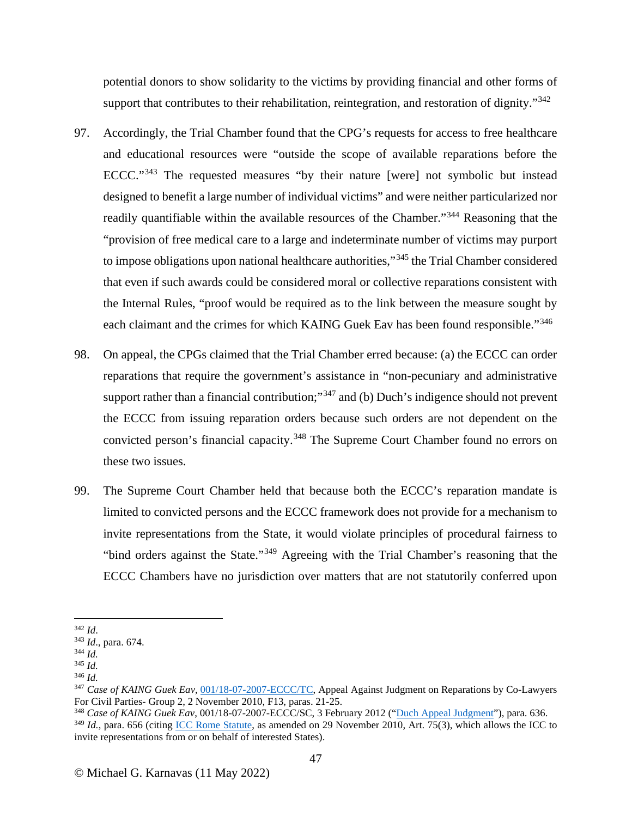potential donors to show solidarity to the victims by providing financial and other forms of support that contributes to their rehabilitation, reintegration, and restoration of dignity."<sup>[342](#page-46-0)</sup>

- 97. Accordingly, the Trial Chamber found that the CPG's requests for access to free healthcare and educational resources were "outside the scope of available reparations before the ECCC."[343](#page-46-1) The requested measures "by their nature [were] not symbolic but instead designed to benefit a large number of individual victims" and were neither particularized nor readily quantifiable within the available resources of the Chamber."<sup>[344](#page-46-2)</sup> Reasoning that the "provision of free medical care to a large and indeterminate number of victims may purport to impose obligations upon national healthcare authorities,"<sup>[345](#page-46-3)</sup> the Trial Chamber considered that even if such awards could be considered moral or collective reparations consistent with the Internal Rules, "proof would be required as to the link between the measure sought by each claimant and the crimes for which KAING Guek Eav has been found responsible."[346](#page-46-4)
- 98. On appeal, the CPGs claimed that the Trial Chamber erred because: (a) the ECCC can order reparations that require the government's assistance in "non-pecuniary and administrative support rather than a financial contribution;"<sup>[347](#page-46-5)</sup> and (b) Duch's indigence should not prevent the ECCC from issuing reparation orders because such orders are not dependent on the convicted person's financial capacity.<sup>[348](#page-46-6)</sup> The Supreme Court Chamber found no errors on these two issues.
- 99. The Supreme Court Chamber held that because both the ECCC's reparation mandate is limited to convicted persons and the ECCC framework does not provide for a mechanism to invite representations from the State, it would violate principles of procedural fairness to "bind orders against the State."[349](#page-46-7) Agreeing with the Trial Chamber's reasoning that the ECCC Chambers have no jurisdiction over matters that are not statutorily conferred upon

<span id="page-46-1"></span><span id="page-46-0"></span><sup>342</sup> *Id*. 343 *Id*., para. 674. 344 *Id.*

<span id="page-46-3"></span><span id="page-46-2"></span><sup>345</sup> *Id.*

<span id="page-46-4"></span><sup>346</sup> *Id.*

<span id="page-46-5"></span><sup>&</sup>lt;sup>347</sup> *Case of KAING Guek Eav*, <u>001/18-07-2007-ECCC/TC</u>, Appeal Against Judgment on Reparations by Co-Lawyers For Civil Parties- Group 2, 2 November 2010, F13, paras. 21-25.

<span id="page-46-7"></span><span id="page-46-6"></span><sup>&</sup>lt;sup>348</sup> Case of KAING Guek Eav, 001/18-07-2007-ECCC/SC, 3 February 2012 (["Duch Appeal Judgment"](https://www.eccc.gov.kh/sites/default/files/documents/courtdoc/Case%20001AppealJudgementEn.pdf)), para. 636. <sup>349</sup> *Id.*, para. 656 (citing [ICC Rome Statute,](https://www.icc-cpi.int/sites/default/files/RS-Eng.pdf) as amended on 29 November 2010, Art. 75(3), which allows the ICC to invite representations from or on behalf of interested States).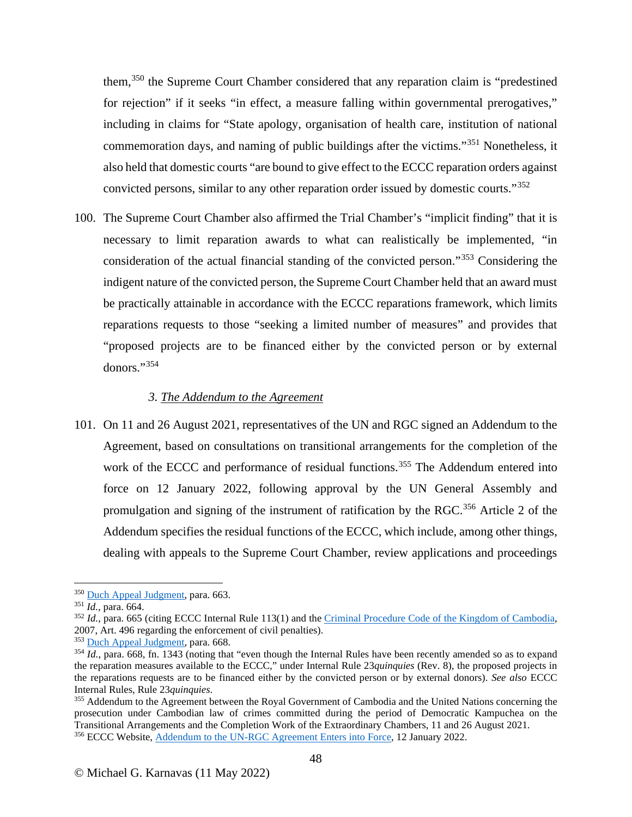them,[350](#page-47-0) the Supreme Court Chamber considered that any reparation claim is "predestined for rejection" if it seeks "in effect, a measure falling within governmental prerogatives," including in claims for "State apology, organisation of health care, institution of national commemoration days, and naming of public buildings after the victims."[351](#page-47-1) Nonetheless, it also held that domestic courts "are bound to give effect to the ECCC reparation orders against convicted persons, similar to any other reparation order issued by domestic courts."[352](#page-47-2)

100. The Supreme Court Chamber also affirmed the Trial Chamber's "implicit finding" that it is necessary to limit reparation awards to what can realistically be implemented, "in consideration of the actual financial standing of the convicted person."[353](#page-47-3) Considering the indigent nature of the convicted person, the Supreme Court Chamber held that an award must be practically attainable in accordance with the ECCC reparations framework, which limits reparations requests to those "seeking a limited number of measures" and provides that "proposed projects are to be financed either by the convicted person or by external donors."[354](#page-47-4)

### *3. The Addendum to the Agreement*

101. On 11 and 26 August 2021, representatives of the UN and RGC signed an Addendum to the Agreement, based on consultations on transitional arrangements for the completion of the work of the ECCC and performance of residual functions.<sup>[355](#page-47-5)</sup> The Addendum entered into force on 12 January 2022, following approval by the UN General Assembly and promulgation and signing of the instrument of ratification by the RGC.<sup>[356](#page-47-6)</sup> Article 2 of the Addendum specifies the residual functions of the ECCC, which include, among other things, dealing with appeals to the Supreme Court Chamber, review applications and proceedings

<span id="page-47-2"></span>

<span id="page-47-1"></span><span id="page-47-0"></span><sup>&</sup>lt;sup>350</sup> [Duch Appeal Judgment,](https://www.eccc.gov.kh/sites/default/files/documents/courtdoc/Case%20001AppealJudgementEn.pdf) para. 663.<br><sup>351</sup> *Id.*, para. 664. <br><sup>352</sup> *Id.*, para. 665 (citing ECCC Internal Rule 113(1) and the [Criminal Procedure Code of the Kingdom of Cambodia,](https://www.oecd.org/site/adboecdanti-corruptioninitiative/46814242.pdf) 2007, Art. 496 regarding the enforcement of civil penalties).<br><sup>353</sup> Duch Appeal Judgment, para. 668.

<span id="page-47-4"></span><span id="page-47-3"></span> $\overline{1d}$ , para. 668, fn. 1343 (noting that "even though the Internal Rules have been recently amended so as to expand the reparation measures available to the ECCC," under Internal Rule 23*quinquies* (Rev. 8), the proposed projects in the reparations requests are to be financed either by the convicted person or by external donors). *See also* ECCC Internal Rules, Rule 23*quinquies*.

<span id="page-47-6"></span><span id="page-47-5"></span><sup>&</sup>lt;sup>355</sup> Addendum to the Agreement between the Royal Government of Cambodia and the United Nations concerning the prosecution under Cambodian law of crimes committed during the period of Democratic Kampuchea on the Transitional Arrangements and the Completion Work of the Extraordinary Chambers, 11 and 26 August 2021. <sup>356</sup> ECCC Website, [Addendum to the UN-RGC Agreement Enters into Force,](https://www.eccc.gov.kh/en/articles/addendum-un-rgc-agreement-enters-force) 12 January 2022.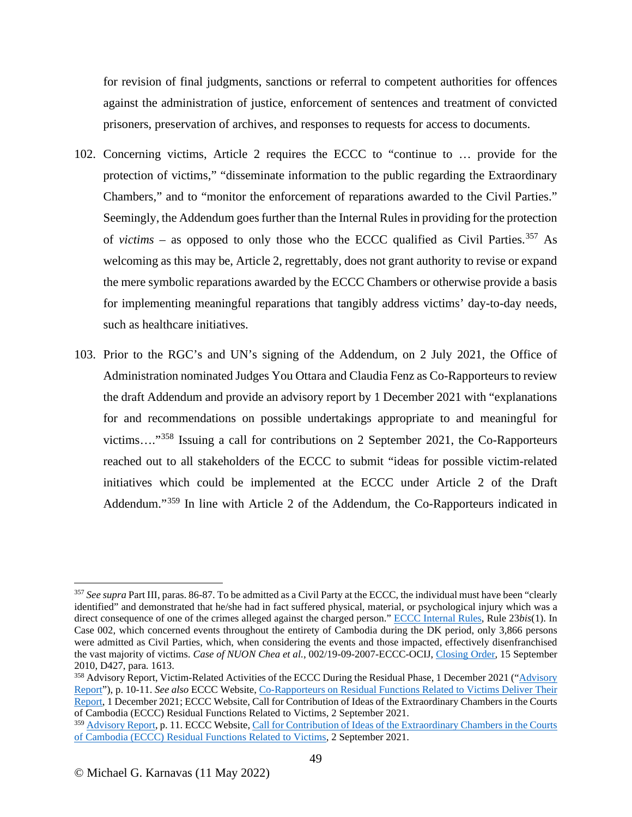for revision of final judgments, sanctions or referral to competent authorities for offences against the administration of justice, enforcement of sentences and treatment of convicted prisoners, preservation of archives, and responses to requests for access to documents.

- 102. Concerning victims, Article 2 requires the ECCC to "continue to … provide for the protection of victims," "disseminate information to the public regarding the Extraordinary Chambers," and to "monitor the enforcement of reparations awarded to the Civil Parties." Seemingly, the Addendum goes further than the Internal Rules in providing for the protection of *victims* – as opposed to only those who the ECCC qualified as Civil Parties.<sup>[357](#page-48-0)</sup> As welcoming as this may be, Article 2, regrettably, does not grant authority to revise or expand the mere symbolic reparations awarded by the ECCC Chambers or otherwise provide a basis for implementing meaningful reparations that tangibly address victims' day-to-day needs, such as healthcare initiatives.
- 103. Prior to the RGC's and UN's signing of the Addendum, on 2 July 2021, the Office of Administration nominated Judges You Ottara and Claudia Fenz as Co-Rapporteurs to review the draft Addendum and provide an advisory report by 1 December 2021 with "explanations for and recommendations on possible undertakings appropriate to and meaningful for victims…."[358](#page-48-1) Issuing a call for contributions on 2 September 2021, the Co-Rapporteurs reached out to all stakeholders of the ECCC to submit "ideas for possible victim-related initiatives which could be implemented at the ECCC under Article 2 of the Draft Addendum."[359](#page-48-2) In line with Article 2 of the Addendum, the Co-Rapporteurs indicated in

<span id="page-48-0"></span><sup>357</sup> *See supra* Part III, paras. 86-87. To be admitted as a Civil Party at the ECCC, the individual must have been "clearly identified" and demonstrated that he/she had in fact suffered physical, material, or psychological injury which was a direct consequence of one of the crimes alleged against the charged person.[" ECCC Internal Rules,](https://www.eccc.gov.kh/sites/default/files/legal-documents/Internal_Rules_Rev_9_Eng.pdf) Rule 23*bis*(1). In Case 002, which concerned events throughout the entirety of Cambodia during the DK period, only 3,866 persons were admitted as Civil Parties, which, when considering the events and those impacted, effectively disenfranchised the vast majority of victims. *Case of NUON Chea et al.*, 002/19-09-2007-ECCC-OCIJ, [Closing Order,](https://www.eccc.gov.kh/sites/default/files/documents/courtdoc/D427Eng.pdf) 15 September 2010, D427, para. 1613.

<span id="page-48-1"></span><sup>358</sup> Advisory Report, Victim-Related Activities of the ECCC During the Residual Phase, 1 December 2021 ("Advisory Report"), p. 10-11. *See also* ECCC Website, [Co-Rapporteurs on Residual Functions Related to Victims Deliver Their](https://www.eccc.gov.kh/en/articles/co-rapporteurs-residual-functions-related-victims-deliver-their-report)  [Report,](https://www.eccc.gov.kh/en/articles/co-rapporteurs-residual-functions-related-victims-deliver-their-report) 1 December 2021; ECCC Website, Call for Contribution of Ideas of the Extraordinary Chambers in the Courts of Cambodia (ECCC) Residual Functions Related to Victims, 2 September 2021.

<span id="page-48-2"></span><sup>&</sup>lt;sup>359</sup> Advisory Report, p. 11. ECCC Website, Call for Contribution of Ideas of the Extraordinary Chambers in the Courts [of Cambodia \(ECCC\) Residual Functions Related to](https://eccc.gov.kh/en/articles/call-contribution-ideas-extraordinary-chambers-courts-cambodia-eccc-residual-functions) Victims, 2 September 2021.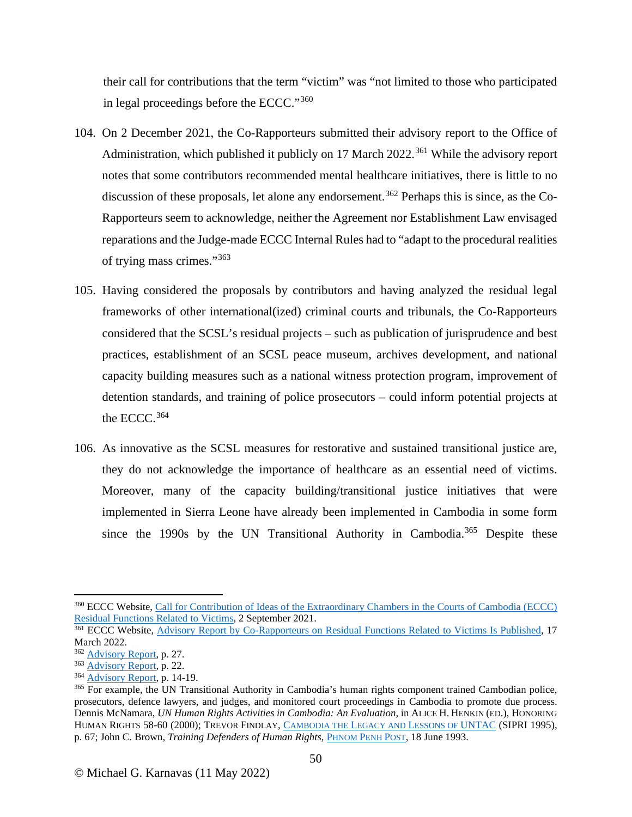their call for contributions that the term "victim" was "not limited to those who participated in legal proceedings before the ECCC."[360](#page-49-0)

- 104. On 2 December 2021, the Co-Rapporteurs submitted their advisory report to the Office of Administration, which published it publicly on 17 March  $2022$ <sup>[361](#page-49-1)</sup> While the advisory report notes that some contributors recommended mental healthcare initiatives, there is little to no discussion of these proposals, let alone any endorsement.<sup>[362](#page-49-2)</sup> Perhaps this is since, as the Co-Rapporteurs seem to acknowledge, neither the Agreement nor Establishment Law envisaged reparations and the Judge-made ECCC Internal Rules had to "adapt to the procedural realities of trying mass crimes."[363](#page-49-3)
- 105. Having considered the proposals by contributors and having analyzed the residual legal frameworks of other international(ized) criminal courts and tribunals, the Co-Rapporteurs considered that the SCSL's residual projects – such as publication of jurisprudence and best practices, establishment of an SCSL peace museum, archives development, and national capacity building measures such as a national witness protection program, improvement of detention standards, and training of police prosecutors – could inform potential projects at the ECCC.<sup>[364](#page-49-4)</sup>
- 106. As innovative as the SCSL measures for restorative and sustained transitional justice are, they do not acknowledge the importance of healthcare as an essential need of victims. Moreover, many of the capacity building/transitional justice initiatives that were implemented in Sierra Leone have already been implemented in Cambodia in some form since the 1990s by the UN Transitional Authority in Cambodia.<sup>[365](#page-49-5)</sup> Despite these

<span id="page-49-0"></span><sup>&</sup>lt;sup>360</sup> ECCC Website, <u>Call for Contribution of Ideas of the Extraordinary Chambers in the Courts of Cambodia (ECCC)</u><br>Residual Functions Related to Victims, 2 September 2021.

<span id="page-49-1"></span><sup>&</sup>lt;sup>361</sup> ECCC Website, Advisory Report by Co-Rapporteurs on [Residual Functions Related to Victims Is Published,](https://www.eccc.gov.kh/en/articles/advisory-report-co-rapporteurs-residual-functions-related-victims-published) 17 March 2022.<br><sup>362</sup> <u>Advisory Report</u>, p. 27.

<span id="page-49-2"></span>

<span id="page-49-3"></span> $\frac{363}{\text{Advisory Report}}$ , p. 22.<br>  $\frac{364}{\text{Advisory Report}}$ , p. 14-19.

<span id="page-49-5"></span><span id="page-49-4"></span><sup>&</sup>lt;sup>365</sup> For example, the UN Transitional Authority in Cambodia's human rights component trained Cambodian police, prosecutors, defence lawyers, and judges, and monitored court proceedings in Cambodia to promote due process. Dennis McNamara, *UN Human Rights Activities in Cambodia: An Evaluation*, in ALICE H. HENKIN (ED.), HONORING HUMAN RIGHTS 58-60 (2000); TREVOR FINDLAY, [CAMBODIA THE LEGACY AND LESSONS OF UNTAC](https://www.sipri.org/sites/default/files/files/RR/SIPRIRR09.pdf) (SIPRI 1995), p. 67; John C. Brown, *Training Defenders of Human Rights*, *PHNOM PENH POST*, 18 June 1993.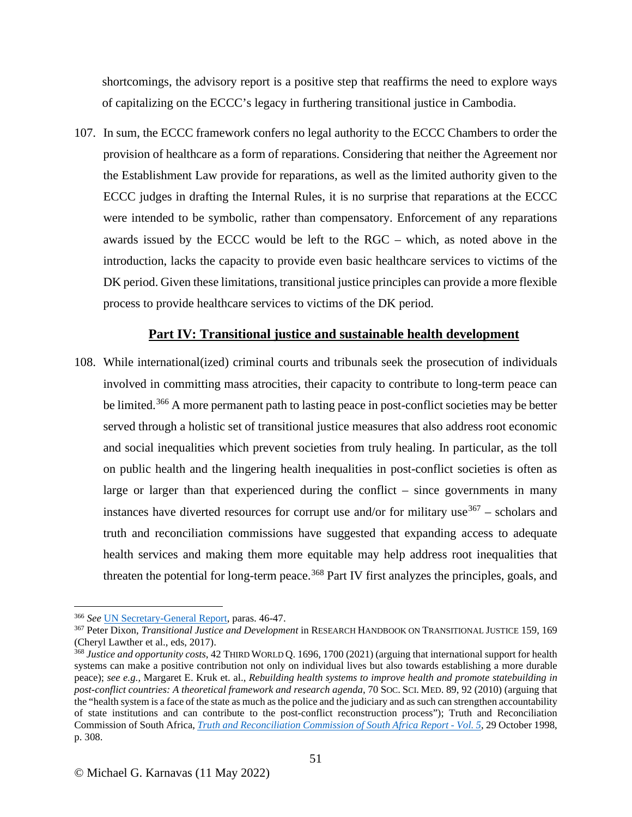shortcomings, the advisory report is a positive step that reaffirms the need to explore ways of capitalizing on the ECCC's legacy in furthering transitional justice in Cambodia.

107. In sum, the ECCC framework confers no legal authority to the ECCC Chambers to order the provision of healthcare as a form of reparations. Considering that neither the Agreement nor the Establishment Law provide for reparations, as well as the limited authority given to the ECCC judges in drafting the Internal Rules, it is no surprise that reparations at the ECCC were intended to be symbolic, rather than compensatory. Enforcement of any reparations awards issued by the ECCC would be left to the RGC – which, as noted above in the introduction, lacks the capacity to provide even basic healthcare services to victims of the DK period. Given these limitations, transitional justice principles can provide a more flexible process to provide healthcare services to victims of the DK period.

#### **Part IV: Transitional justice and sustainable health development**

108. While international(ized) criminal courts and tribunals seek the prosecution of individuals involved in committing mass atrocities, their capacity to contribute to long-term peace can be limited.<sup>[366](#page-50-0)</sup> A more permanent path to lasting peace in post-conflict societies may be better served through a holistic set of transitional justice measures that also address root economic and social inequalities which prevent societies from truly healing. In particular, as the toll on public health and the lingering health inequalities in post-conflict societies is often as large or larger than that experienced during the conflict – since governments in many instances have diverted resources for corrupt use and/or for military use  $367$  – scholars and truth and reconciliation commissions have suggested that expanding access to adequate health services and making them more equitable may help address root inequalities that threaten the potential for long-term peace.<sup>[368](#page-50-2)</sup> Part IV first analyzes the principles, goals, and

<span id="page-50-1"></span><span id="page-50-0"></span><sup>&</sup>lt;sup>366</sup> See <u>UN Secretary-General Report</u>, paras. 46-47.<br><sup>367</sup> Peter Dixon, *Transitional Justice and Development* in RESEARCH HANDBOOK ON TRANSITIONAL JUSTICE 159, 169<br>(Cheryl Lawther et al., eds. 2017).

<span id="page-50-2"></span><sup>&</sup>lt;sup>368</sup> *Justice and opportunity costs*, 42 THIRD WORLD Q. 1696, 1700 (2021) (arguing that international support for health systems can make a positive contribution not only on individual lives but also towards establishing a more durable peace); *see e.g.,* Margaret E. Kruk et. al., *Rebuilding health systems to improve health and promote statebuilding in post-conflict countries: A theoretical framework and research agenda*, 70 SOC. SCI. MED. 89, 92 (2010) (arguing that the "health system is a face of the state as much as the police and the judiciary and as such can strengthen accountability of state institutions and can contribute to the post-conflict reconstruction process"); Truth and Reconciliation Commission of South Africa, *[Truth and Reconciliation Commission of South Africa Report -](https://www.sahistory.org.za/sites/default/files/volume5_0.pdf) Vol. 5*, 29 October 1998, p. 308.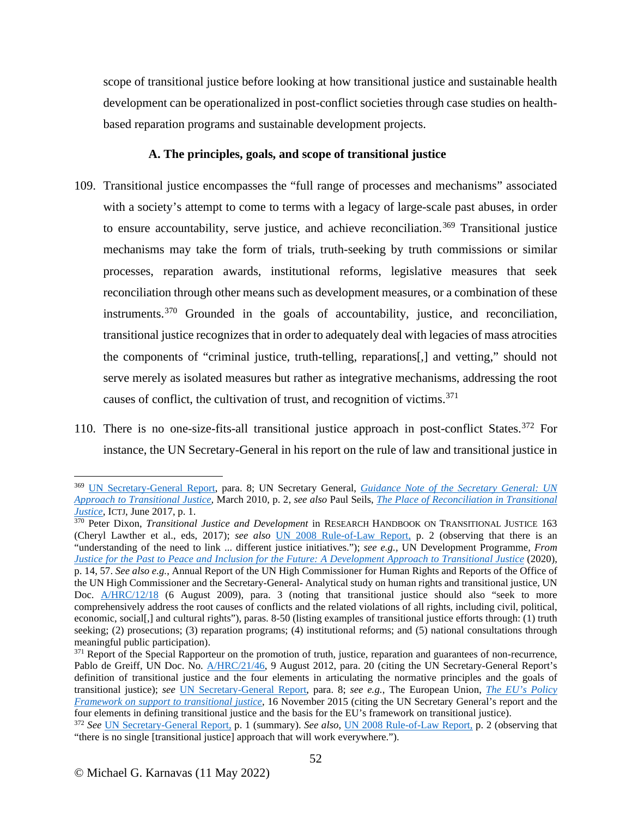scope of transitional justice before looking at how transitional justice and sustainable health development can be operationalized in post-conflict societies through case studies on healthbased reparation programs and sustainable development projects.

## **A. The principles, goals, and scope of transitional justice**

- 109. Transitional justice encompasses the "full range of processes and mechanisms" associated with a society's attempt to come to terms with a legacy of large-scale past abuses, in order to ensure accountability, serve justice, and achieve reconciliation.<sup>[369](#page-51-0)</sup> Transitional justice mechanisms may take the form of trials, truth-seeking by truth commissions or similar processes, reparation awards, institutional reforms, legislative measures that seek reconciliation through other means such as development measures, or a combination of these instruments.[370](#page-51-1) Grounded in the goals of accountability, justice, and reconciliation, transitional justice recognizes that in order to adequately deal with legacies of mass atrocities the components of "criminal justice, truth-telling, reparations[,] and vetting," should not serve merely as isolated measures but rather as integrative mechanisms, addressing the root causes of conflict, the cultivation of trust, and recognition of victims.<sup>[371](#page-51-2)</sup>
- 110. There is no one-size-fits-all transitional justice approach in post-conflict States.<sup>[372](#page-51-3)</sup> For instance, the UN Secretary-General in his report on the rule of law and transitional justice in

<span id="page-51-0"></span><sup>369</sup> [UN Secretary-General Report,](https://documents-dds-ny.un.org/doc/UNDOC/GEN/N04/395/29/PDF/N0439529.pdf?OpenElement) para. 8; UN Secretary General, *[Guidance Note of the Secretary General: UN](https://www.un.org/ruleoflaw/files/TJ_Guidance_Note_March_2010FINAL.pdf)  [Approach to Transitional Justice,](https://www.un.org/ruleoflaw/files/TJ_Guidance_Note_March_2010FINAL.pdf)* March 2010, p. 2, *see also* Paul Seils, *[The Place of Reconciliation in Transitional](https://www.ictj.org/sites/default/files/ICTJ-Briefing-Paper-Reconciliation-TJ-2017.pdf)  [Justice](https://www.ictj.org/sites/default/files/ICTJ-Briefing-Paper-Reconciliation-TJ-2017.pdf)*, ICTJ, June 2017, p. 1.

<span id="page-51-1"></span><sup>370</sup> Peter Dixon, *Transitional Justice and Development* in RESEARCH HANDBOOK ON TRANSITIONAL JUSTICE 163 (Cheryl Lawther et al., eds, 2017); *see also* [UN 2008 Rule-of-Law Report,](https://www.refworld.org/docid/47ea6ebf2.html) p. 2 (observing that there is an "understanding of the need to link ... different justice initiatives."); *see e.g.,* UN Development Programme, *From [Justice for the Past to Peace and Inclusion for the Future: A Development Approach to Transitional Justice](https://www.undp.org/publications/justice-past-peace-and-inclusion-future-development-approach-transitional-justice)* (2020), p. 14, 57. *See also e.g.*, Annual Report of the UN High Commissioner for Human Rights and Reports of the Office of the UN High Commissioner and the Secretary-General- Analytical study on human rights and transitional justice, UN Doc. [A/HRC/12/18](https://undocs.org/A/HRC/12/18) (6 August 2009), para. 3 (noting that transitional justice should also "seek to more comprehensively address the root causes of conflicts and the related violations of all rights, including civil, political, economic, social[,] and cultural rights"), paras. 8-50 (listing examples of transitional justice efforts through: (1) truth seeking; (2) prosecutions; (3) reparation programs; (4) institutional reforms; and (5) national consultations through meaningful public participation).

<span id="page-51-2"></span><sup>&</sup>lt;sup>371</sup> Report of the Special Rapporteur on the promotion of truth, justice, reparation and guarantees of non-recurrence, Pablo de Greiff, UN Doc. No. [A/HRC/21/46,](https://undocs.org/A/HRC/21/46) 9 August 2012, para. 20 (citing the UN Secretary-General Report's definition of transitional justice and the four elements in articulating the normative principles and the goals of transitional justice); *see* [UN Secretary-General Report,](https://undocs.org/S/2004/616) para. 8; *see e.g.*, The European Union, *[The EU's Policy](https://eeas.europa.eu/archives/docs/top_stories/pdf/the_eus_policy_framework_on_support_to_transitional_justice.pdf)  [Framework on support to transitional justice](https://eeas.europa.eu/archives/docs/top_stories/pdf/the_eus_policy_framework_on_support_to_transitional_justice.pdf)*, 16 November 2015 (citing the UN Secretary General's report and the four elements in defining transitional justice and the basis for the EU's framework on transitional justice).

<span id="page-51-3"></span><sup>372</sup> *See* [UN Secretary-General Report,](https://undocs.org/S/2004/616) p. 1 (summary). *See also*, [UN 2008 Rule-of-Law Report,](https://www.refworld.org/docid/47ea6ebf2.html) p. 2 (observing that "there is no single [transitional justice] approach that will work everywhere.").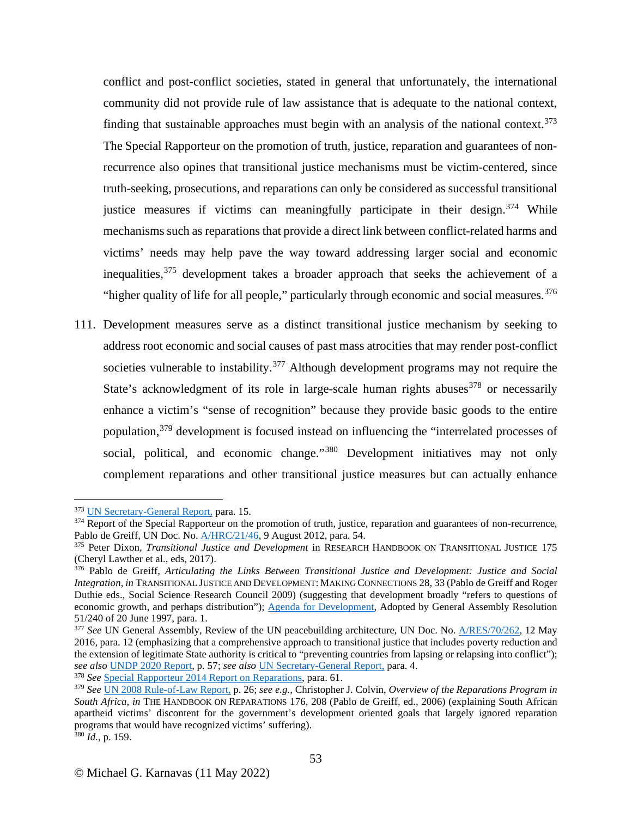conflict and post-conflict societies, stated in general that unfortunately, the international community did not provide rule of law assistance that is adequate to the national context, finding that sustainable approaches must begin with an analysis of the national context.<sup>[373](#page-52-0)</sup> The Special Rapporteur on the promotion of truth, justice, reparation and guarantees of nonrecurrence also opines that transitional justice mechanisms must be victim-centered, since truth-seeking, prosecutions, and reparations can only be considered as successful transitional justice measures if victims can meaningfully participate in their design.  $374$  While mechanisms such as reparations that provide a direct link between conflict-related harms and victims' needs may help pave the way toward addressing larger social and economic inequalities,[375](#page-52-2) development takes a broader approach that seeks the achievement of a "higher quality of life for all people," particularly through economic and social measures.  $376$ 

111. Development measures serve as a distinct transitional justice mechanism by seeking to address root economic and social causes of past mass atrocities that may render post-conflict societies vulnerable to instability. $377$  Although development programs may not require the State's acknowledgment of its role in large-scale human rights abuses  $378$  or necessarily enhance a victim's "sense of recognition" because they provide basic goods to the entire population,<sup>[379](#page-52-6)</sup> development is focused instead on influencing the "interrelated processes of social, political, and economic change."[380](#page-52-7) Development initiatives may not only complement reparations and other transitional justice measures but can actually enhance

<span id="page-52-1"></span><span id="page-52-0"></span><sup>&</sup>lt;sup>373</sup> UN Secretary-General Report, para. 15.<br><sup>374</sup> Report of the Special Rapporteur on the promotion of truth, justice, reparation and guarantees of non-recurrence, Pablo de Greiff, UN Doc. No[. A/HRC/21/46,](https://undocs.org/A/HRC/21/46) 9 August 2012, para. 54.

<span id="page-52-2"></span><sup>375</sup> Peter Dixon, *Transitional Justice and Development* in RESEARCH HANDBOOK ON TRANSITIONAL JUSTICE 175 (Cheryl Lawther et al., eds, 2017).<br><sup>376</sup> Pablo de Greiff, *Articulating the Links Between Transitional Justice and Development: Justice and Social* 

<span id="page-52-3"></span>*Integration*, *in* TRANSITIONAL JUSTICE AND DEVELOPMENT: MAKING CONNECTIONS 28, 33 (Pablo de Greiff and Roger Duthie eds., Social Science Research Council 2009) (suggesting that development broadly "refers to questions of economic growth, and perhaps distribution"); [Agenda for Development,](https://documents-dds-ny.un.org/doc/UNDOC/GEN/N97/774/79/PDF/N9777479.pdf?OpenElement) Adopted by General Assembly Resolution 51/240 of 20 June 1997, para. 1.

<span id="page-52-4"></span><sup>&</sup>lt;sup>377</sup> See UN General Assembly, Review of the UN peacebuilding architecture, UN Doc. No. **A/RES/70/262**, 12 May 2016, para. 12 (emphasizing that a comprehensive approach to transitional justice that includes poverty reduction and the extension of legitimate State authority is critical to "preventing countries from lapsing or relapsing into conflict"); *see also* UNDP 2020 Report, p. 57; *see also* UN Secretary-General Report, para. 4. 378 *See* [Special Rapporteur 2014 Report on Reparations,](https://undocs.org/en/A/69/518) para. 61.

<span id="page-52-7"></span><span id="page-52-6"></span><span id="page-52-5"></span><sup>379</sup> *See* [UN 2008 Rule-of-Law Report,](https://www.refworld.org/docid/47ea6ebf2.html) p. 26; *see e.g.,* Christopher J. Colvin, *Overview of the Reparations Program in South Africa*, *in* THE HANDBOOK ON REPARATIONS 176, 208 (Pablo de Greiff, ed., 2006) (explaining South African apartheid victims' discontent for the government's development oriented goals that largely ignored reparation programs that would have recognized victims' suffering). <sup>380</sup> *Id.*, p. 159.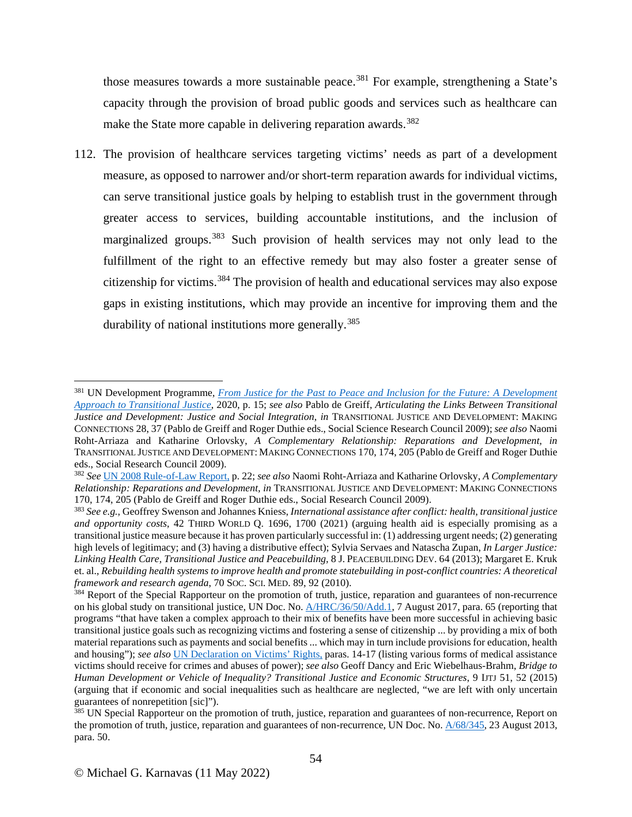those measures towards a more sustainable peace. [381](#page-53-0) For example, strengthening a State's capacity through the provision of broad public goods and services such as healthcare can make the State more capable in delivering reparation awards.<sup>[382](#page-53-1)</sup>

112. The provision of healthcare services targeting victims' needs as part of a development measure, as opposed to narrower and/or short-term reparation awards for individual victims, can serve transitional justice goals by helping to establish trust in the government through greater access to services, building accountable institutions, and the inclusion of marginalized groups.<sup>[383](#page-53-2)</sup> Such provision of health services may not only lead to the fulfillment of the right to an effective remedy but may also foster a greater sense of citizenship for victims. [384](#page-53-3) The provision of health and educational services may also expose gaps in existing institutions, which may provide an incentive for improving them and the durability of national institutions more generally.<sup>[385](#page-53-4)</sup>

<span id="page-53-0"></span><sup>381</sup> UN Development Programme, *[From Justice for the Past to Peace and Inclusion for the Future: A](https://www.undp.org/publications/justice-past-peace-and-inclusion-future-development-approach-transitional-justice) Development [Approach to Transitional Justice](https://www.undp.org/publications/justice-past-peace-and-inclusion-future-development-approach-transitional-justice)*, 2020, p. 15; *see also* Pablo de Greiff, *Articulating the Links Between Transitional Justice and Development: Justice and Social Integration, in* TRANSITIONAL JUSTICE AND DEVELOPMENT: MAKING CONNECTIONS 28, 37 (Pablo de Greiff and Roger Duthie eds., Social Science Research Council 2009); *see also* Naomi Roht-Arriaza and Katharine Orlovsky, *A Complementary Relationship: Reparations and Development, in* TRANSITIONAL JUSTICE AND DEVELOPMENT: MAKING CONNECTIONS 170, 174, 205 (Pablo de Greiff and Roger Duthie eds., Social Research Council 2009).

<span id="page-53-1"></span><sup>382</sup> *See* [UN 2008 Rule-of-Law Report,](https://www.refworld.org/docid/47ea6ebf2.html) p. 22; *see also* Naomi Roht-Arriaza and Katharine Orlovsky, *A Complementary Relationship: Reparations and Development*, *in* TRANSITIONAL JUSTICE AND DEVELOPMENT: MAKING CONNECTIONS 170, 174, 205 (Pablo de Greiff and Roger Duthie eds., Social Research Council 2009).

<span id="page-53-2"></span><sup>383</sup> *See e.g.,* Geoffrey Swenson and Johannes Kniess, *International assistance after conflict: health, transitional justice and opportunity costs*, 42 THIRD WORLD Q. 1696, 1700 (2021) (arguing health aid is especially promising as a transitional justice measure because it has proven particularly successful in: (1) addressing urgent needs; (2) generating high levels of legitimacy; and (3) having a distributive effect); Sylvia Servaes and Natascha Zupan, *In Larger Justice: Linking Health Care, Transitional Justice and Peacebuilding*, 8 J. PEACEBUILDING DEV. 64 (2013); Margaret E. Kruk et. al., *Rebuilding health systems to improve health and promote statebuilding in post-conflict countries: A theoretical framework and research agenda*, 70 Soc. ScI. MED. 89, 92 (2010).<br><sup>384</sup> Report of the Special Rapporteur on the promotion of truth, justice, reparation and guarantees of non-recurrence

<span id="page-53-3"></span>on his global study on transitional justice, UN Doc. No. [A/HRC/36/50/Add.1,](https://undocs.org/en/A/HRC/36/50/Add.1) 7 August 2017, para. 65 (reporting that programs "that have taken a complex approach to their mix of benefits have been more successful in achieving basic transitional justice goals such as recognizing victims and fostering a sense of citizenship ... by providing a mix of both material reparations such as payments and social benefits ... which may in turn include provisions for education, health and housing"); *see also* [UN Declaration on Victims' Rights,](https://www.ohchr.org/en/professionalinterest/pages/victimsofcrimeandabuseofpower.aspx) paras. 14-17 (listing various forms of medical assistance victims should receive for crimes and abuses of power); *see also* Geoff Dancy and Eric Wiebelhaus-Brahm, *Bridge to Human Development or Vehicle of Inequality? Transitional Justice and Economic Structures*, 9 IJTJ 51, 52 (2015) (arguing that if economic and social inequalities such as healthcare are neglected, "we are left with only uncertain guarantees of nonrepetition [sic]").

<span id="page-53-4"></span><sup>&</sup>lt;sup>385</sup> UN Special Rapporteur on the promotion of truth, justice, reparation and guarantees of non-recurrence, Report on the promotion of truth, justice, reparation and guarantees of non-recurrence, UN Doc. No.  $A/68/345$ , 23 August 2013, para. 50.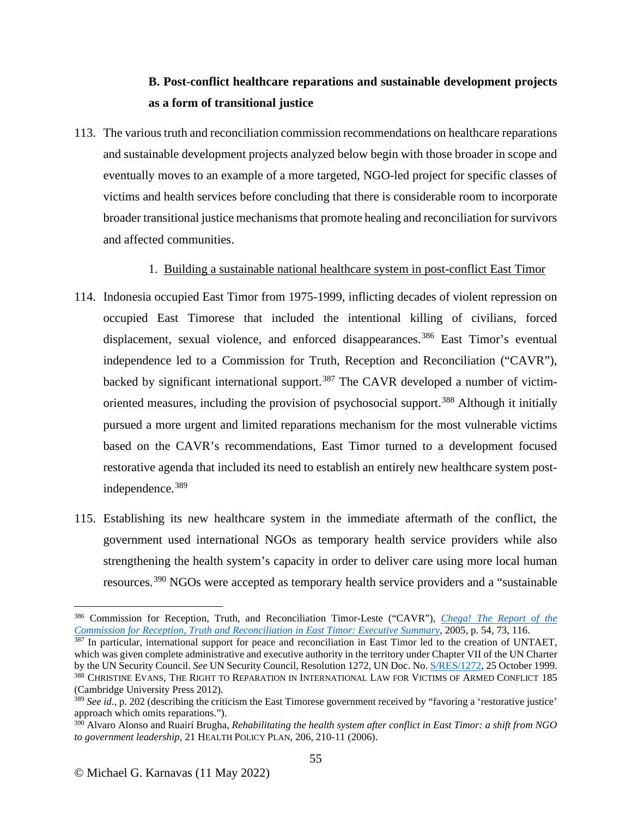# **B. Post-conflict healthcare reparations and sustainable development projects as a form of transitional justice**

113. The various truth and reconciliation commission recommendations on healthcare reparations and sustainable development projects analyzed below begin with those broader in scope and eventually moves to an example of a more targeted, NGO-led project for specific classes of victims and health services before concluding that there is considerable room to incorporate broader transitional justice mechanisms that promote healing and reconciliation for survivors and affected communities.

1. Building a sustainable national healthcare system in post-conflict East Timor

- 114. Indonesia occupied East Timor from 1975-1999, inflicting decades of violent repression on occupied East Timorese that included the intentional killing of civilians, forced displacement, sexual violence, and enforced disappearances.<sup>[386](#page-54-0)</sup> East Timor's eventual independence led to a Commission for Truth, Reception and Reconciliation ("CAVR"), backed by significant international support.<sup>[387](#page-54-1)</sup> The CAVR developed a number of victim-oriented measures, including the provision of psychosocial support.<sup>[388](#page-54-2)</sup> Although it initially pursued a more urgent and limited reparations mechanism for the most vulnerable victims based on the CAVR's recommendations, East Timor turned to a development focused restorative agenda that included its need to establish an entirely new healthcare system postindependence.[389](#page-54-3)
- 115. Establishing its new healthcare system in the immediate aftermath of the conflict, the government used international NGOs as temporary health service providers while also strengthening the health system's capacity in order to deliver care using more local human resources.[390](#page-54-4) NGOs were accepted as temporary health service providers and a "sustainable

<span id="page-54-0"></span><sup>386</sup> Commission for Reception, Truth, and Reconciliation Timor-Leste ("CAVR"), *[Chega! The Report of the](https://www.etan.org/etanpdf/2006/CAVR/Chega!-Report-Executive-Summary.pdf)  [Commission for Reception, Truth and Reconciliation in East Timor:](https://www.etan.org/etanpdf/2006/CAVR/Chega!-Report-Executive-Summary.pdf) Executive Summary*, 2005, p. 54, 73, 116.

<span id="page-54-1"></span> $387$  In particular, international support for peace and reconciliation in East Timor led to the creation of UNTAET, which was given complete administrative and executive authority in the territory under Chapter VII of the UN Charter by the UN Security Council. *See* UN Security Council, Resolution 1272, UN Doc. No. [S/RES/1272,](http://unscr.com/en/resolutions/doc/1272) 25 October 1999. 388 CHRISTINE EVANS, THE RIGHT TO REPARATION IN INTERNATIONAL LAW FOR VICTIMS OF ARMED CONFLICT 185 (Cambridge University Press 2012).

<span id="page-54-3"></span><span id="page-54-2"></span><sup>&</sup>lt;sup>389</sup> *See id.*, p. 202 (describing the criticism the East Timorese government received by "favoring a 'restorative justice' approach which omits reparations.").

<span id="page-54-4"></span><sup>&</sup>lt;sup>390</sup> Alvaro Alonso and Ruairí Brugha, *Rehabilitating the health system after conflict in East Timor: a shift from NGO to government leadership*, 21 HEALTH POLICY PLAN, 206, 210-11 (2006).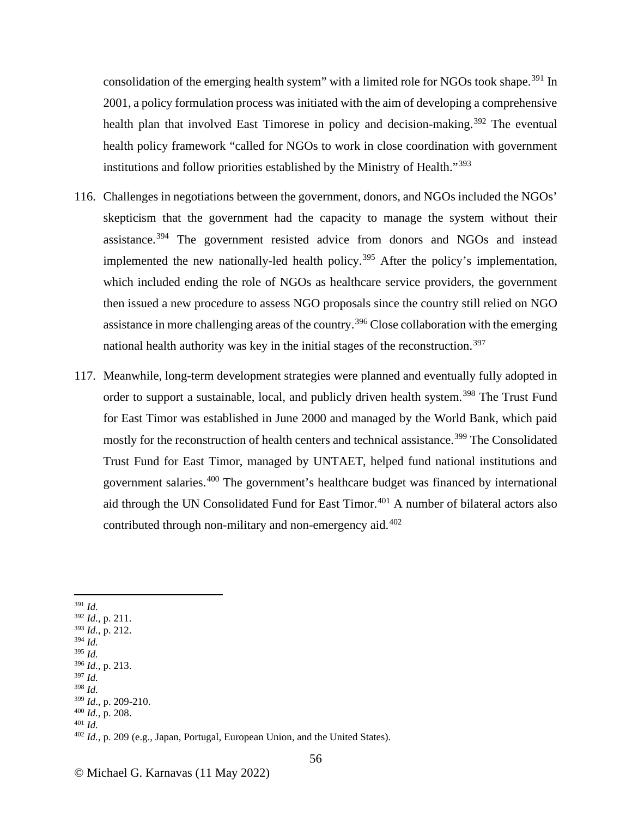consolidation of the emerging health system" with a limited role for NGOs took shape.<sup>[391](#page-55-0)</sup> In 2001, a policy formulation process was initiated with the aim of developing a comprehensive health plan that involved East Timorese in policy and decision-making.<sup>[392](#page-55-1)</sup> The eventual health policy framework "called for NGOs to work in close coordination with government institutions and follow priorities established by the Ministry of Health."[393](#page-55-2)

- 116. Challenges in negotiations between the government, donors, and NGOs included the NGOs' skepticism that the government had the capacity to manage the system without their assistance.<sup>[394](#page-55-3)</sup> The government resisted advice from donors and NGOs and instead implemented the new nationally-led health policy.<sup>[395](#page-55-4)</sup> After the policy's implementation, which included ending the role of NGOs as healthcare service providers, the government then issued a new procedure to assess NGO proposals since the country still relied on NGO assistance in more challenging areas of the country.<sup>[396](#page-55-5)</sup> Close collaboration with the emerging national health authority was key in the initial stages of the reconstruction.<sup>[397](#page-55-6)</sup>
- 117. Meanwhile, long-term development strategies were planned and eventually fully adopted in order to support a sustainable, local, and publicly driven health system.<sup>[398](#page-55-7)</sup> The Trust Fund for East Timor was established in June 2000 and managed by the World Bank, which paid mostly for the reconstruction of health centers and technical assistance.<sup>[399](#page-55-8)</sup> The Consolidated Trust Fund for East Timor, managed by UNTAET, helped fund national institutions and government salaries.[400](#page-55-9) The government's healthcare budget was financed by international aid through the UN Consolidated Fund for East Timor.<sup>[401](#page-55-10)</sup> A number of bilateral actors also contributed through non-military and non-emergency aid. [402](#page-55-11)
- <span id="page-55-0"></span><sup>391</sup> *Id.*
- <span id="page-55-1"></span><sup>392</sup> *Id.*, p. 211.
- <span id="page-55-2"></span><sup>393</sup> *Id.*, p. 212.
- <span id="page-55-3"></span><sup>394</sup> *Id.* <sup>395</sup> *Id.*
- <span id="page-55-5"></span><span id="page-55-4"></span><sup>396</sup> *Id.*, p. 213.
- <span id="page-55-6"></span><sup>397</sup> *Id.*
- <span id="page-55-7"></span><sup>398</sup> *Id.*
- <span id="page-55-9"></span><span id="page-55-8"></span><sup>399</sup> *Id*., p. 209-210. 400 *Id.*, p. 208. 401 *Id.*
- 
- <span id="page-55-11"></span><span id="page-55-10"></span>

<sup>402</sup> *Id.*, p. 209 (e.g., Japan, Portugal, European Union, and the United States).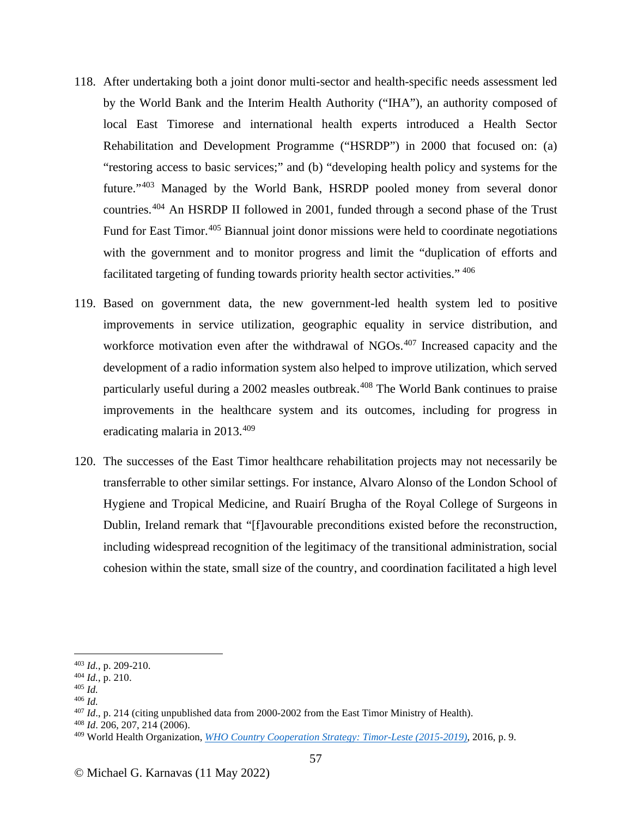- 118. After undertaking both a joint donor multi-sector and health-specific needs assessment led by the World Bank and the Interim Health Authority ("IHA"), an authority composed of local East Timorese and international health experts introduced a Health Sector Rehabilitation and Development Programme ("HSRDP") in 2000 that focused on: (a) "restoring access to basic services;" and (b) "developing health policy and systems for the future."[403](#page-56-0) Managed by the World Bank, HSRDP pooled money from several donor countries.[404](#page-56-1) An HSRDP II followed in 2001, funded through a second phase of the Trust Fund for East Timor.<sup>[405](#page-56-2)</sup> Biannual joint donor missions were held to coordinate negotiations with the government and to monitor progress and limit the "duplication of efforts and facilitated targeting of funding towards priority health sector activities." [406](#page-56-3)
- 119. Based on government data, the new government-led health system led to positive improvements in service utilization, geographic equality in service distribution, and workforce motivation even after the withdrawal of NGOs.<sup>[407](#page-56-4)</sup> Increased capacity and the development of a radio information system also helped to improve utilization, which served particularly useful during a 2002 measles outbreak.<sup>[408](#page-56-5)</sup> The World Bank continues to praise improvements in the healthcare system and its outcomes, including for progress in eradicating malaria in 2013.<sup>[409](#page-56-6)</sup>
- 120. The successes of the East Timor healthcare rehabilitation projects may not necessarily be transferrable to other similar settings. For instance, Alvaro Alonso of the London School of Hygiene and Tropical Medicine, and Ruairí Brugha of the Royal College of Surgeons in Dublin, Ireland remark that "[f]avourable preconditions existed before the reconstruction, including widespread recognition of the legitimacy of the transitional administration, social cohesion within the state, small size of the country, and coordination facilitated a high level

- 
- <span id="page-56-2"></span>
- <span id="page-56-3"></span><sup>406</sup> *Id.*

<span id="page-56-1"></span><span id="page-56-0"></span><sup>403</sup> *Id.*, p. 209-210. 404 *Id.*, p. 210. 405 *Id.*

<span id="page-56-4"></span><sup>407</sup> *Id*., p. 214 (citing unpublished data from 2000-2002 from the East Timor Ministry of Health). 408 *Id*. 206, 207, 214 (2006).

<span id="page-56-6"></span><span id="page-56-5"></span><sup>409</sup> World Health Organization, *[WHO Country Cooperation Strategy: Timor-Leste \(2015-2019\)](https://www.who.int/docs/default-source/searo/timor-leste/who-country-cooperation-strategy---timor-leste-2015-2019.pdf?sfvrsn=a6ee5e86_0)*, 2016, p. 9.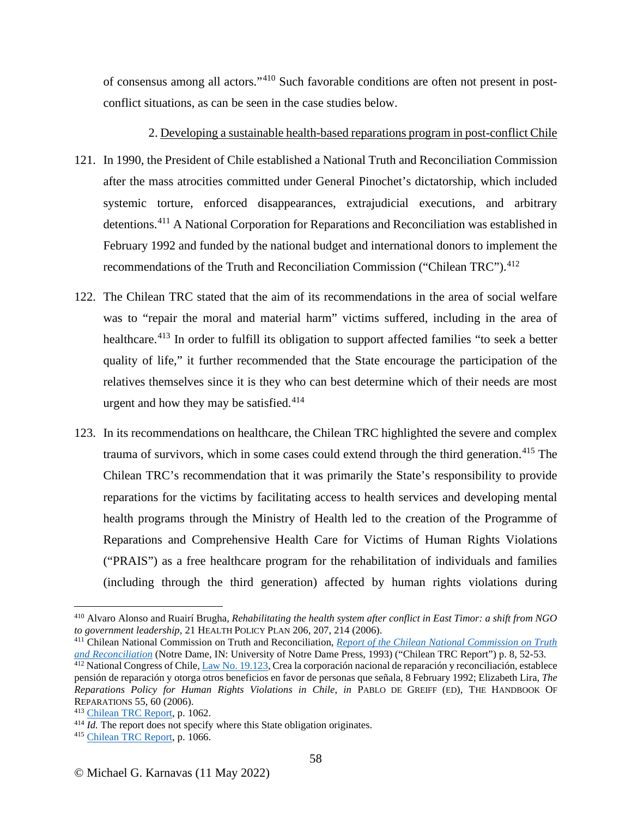of consensus among all actors."[410](#page-57-0) Such favorable conditions are often not present in postconflict situations, as can be seen in the case studies below.

2. Developing a sustainable health-based reparations program in post-conflict Chile

- 121. In 1990, the President of Chile established a National Truth and Reconciliation Commission after the mass atrocities committed under General Pinochet's dictatorship, which included systemic torture, enforced disappearances, extrajudicial executions, and arbitrary detentions.<sup>[411](#page-57-1)</sup> A National Corporation for Reparations and Reconciliation was established in February 1992 and funded by the national budget and international donors to implement the recommendations of the Truth and Reconciliation Commission ("Chilean TRC").<sup>[412](#page-57-2)</sup>
- 122. The Chilean TRC stated that the aim of its recommendations in the area of social welfare was to "repair the moral and material harm" victims suffered, including in the area of healthcare.<sup>[413](#page-57-3)</sup> In order to fulfill its obligation to support affected families "to seek a better quality of life," it further recommended that the State encourage the participation of the relatives themselves since it is they who can best determine which of their needs are most urgent and how they may be satisfied. $414$
- 123. In its recommendations on healthcare, the Chilean TRC highlighted the severe and complex trauma of survivors, which in some cases could extend through the third generation.<sup>[415](#page-57-5)</sup> The Chilean TRC's recommendation that it was primarily the State's responsibility to provide reparations for the victims by facilitating access to health services and developing mental health programs through the Ministry of Health led to the creation of the Programme of Reparations and Comprehensive Health Care for Victims of Human Rights Violations ("PRAIS") as a free healthcare program for the rehabilitation of individuals and families (including through the third generation) affected by human rights violations during

<span id="page-57-0"></span><sup>&</sup>lt;sup>410</sup> Alvaro Alonso and Ruairí Brugha, *Rehabilitating the health system after conflict in East Timor: a shift from NGO to government leadership, 21 HEALTH POLICY PLAN 206, 207, 214 (2006).* 

<span id="page-57-1"></span><sup>&</sup>lt;sup>411</sup> Chilean National Commission on Truth and Reconciliation, *Report of the Chilean National Commission on Truth [and Reconciliation](https://www.usip.org/sites/default/files/resources/collections/truth_commissions/Chile90-Report/Chile90-Report.pdf)* (Notre Dame, IN: University of Notre Dame Press, 1993) ("Chilean TRC Report") p. 8, 52-53.

<span id="page-57-2"></span><sup>&</sup>lt;sup>412</sup> National Congress of Chile, [Law No. 19.123,](https://bibliotecadigital.indh.cl/bitstream/handle/123456789/180/ley19123.pdf?sequence=1&isAllowed=y) Crea la corporación nacional de reparación y reconciliación, establece pensión de reparación y otorga otros beneficios en favor de personas que señala, 8 February 1992; Elizabeth Lira, *The Reparations Policy for Human Rights Violations in Chile*, *in* PABLO DE GREIFF (ED), THE HANDBOOK OF REPARATIONS 55, 60 (2006).<br><sup>413</sup> Chilean TRC Report, p. 1062.

<span id="page-57-3"></span>

<span id="page-57-4"></span><sup>&</sup>lt;sup>414</sup> *Id.* The report does not specify where this State obligation originates.

<span id="page-57-5"></span><sup>415</sup> [Chilean TRC Report,](https://www.usip.org/sites/default/files/resources/collections/truth_commissions/Chile90-Report/Chile90-Report.pdf) p. 1066.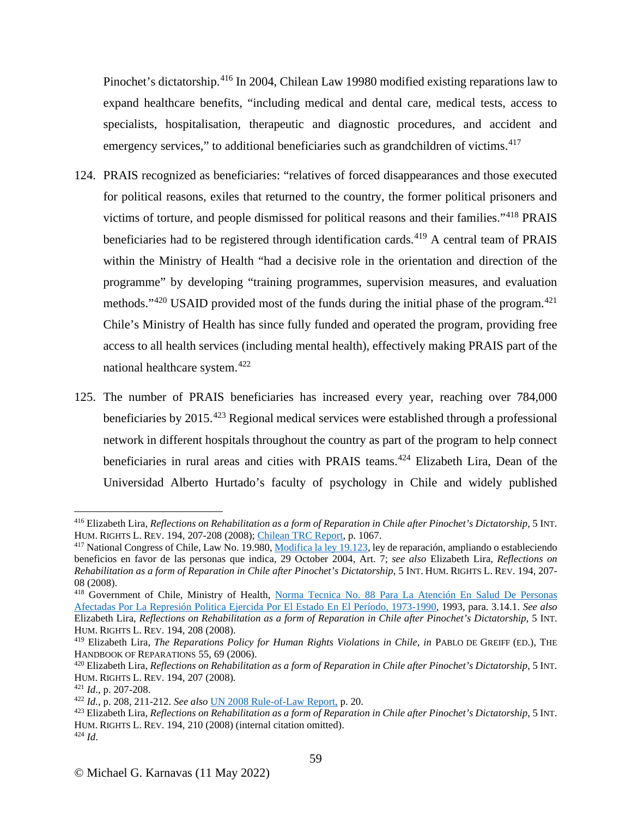Pinochet's dictatorship.<sup>[416](#page-58-0)</sup> In 2004, Chilean Law 19980 modified existing reparations law to expand healthcare benefits, "including medical and dental care, medical tests, access to specialists, hospitalisation, therapeutic and diagnostic procedures, and accident and emergency services," to additional beneficiaries such as grandchildren of victims.<sup>[417](#page-58-1)</sup>

- 124. PRAIS recognized as beneficiaries: "relatives of forced disappearances and those executed for political reasons, exiles that returned to the country, the former political prisoners and victims of torture, and people dismissed for political reasons and their families."[418](#page-58-2) PRAIS beneficiaries had to be registered through identification cards.<sup>[419](#page-58-3)</sup> A central team of PRAIS within the Ministry of Health "had a decisive role in the orientation and direction of the programme" by developing "training programmes, supervision measures, and evaluation methods."<sup>[420](#page-58-4)</sup> USAID provided most of the funds during the initial phase of the program.<sup>[421](#page-58-5)</sup> Chile's Ministry of Health has since fully funded and operated the program, providing free access to all health services (including mental health), effectively making PRAIS part of the national healthcare system.[422](#page-58-6)
- 125. The number of PRAIS beneficiaries has increased every year, reaching over 784,000 beneficiaries by 2015.[423](#page-58-7) Regional medical services were established through a professional network in different hospitals throughout the country as part of the program to help connect beneficiaries in rural areas and cities with PRAIS teams. [424](#page-58-8) Elizabeth Lira, Dean of the Universidad Alberto Hurtado's faculty of psychology in Chile and widely published

<span id="page-58-0"></span><sup>&</sup>lt;sup>416</sup> Elizabeth Lira, *Reflections on Rehabilitation as a form of Reparation in Chile after Pinochet's Dictatorship*, 5 INT.<br>HUM. RIGHTS L. REV. 194, 207-208 (2008); Chilean TRC Report, p. 1067.

<span id="page-58-1"></span><sup>&</sup>lt;sup>417</sup> National Congress of Chile, Law No. 19.980, [Modifica la ley 19.123,](https://www.bcn.cl/leychile/navegar?idNorma=232231&idParte=) ley de reparación, ampliando o estableciendo beneficios en favor de las personas que indica, 29 October 2004, Art. 7; *see also* Elizabeth Lira, *Reflections on Rehabilitation as a form of Reparation in Chile after Pinochet's Dictatorship*, 5 INT. HUM. RIGHTS L. REV. 194, 207- 08 (2008).

<span id="page-58-2"></span><sup>&</sup>lt;sup>418</sup> Government of Chile, Ministry of Health, Norma Tecnica No. 88 Para La Atención En Salud De Personas [Afectadas Por La Represión Politica Ejercida Por El Estado En El Período, 1973-1990,](http://200.72.31.211/prais/norma_tecnica.pdf) 1993, para. 3.14.1. *See also* Elizabeth Lira, *Reflections on Rehabilitation as a form of Reparation in Chile after Pinochet's Dictatorship*, 5 INT. HUM. RIGHTS L. REV. 194, 208 (2008).

<span id="page-58-3"></span><sup>&</sup>lt;sup>419</sup> Elizabeth Lira, *The Reparations Policy for Human Rights Violations in Chile*, *in* PABLO DE GREIFF (ED.), THE HANDBOOK OF REPARATIONS 55, 69 (2006).

<span id="page-58-4"></span><sup>&</sup>lt;sup>420</sup> Elizabeth Lira, *Reflections on Rehabilitation as a form of Reparation in Chile after Pinochet's Dictatorship*, 5 INT. HUM. RIGHTS L. REV. 194, 207 (2008)*.*

<span id="page-58-6"></span><span id="page-58-5"></span><sup>421</sup> *Id*., p. 207-208. 422 *Id.*, p. 208, 211-212. *See also* [UN 2008 Rule-of-Law Report,](https://www.refworld.org/docid/47ea6ebf2.html) p. 20.

<span id="page-58-8"></span><span id="page-58-7"></span><sup>423</sup> Elizabeth Lira, *Reflections on Rehabilitation as a form of Reparation in Chile after Pinochet's Dictatorship*, 5 INT. HUM. RIGHTS L. REV. 194, 210 (2008) (internal citation omitted). 424 *Id*.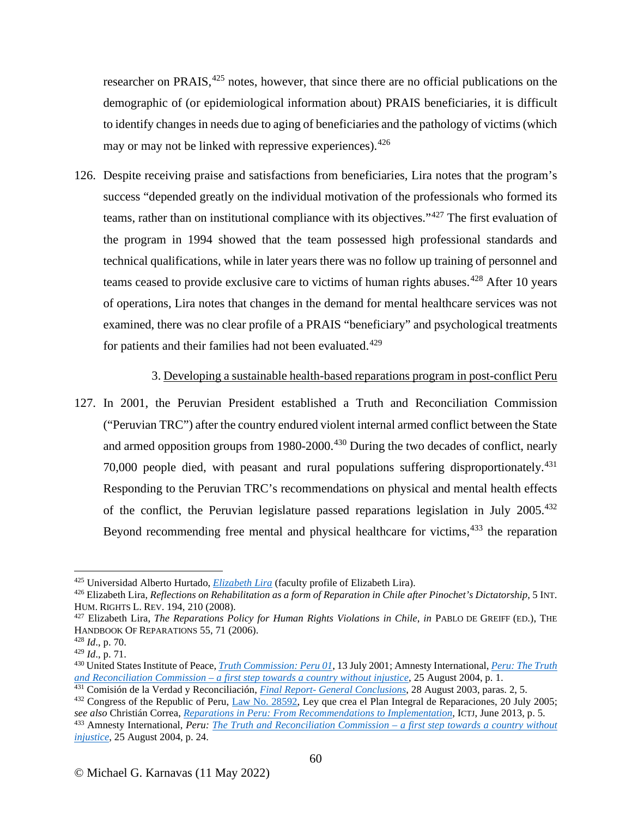researcher on PRAIS,<sup>[425](#page-59-0)</sup> notes, however, that since there are no official publications on the demographic of (or epidemiological information about) PRAIS beneficiaries, it is difficult to identify changes in needs due to aging of beneficiaries and the pathology of victims(which may or may not be linked with repressive experiences).  $426$ 

126. Despite receiving praise and satisfactions from beneficiaries, Lira notes that the program's success "depended greatly on the individual motivation of the professionals who formed its teams, rather than on institutional compliance with its objectives."[427](#page-59-2) The first evaluation of the program in 1994 showed that the team possessed high professional standards and technical qualifications, while in later years there was no follow up training of personnel and teams ceased to provide exclusive care to victims of human rights abuses.<sup>[428](#page-59-3)</sup> After 10 years of operations, Lira notes that changes in the demand for mental healthcare services was not examined, there was no clear profile of a PRAIS "beneficiary" and psychological treatments for patients and their families had not been evaluated.<sup>[429](#page-59-4)</sup>

#### 3. Developing a sustainable health-based reparations program in post-conflict Peru

127. In 2001, the Peruvian President established a Truth and Reconciliation Commission ("Peruvian TRC") after the country endured violent internal armed conflict between the State and armed opposition groups from 1980-2000.<sup>[430](#page-59-5)</sup> During the two decades of conflict, nearly 70,000 people died, with peasant and rural populations suffering disproportionately.<sup>[431](#page-59-6)</sup> Responding to the Peruvian TRC's recommendations on physical and mental health effects of the conflict, the Peruvian legislature passed reparations legislation in July 2005.<sup>[432](#page-59-7)</sup> Beyond recommending free mental and physical healthcare for victims, <sup>[433](#page-59-8)</sup> the reparation

<span id="page-59-0"></span><sup>425</sup> Universidad Alberto Hurtado, *[Elizabeth Lira](https://www-uahurtado-cl.translate.goog/team/elizabeth-lira/?_x_tr_sl=es&_x_tr_tl=en&_x_tr_hl=en&_x_tr_pto=sc)* (faculty profile of Elizabeth Lira).

<span id="page-59-1"></span><sup>426</sup> Elizabeth Lira, *Reflections on Rehabilitation as a form of Reparation in Chile after Pinochet's Dictatorship*, 5 INT. HUM. RIGHTS L. REV. 194, 210 (2008).

<span id="page-59-2"></span><sup>427</sup> Elizabeth Lira, *The Reparations Policy for Human Rights Violations in Chile*, *in* PABLO DE GREIFF (ED.), THE HANDBOOK OF REPARATIONS 55, 71 (2006).<br><sup>428</sup> *Id.*, p. 70.<br><sup>429</sup> *Id.*, p. 71.

<span id="page-59-3"></span>

<span id="page-59-5"></span><span id="page-59-4"></span><sup>&</sup>lt;sup>430</sup> United States Institute of Peace, *[Truth Commission: Peru 01](https://www.usip.org/publications/2001/07/truth-commission-peru-01)*, 13 July 2001; Amnesty International, *Peru: The Truth and Reconciliation Commission – [a first step towards a country without injustice](https://www.amnesty.org/en/documents/amr46/003/2004/en/)*, 25 August 2004, p. 1.

<span id="page-59-6"></span><sup>431</sup> Comisión de la Verdad y Reconciliación, *Final Report- [General Conclusions](https://www.cverdad.org.pe/ingles/ifinal/conclusiones.php)*, 28 August 2003, paras. 2, 5.

<span id="page-59-7"></span><sup>&</sup>lt;sup>432</sup> Congress of the Republic of Peru,  $\underline{Law No. 28592}$ , Ley que crea el Plan Integral de Reparaciones, 20 July 2005;<br>see also Christián Correa, *Reparations in Peru: From Recommendations to Implementation*, ICTJ, June 2

<span id="page-59-8"></span> $433$  Amnesty International, Peru: The Truth and Reconciliation Commission – a first step towards a country without *[injustice](https://www.amnesty.org/en/documents/amr46/003/2004/en/)*, 25 August 2004, p. 24.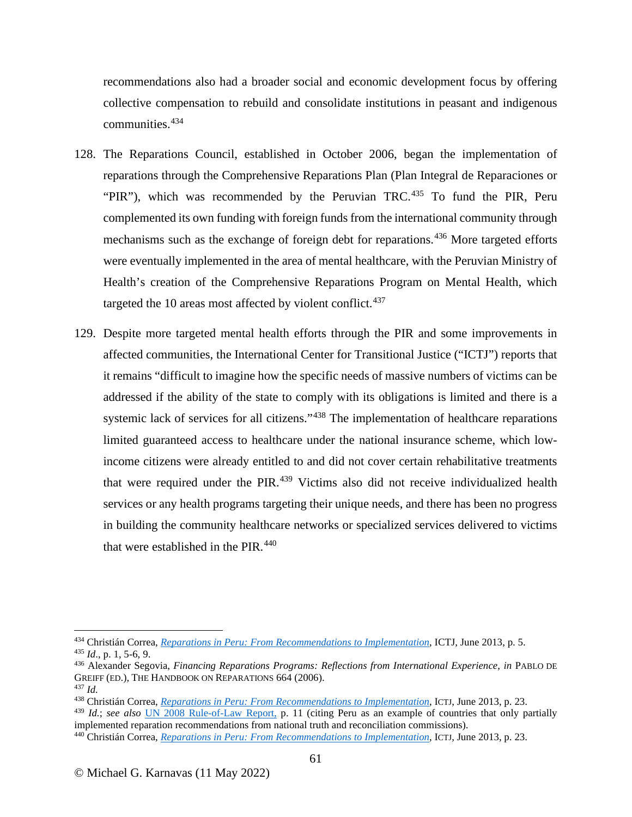recommendations also had a broader social and economic development focus by offering collective compensation to rebuild and consolidate institutions in peasant and indigenous communities. [434](#page-60-0)

- 128. The Reparations Council, established in October 2006, began the implementation of reparations through the Comprehensive Reparations Plan (Plan Integral de Reparaciones or "PIR"), which was recommended by the Peruvian TRC. $435$  To fund the PIR, Peru complemented its own funding with foreign funds from the international community through mechanisms such as the exchange of foreign debt for reparations.<sup>[436](#page-60-2)</sup> More targeted efforts were eventually implemented in the area of mental healthcare, with the Peruvian Ministry of Health's creation of the Comprehensive Reparations Program on Mental Health, which targeted the 10 areas most affected by violent conflict. $437$
- 129. Despite more targeted mental health efforts through the PIR and some improvements in affected communities, the International Center for Transitional Justice ("ICTJ") reports that it remains "difficult to imagine how the specific needs of massive numbers of victims can be addressed if the ability of the state to comply with its obligations is limited and there is a systemic lack of services for all citizens."<sup>[438](#page-60-4)</sup> The implementation of healthcare reparations limited guaranteed access to healthcare under the national insurance scheme, which lowincome citizens were already entitled to and did not cover certain rehabilitative treatments that were required under the PIR.<sup>[439](#page-60-5)</sup> Victims also did not receive individualized health services or any health programs targeting their unique needs, and there has been no progress in building the community healthcare networks or specialized services delivered to victims that were established in the PIR.<sup>[440](#page-60-6)</sup>

<span id="page-60-0"></span><sup>&</sup>lt;sup>434</sup> Christián Correa, *[Reparations in Peru: From Recommendations to Implementation](https://www.ictj.org/sites/default/files/ICTJ_Report_Peru_Reparations_2013.pdf)*, ICTJ, June 2013, p. 5.<br><sup>435</sup> *Id.*, p. 1, 5-6, 9.

<span id="page-60-2"></span><span id="page-60-1"></span><sup>435</sup> *Id*., p. 1, 5-6, 9. 436 Alexander Segovia, *Financing Reparations Programs: Reflections from International Experience*, *in* PABLO DE GREIFF (ED.), THE HANDBOOK ON REPARATIONS 664 (2006).

<span id="page-60-3"></span><sup>437</sup> *Id.*

<span id="page-60-4"></span><sup>438</sup> Christián Correa, *[Reparations in Peru: From Recommendations to Implementation](https://www.ictj.org/sites/default/files/ICTJ_Report_Peru_Reparations_2013.pdf)*, ICTJ, June 2013, p. 23.

<span id="page-60-5"></span><sup>439</sup> *Id.*; *see also* [UN 2008 Rule-of-Law Report,](https://www.refworld.org/docid/47ea6ebf2.html) p. 11 (citing Peru as an example of countries that only partially implemented reparation recommendations from national truth and reconciliation commissions).

<span id="page-60-6"></span><sup>440</sup> Christián Correa, *[Reparations in Peru: From Recommendations to Implementation](https://www.ictj.org/sites/default/files/ICTJ_Report_Peru_Reparations_2013.pdf)*, ICTJ, June 2013, p. 23.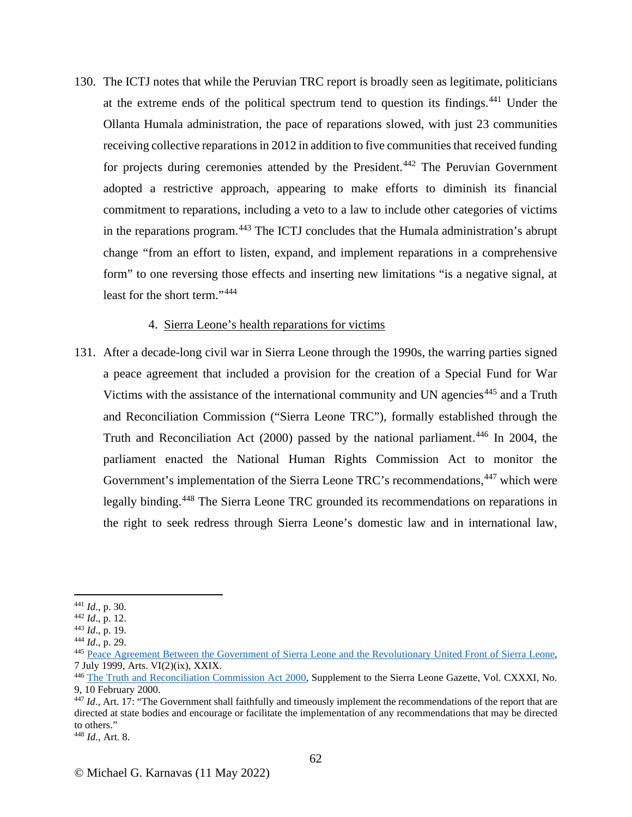130. The ICTJ notes that while the Peruvian TRC report is broadly seen as legitimate, politicians at the extreme ends of the political spectrum tend to question its findings.[441](#page-61-0) Under the Ollanta Humala administration, the pace of reparations slowed, with just 23 communities receiving collective reparations in 2012 in addition to five communities that received funding for projects during ceremonies attended by the President.<sup>[442](#page-61-1)</sup> The Peruvian Government adopted a restrictive approach, appearing to make efforts to diminish its financial commitment to reparations, including a veto to a law to include other categories of victims in the reparations program.[443](#page-61-2) The ICTJ concludes that the Humala administration's abrupt change "from an effort to listen, expand, and implement reparations in a comprehensive form" to one reversing those effects and inserting new limitations "is a negative signal, at least for the short term."[444](#page-61-3)

### 4. Sierra Leone's health reparations for victims

131. After a decade-long civil war in Sierra Leone through the 1990s, the warring parties signed a peace agreement that included a provision for the creation of a Special Fund for War Victims with the assistance of the international community and UN agencies<sup>[445](#page-61-4)</sup> and a Truth and Reconciliation Commission ("Sierra Leone TRC"), formally established through the Truth and Reconciliation Act  $(2000)$  passed by the national parliament.<sup>[446](#page-61-5)</sup> In 2004, the parliament enacted the National Human Rights Commission Act to monitor the Government's implementation of the Sierra Leone TRC's recommendations, <sup>[447](#page-61-6)</sup> which were legally binding.<sup>[448](#page-61-7)</sup> The Sierra Leone TRC grounded its recommendations on reparations in the right to seek redress through Sierra Leone's domestic law and in international law,

<span id="page-61-1"></span><span id="page-61-0"></span><sup>441</sup> *Id*., p. 30. 442 *Id*., p. 12.

<span id="page-61-2"></span>

<span id="page-61-3"></span><sup>443</sup> *Id*., p. 19. 444 *Id*., p. 29.

<span id="page-61-4"></span><sup>&</sup>lt;sup>445</sup> <u>[Peace Agreement Between the Government of Sierra Leone and the Revolutionary United Front of Sierra Leone,](https://www.usip.org/sites/default/files/file/resources/collections/peace_agreements/sierra_leone_07071999.pdf)</u><br>7 July 1999, Arts. VI(2)(ix), XXIX.

<span id="page-61-5"></span><sup>&</sup>lt;sup>446</sup> [The Truth and Reconciliation Commission Act 2000,](https://www.usip.org/sites/default/files/file/resources/collections/commissions/SeirraLeone-Charter.pdf) Supplement to the Sierra Leone Gazette, Vol. CXXXI, No. 9, 10 February 2000. 447 *Id*., Art. 17: "The Government shall faithfully and timeously implement the recommendations of the report that are

<span id="page-61-6"></span>directed at state bodies and encourage or facilitate the implementation of any recommendations that may be directed to others."

<span id="page-61-7"></span><sup>448</sup> *Id.*, Art. 8.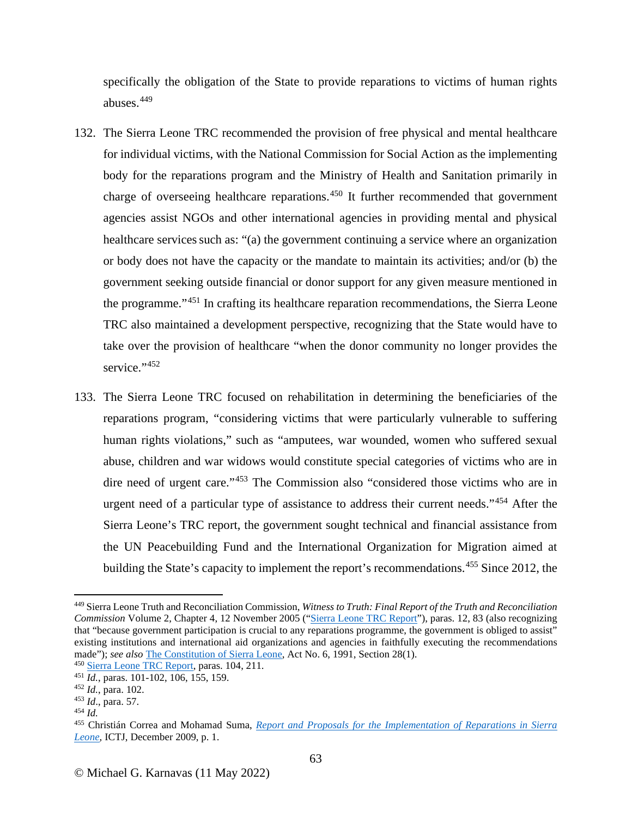specifically the obligation of the State to provide reparations to victims of human rights abuses.[449](#page-62-0)

- 132. The Sierra Leone TRC recommended the provision of free physical and mental healthcare for individual victims, with the National Commission for Social Action as the implementing body for the reparations program and the Ministry of Health and Sanitation primarily in charge of overseeing healthcare reparations.<sup>[450](#page-62-1)</sup> It further recommended that government agencies assist NGOs and other international agencies in providing mental and physical healthcare services such as: "(a) the government continuing a service where an organization or body does not have the capacity or the mandate to maintain its activities; and/or (b) the government seeking outside financial or donor support for any given measure mentioned in the programme."[451](#page-62-2) In crafting its healthcare reparation recommendations, the Sierra Leone TRC also maintained a development perspective, recognizing that the State would have to take over the provision of healthcare "when the donor community no longer provides the service."[452](#page-62-3)
- 133. The Sierra Leone TRC focused on rehabilitation in determining the beneficiaries of the reparations program, "considering victims that were particularly vulnerable to suffering human rights violations," such as "amputees, war wounded, women who suffered sexual abuse, children and war widows would constitute special categories of victims who are in dire need of urgent care."[453](#page-62-4) The Commission also "considered those victims who are in urgent need of a particular type of assistance to address their current needs."<sup>[454](#page-62-5)</sup> After the Sierra Leone's TRC report, the government sought technical and financial assistance from the UN Peacebuilding Fund and the International Organization for Migration aimed at building the State's capacity to implement the report's recommendations.<sup>[455](#page-62-6)</sup> Since 2012, the

<span id="page-62-0"></span><sup>449</sup> Sierra Leone Truth and Reconciliation Commission, *Witness to Truth: Final Report of the Truth and Reconciliation Commission* Volume 2, Chapter 4, 12 November 2005 (["Sierra Leone TRC Report"](http://www.sierraleonetrc.org/index.php/view-report-text-vol-2/item/volume-two-chapter-four)), paras. 12, 83 (also recognizing that "because government participation is crucial to any reparations programme, the government is obliged to assist" existing institutions and international aid organizations and agencies in faithfully executing the recommendations made"); *see also* [The Constitution of Sierra Leone,](http://www.sierra-leone.org/Laws/constitution1991.pdf) Act No. 6, 1991, Section 28(1).<br><sup>450</sup> [Sierra Leone TRC Report,](http://www.sierraleonetrc.org/index.php/view-report-text-vol-2/item/volume-two-chapter-four) paras. 104, 211.

<span id="page-62-1"></span>

<span id="page-62-2"></span><sup>&</sup>lt;sup>451</sup> *Id.*, paras. 101-102, 106, 155, 159.<br><sup>452</sup> *Id.*, para. 102.

<span id="page-62-3"></span>

<span id="page-62-4"></span><sup>453</sup> *Id.*, para. 57.

<span id="page-62-5"></span><sup>454</sup> *Id.*

<span id="page-62-6"></span><sup>455</sup> Christián Correa and Mohamad Suma, *[Report and Proposals for the Implementation of Reparations in Sierra](https://www.ictj.org/sites/default/files/ICTJ-SierraLeone-Reparations-Report-2009-English.pdf)  [Leone,](https://www.ictj.org/sites/default/files/ICTJ-SierraLeone-Reparations-Report-2009-English.pdf)* ICTJ, December 2009, p. 1.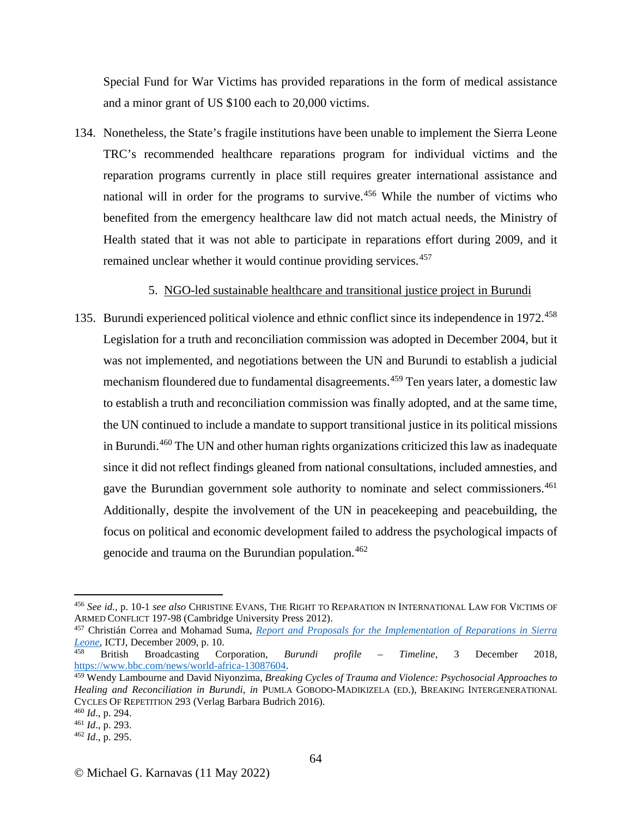Special Fund for War Victims has provided reparations in the form of medical assistance and a minor grant of US \$100 each to 20,000 victims.

134. Nonetheless, the State's fragile institutions have been unable to implement the Sierra Leone TRC's recommended healthcare reparations program for individual victims and the reparation programs currently in place still requires greater international assistance and national will in order for the programs to survive.<sup>[456](#page-63-0)</sup> While the number of victims who benefited from the emergency healthcare law did not match actual needs, the Ministry of Health stated that it was not able to participate in reparations effort during 2009, and it remained unclear whether it would continue providing services.<sup>[457](#page-63-1)</sup>

## 5. NGO-led sustainable healthcare and transitional justice project in Burundi

135. Burundi experienced political violence and ethnic conflict since its independence in 1972.<sup>[458](#page-63-2)</sup> Legislation for a truth and reconciliation commission was adopted in December 2004, but it was not implemented, and negotiations between the UN and Burundi to establish a judicial mechanism floundered due to fundamental disagreements.<sup>[459](#page-63-3)</sup> Ten years later, a domestic law to establish a truth and reconciliation commission was finally adopted, and at the same time, the UN continued to include a mandate to support transitional justice in its political missions in Burundi.<sup>[460](#page-63-4)</sup> The UN and other human rights organizations criticized this law as inadequate since it did not reflect findings gleaned from national consultations, included amnesties, and gave the Burundian government sole authority to nominate and select commissioners. [461](#page-63-5) Additionally, despite the involvement of the UN in peacekeeping and peacebuilding, the focus on political and economic development failed to address the psychological impacts of genocide and trauma on the Burundian population.[462](#page-63-6)

<span id="page-63-0"></span><sup>456</sup> *See id.*, p. 10-1 *see also* CHRISTINE EVANS, THE RIGHT TO REPARATION IN INTERNATIONAL LAW FOR VICTIMS OF

<span id="page-63-1"></span><sup>&</sup>lt;sup>457</sup> Christián Correa and Mohamad Suma, *Report and Proposals for the Implementation of Reparations in Sierra [Leone,](https://www.ictj.org/sites/default/files/ICTJ-SierraLeone-Reparations-Report-2009-English.pdf)* ICTJ, December 2009, p. 10.

<span id="page-63-2"></span><sup>458</sup> British Broadcasting Corporation, *Burundi profile – Timeline*, 3 December 2018, [https://www.bbc.com/news/world-africa-13087604.](https://www.bbc.com/news/world-africa-13087604)

<span id="page-63-3"></span><sup>459</sup> Wendy Lambourne and David Niyonzima, *Breaking Cycles of Trauma and Violence: Psychosocial Approaches to Healing and Reconciliation in Burundi*, *in* PUMLA GOBODO-MADIKIZELA (ED.), BREAKING INTERGENERATIONAL CYCLES OF REPETITION 293 (Verlag Barbara Budrich 2016).<br><sup>460</sup> Id., p. 294.

<span id="page-63-4"></span>

<span id="page-63-5"></span><sup>460</sup> *Id*., p. 294. 461 *Id*., p. 293. 462 *Id*., p. 295.

<span id="page-63-6"></span>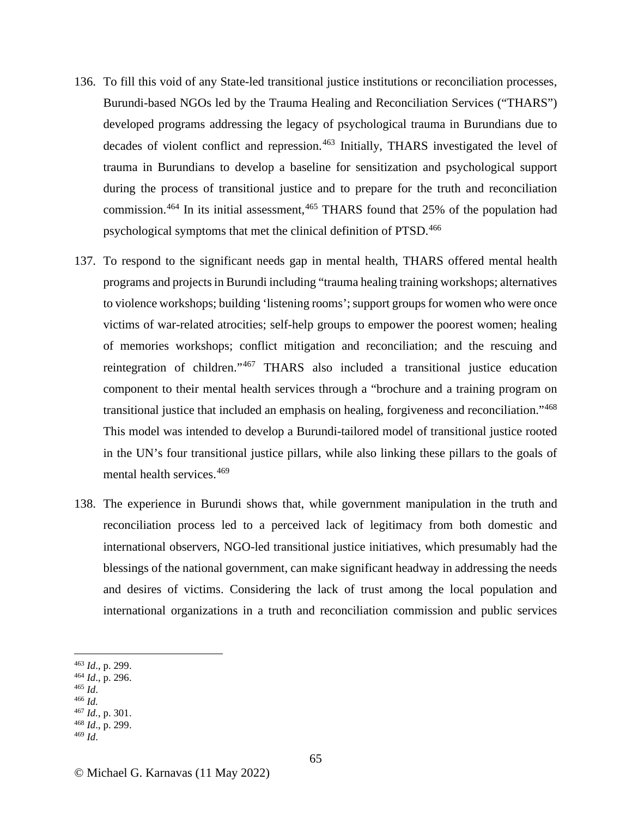- 136. To fill this void of any State-led transitional justice institutions or reconciliation processes, Burundi-based NGOs led by the Trauma Healing and Reconciliation Services ("THARS") developed programs addressing the legacy of psychological trauma in Burundians due to decades of violent conflict and repression. [463](#page-64-0) Initially, THARS investigated the level of trauma in Burundians to develop a baseline for sensitization and psychological support during the process of transitional justice and to prepare for the truth and reconciliation commission.<sup>[464](#page-64-1)</sup> In its initial assessment, <sup>[465](#page-64-2)</sup> THARS found that 25% of the population had psychological symptoms that met the clinical definition of PTSD.<sup>[466](#page-64-3)</sup>
- 137. To respond to the significant needs gap in mental health, THARS offered mental health programs and projectsin Burundi including "trauma healing training workshops; alternatives to violence workshops; building 'listening rooms'; support groups for women who were once victims of war-related atrocities; self-help groups to empower the poorest women; healing of memories workshops; conflict mitigation and reconciliation; and the rescuing and reintegration of children."[467](#page-64-4) THARS also included a transitional justice education component to their mental health services through a "brochure and a training program on transitional justice that included an emphasis on healing, forgiveness and reconciliation."[468](#page-64-5) This model was intended to develop a Burundi-tailored model of transitional justice rooted in the UN's four transitional justice pillars, while also linking these pillars to the goals of mental health services.<sup>[469](#page-64-6)</sup>
- 138. The experience in Burundi shows that, while government manipulation in the truth and reconciliation process led to a perceived lack of legitimacy from both domestic and international observers, NGO-led transitional justice initiatives, which presumably had the blessings of the national government, can make significant headway in addressing the needs and desires of victims. Considering the lack of trust among the local population and international organizations in a truth and reconciliation commission and public services
- <span id="page-64-1"></span><span id="page-64-0"></span><sup>463</sup> *Id*., p. 299. 464 *Id*., p. 296. 465 *Id*. 466 *Id.*
- 
- <span id="page-64-3"></span><span id="page-64-2"></span>
- 
- 
- <span id="page-64-5"></span><span id="page-64-4"></span><sup>467</sup> *Id.*, p. 301. 468 *Id*., p. 299.
- <span id="page-64-6"></span><sup>469</sup> *Id*.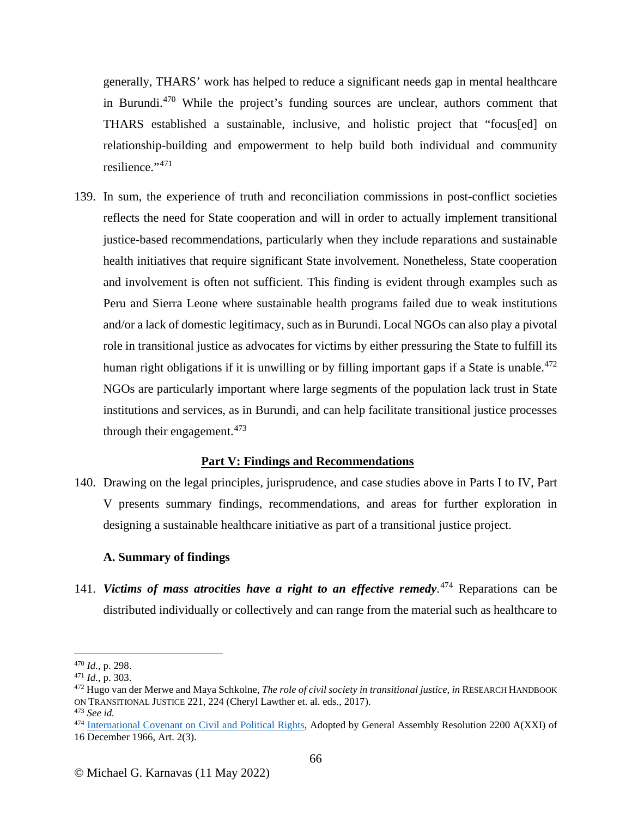generally, THARS' work has helped to reduce a significant needs gap in mental healthcare in Burundi.<sup>[470](#page-65-0)</sup> While the project's funding sources are unclear, authors comment that THARS established a sustainable, inclusive, and holistic project that "focus[ed] on relationship-building and empowerment to help build both individual and community resilience."<sup>[471](#page-65-1)</sup>

139. In sum, the experience of truth and reconciliation commissions in post-conflict societies reflects the need for State cooperation and will in order to actually implement transitional justice-based recommendations, particularly when they include reparations and sustainable health initiatives that require significant State involvement. Nonetheless, State cooperation and involvement is often not sufficient. This finding is evident through examples such as Peru and Sierra Leone where sustainable health programs failed due to weak institutions and/or a lack of domestic legitimacy, such as in Burundi. Local NGOs can also play a pivotal role in transitional justice as advocates for victims by either pressuring the State to fulfill its human right obligations if it is unwilling or by filling important gaps if a State is unable.<sup>[472](#page-65-2)</sup> NGOs are particularly important where large segments of the population lack trust in State institutions and services, as in Burundi, and can help facilitate transitional justice processes through their engagement. $473$ 

### **Part V: Findings and Recommendations**

140. Drawing on the legal principles, jurisprudence, and case studies above in Parts I to IV, Part V presents summary findings, recommendations, and areas for further exploration in designing a sustainable healthcare initiative as part of a transitional justice project.

#### **A. Summary of findings**

141. *Victims of mass atrocities have a right to an effective remedy*. [474](#page-65-4) Reparations can be distributed individually or collectively and can range from the material such as healthcare to

<span id="page-65-2"></span>

<span id="page-65-1"></span><span id="page-65-0"></span><sup>470</sup> *Id.*, p. 298.<br><sup>471</sup> *Id.*, p. 303.<br><sup>472</sup> Hugo van der Merwe and Maya Schkolne, *The role of civil society in transitional justice*, *in* RESEARCH HANDBOOK ON TRANSITIONAL JUSTICE 221, 224 (Cheryl Lawther et. al. eds., 2017).

<span id="page-65-3"></span><sup>473</sup> *See id.*

<span id="page-65-4"></span><sup>&</sup>lt;sup>474</sup> [International Covenant on Civil and Political Rights,](https://www.ohchr.org/en/professionalinterest/pages/ccpr.aspx) Adopted by General Assembly Resolution 2200 A(XXI) of 16 December 1966, Art. 2(3).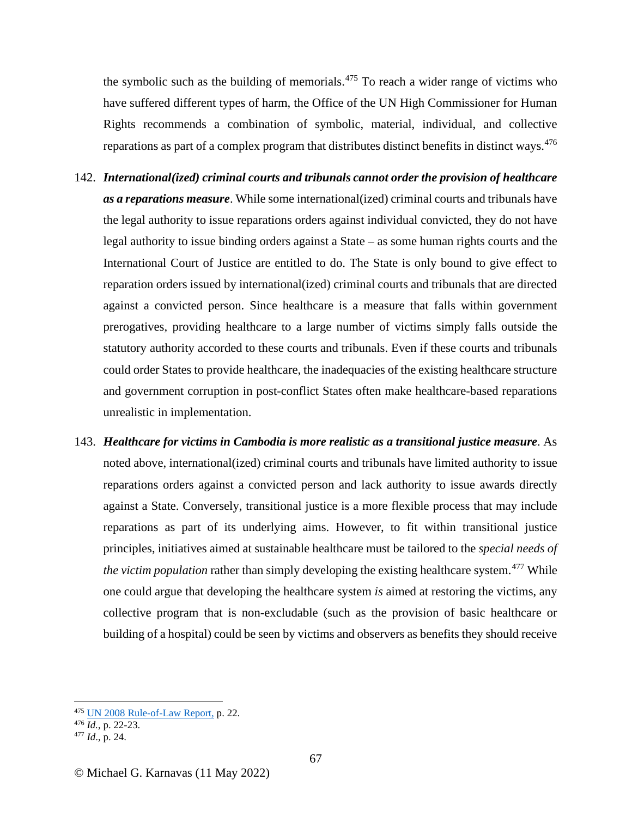the symbolic such as the building of memorials.<sup>[475](#page-66-0)</sup> To reach a wider range of victims who have suffered different types of harm, the Office of the UN High Commissioner for Human Rights recommends a combination of symbolic, material, individual, and collective reparations as part of a complex program that distributes distinct benefits in distinct ways.<sup>[476](#page-66-1)</sup>

- 142. *International(ized) criminal courts and tribunals cannot order the provision of healthcare as a reparations measure*. While some international(ized) criminal courts and tribunals have the legal authority to issue reparations orders against individual convicted, they do not have legal authority to issue binding orders against a State – as some human rights courts and the International Court of Justice are entitled to do. The State is only bound to give effect to reparation orders issued by international(ized) criminal courts and tribunals that are directed against a convicted person. Since healthcare is a measure that falls within government prerogatives, providing healthcare to a large number of victims simply falls outside the statutory authority accorded to these courts and tribunals. Even if these courts and tribunals could order States to provide healthcare, the inadequacies of the existing healthcare structure and government corruption in post-conflict States often make healthcare-based reparations unrealistic in implementation.
- 143. *Healthcare for victims in Cambodia is more realistic as a transitional justice measure*. As noted above, international(ized) criminal courts and tribunals have limited authority to issue reparations orders against a convicted person and lack authority to issue awards directly against a State. Conversely, transitional justice is a more flexible process that may include reparations as part of its underlying aims. However, to fit within transitional justice principles, initiatives aimed at sustainable healthcare must be tailored to the *special needs of the victim population* rather than simply developing the existing healthcare system.<sup>[477](#page-66-2)</sup> While one could argue that developing the healthcare system *is* aimed at restoring the victims, any collective program that is non-excludable (such as the provision of basic healthcare or building of a hospital) could be seen by victims and observers as benefits they should receive

<span id="page-66-0"></span><sup>475</sup> [UN 2008 Rule-of-Law Report,](https://www.refworld.org/docid/47ea6ebf2.html) p. 22.

<span id="page-66-1"></span><sup>476</sup> *Id.*, p. 22-23. 477 *Id*., p. 24.

<span id="page-66-2"></span>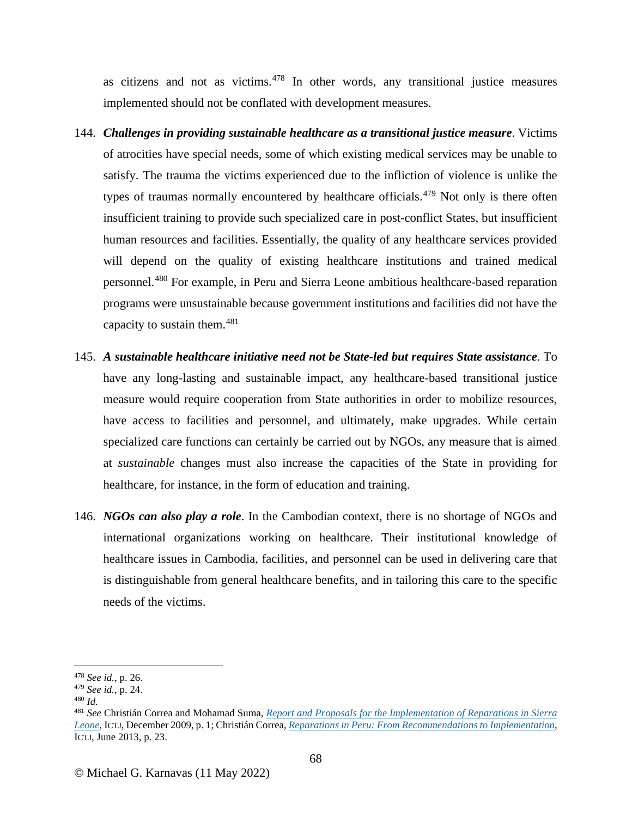as citizens and not as victims. $478$  In other words, any transitional justice measures implemented should not be conflated with development measures.

- 144. *Challenges in providing sustainable healthcare as a transitional justice measure*. Victims of atrocities have special needs, some of which existing medical services may be unable to satisfy. The trauma the victims experienced due to the infliction of violence is unlike the types of traumas normally encountered by healthcare officials.<sup>[479](#page-67-1)</sup> Not only is there often insufficient training to provide such specialized care in post-conflict States, but insufficient human resources and facilities. Essentially, the quality of any healthcare services provided will depend on the quality of existing healthcare institutions and trained medical personnel.[480](#page-67-2) For example, in Peru and Sierra Leone ambitious healthcare-based reparation programs were unsustainable because government institutions and facilities did not have the capacity to sustain them. $481$
- 145. *A sustainable healthcare initiative need not be State-led but requires State assistance*. To have any long-lasting and sustainable impact, any healthcare-based transitional justice measure would require cooperation from State authorities in order to mobilize resources, have access to facilities and personnel, and ultimately, make upgrades. While certain specialized care functions can certainly be carried out by NGOs, any measure that is aimed at *sustainable* changes must also increase the capacities of the State in providing for healthcare, for instance, in the form of education and training.
- 146. *NGOs can also play a role*. In the Cambodian context, there is no shortage of NGOs and international organizations working on healthcare. Their institutional knowledge of healthcare issues in Cambodia, facilities, and personnel can be used in delivering care that is distinguishable from general healthcare benefits, and in tailoring this care to the specific needs of the victims.

<span id="page-67-0"></span><sup>478</sup> *See id.*, p. 26.

<span id="page-67-2"></span><span id="page-67-1"></span><sup>479</sup> *See id.*, p. 24. 480 *Id.*

<span id="page-67-3"></span><sup>481</sup> *See* Christián Correa and Mohamad Suma, *[Report and Proposals for the Implementation of Reparations in Sierra](https://www.ictj.org/sites/default/files/ICTJ-SierraLeone-Reparations-Report-2009-English.pdf)  [Leone,](https://www.ictj.org/sites/default/files/ICTJ-SierraLeone-Reparations-Report-2009-English.pdf)* ICTJ, December 2009, p. 1; Christián Correa, *[Reparations in Peru: From Recommendations to Implementation](https://www.ictj.org/sites/default/files/ICTJ_Report_Peru_Reparations_2013.pdf)*, ICTJ, June 2013, p. 23.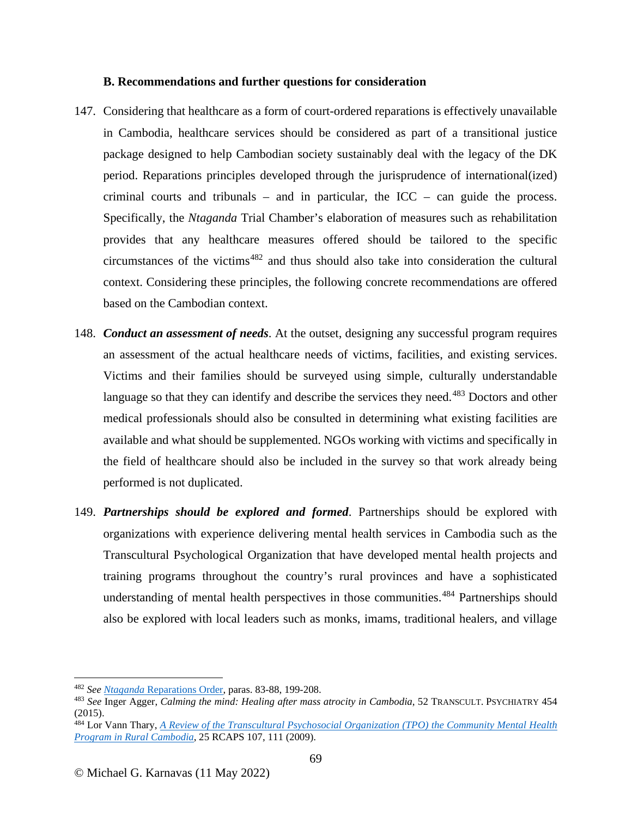### **B. Recommendations and further questions for consideration**

- 147. Considering that healthcare as a form of court-ordered reparations is effectively unavailable in Cambodia, healthcare services should be considered as part of a transitional justice package designed to help Cambodian society sustainably deal with the legacy of the DK period. Reparations principles developed through the jurisprudence of international(ized) criminal courts and tribunals – and in particular, the  $ICC - can guide the process.$ Specifically, the *Ntaganda* Trial Chamber's elaboration of measures such as rehabilitation provides that any healthcare measures offered should be tailored to the specific circumstances of the victims $482$  and thus should also take into consideration the cultural context. Considering these principles, the following concrete recommendations are offered based on the Cambodian context.
- 148. *Conduct an assessment of needs*. At the outset, designing any successful program requires an assessment of the actual healthcare needs of victims, facilities, and existing services. Victims and their families should be surveyed using simple, culturally understandable language so that they can identify and describe the services they need.<sup>[483](#page-68-1)</sup> Doctors and other medical professionals should also be consulted in determining what existing facilities are available and what should be supplemented. NGOs working with victims and specifically in the field of healthcare should also be included in the survey so that work already being performed is not duplicated.
- 149. *Partnerships should be explored and formed*. Partnerships should be explored with organizations with experience delivering mental health services in Cambodia such as the Transcultural Psychological Organization that have developed mental health projects and training programs throughout the country's rural provinces and have a sophisticated understanding of mental health perspectives in those communities.<sup>[484](#page-68-2)</sup> Partnerships should also be explored with local leaders such as monks, imams, traditional healers, and village

<span id="page-68-1"></span><span id="page-68-0"></span><sup>&</sup>lt;sup>482</sup> See <u>Ntaganda Reparations Order</u>, paras. 83-88, 199-208.<br><sup>483</sup> See Inger Agger, *Calming the mind: Healing after mass atrocity in Cambodia*, 52 TRANSCULT. PSYCHIATRY 454 (2015).

<span id="page-68-2"></span><sup>484</sup> Lor Vann Thary, *A Review of the Transcultural Psychosocial Organization (TPO) the Community Mental Health Program in Rural Cambodia*, 25 RCAPS 107, 111 (2009).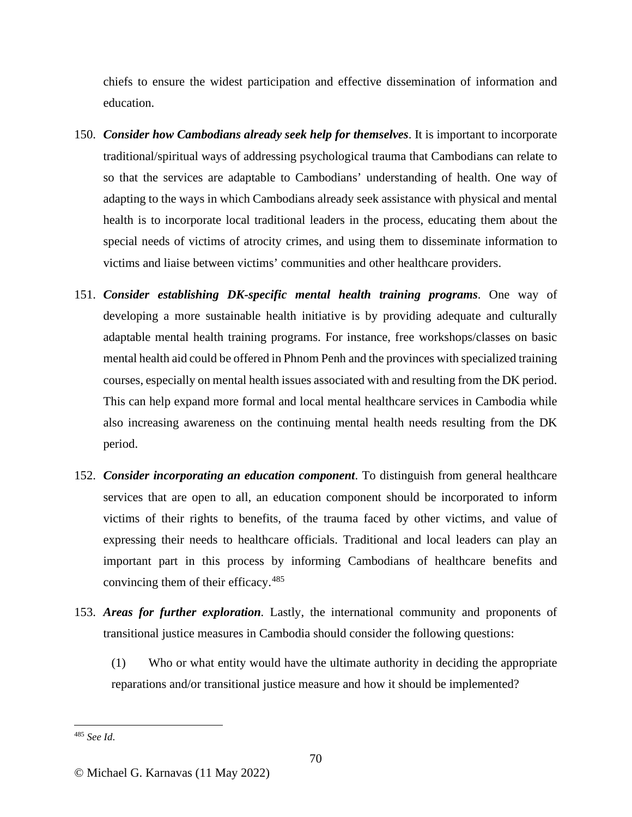chiefs to ensure the widest participation and effective dissemination of information and education.

- 150. *Consider how Cambodians already seek help for themselves*. It is important to incorporate traditional/spiritual ways of addressing psychological trauma that Cambodians can relate to so that the services are adaptable to Cambodians' understanding of health. One way of adapting to the ways in which Cambodians already seek assistance with physical and mental health is to incorporate local traditional leaders in the process, educating them about the special needs of victims of atrocity crimes, and using them to disseminate information to victims and liaise between victims' communities and other healthcare providers.
- 151. *Consider establishing DK-specific mental health training programs*. One way of developing a more sustainable health initiative is by providing adequate and culturally adaptable mental health training programs. For instance, free workshops/classes on basic mental health aid could be offered in Phnom Penh and the provinces with specialized training courses, especially on mental health issues associated with and resulting from the DK period. This can help expand more formal and local mental healthcare services in Cambodia while also increasing awareness on the continuing mental health needs resulting from the DK period.
- 152. *Consider incorporating an education component*. To distinguish from general healthcare services that are open to all, an education component should be incorporated to inform victims of their rights to benefits, of the trauma faced by other victims, and value of expressing their needs to healthcare officials. Traditional and local leaders can play an important part in this process by informing Cambodians of healthcare benefits and convincing them of their efficacy.<sup>[485](#page-69-0)</sup>
- 153. *Areas for further exploration.* Lastly, the international community and proponents of transitional justice measures in Cambodia should consider the following questions:
	- (1) Who or what entity would have the ultimate authority in deciding the appropriate reparations and/or transitional justice measure and how it should be implemented?

<span id="page-69-0"></span><sup>485</sup> *See Id*.

<sup>©</sup> Michael G. Karnavas (11 May 2022)